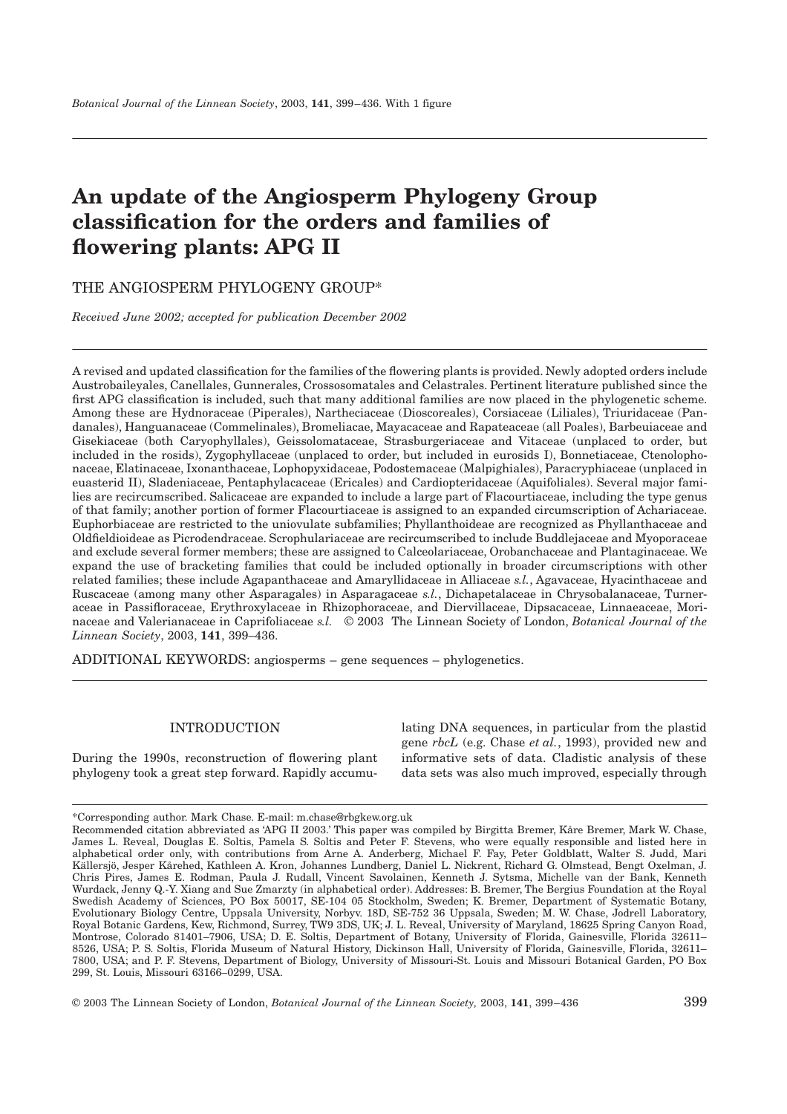# **An update of the Angiosperm Phylogeny Group classification for the orders and families of flowering plants: APG II**

THE ANGIOSPERM PHYLOGENY GROUP\*

*Received June 2002; accepted for publication December 2002*

A revised and updated classification for the families of the flowering plants is provided. Newly adopted orders include Austrobaileyales, Canellales, Gunnerales, Crossosomatales and Celastrales. Pertinent literature published since the first APG classification is included, such that many additional families are now placed in the phylogenetic scheme. Among these are Hydnoraceae (Piperales), Nartheciaceae (Dioscoreales), Corsiaceae (Liliales), Triuridaceae (Pandanales), Hanguanaceae (Commelinales), Bromeliacae, Mayacaceae and Rapateaceae (all Poales), Barbeuiaceae and Gisekiaceae (both Caryophyllales), Geissolomataceae, Strasburgeriaceae and Vitaceae (unplaced to order, but included in the rosids), Zygophyllaceae (unplaced to order, but included in eurosids I), Bonnetiaceae, Ctenolophonaceae, Elatinaceae, Ixonanthaceae, Lophopyxidaceae, Podostemaceae (Malpighiales), Paracryphiaceae (unplaced in euasterid II), Sladeniaceae, Pentaphylacaceae (Ericales) and Cardiopteridaceae (Aquifoliales). Several major families are recircumscribed. Salicaceae are expanded to include a large part of Flacourtiaceae, including the type genus of that family; another portion of former Flacourtiaceae is assigned to an expanded circumscription of Achariaceae. Euphorbiaceae are restricted to the uniovulate subfamilies; Phyllanthoideae are recognized as Phyllanthaceae and Oldfieldioideae as Picrodendraceae. Scrophulariaceae are recircumscribed to include Buddlejaceae and Myoporaceae and exclude several former members; these are assigned to Calceolariaceae, Orobanchaceae and Plantaginaceae. We expand the use of bracketing families that could be included optionally in broader circumscriptions with other related families; these include Agapanthaceae and Amaryllidaceae in Alliaceae *s.l.*, Agavaceae, Hyacinthaceae and Ruscaceae (among many other Asparagales) in Asparagaceae *s.l.*, Dichapetalaceae in Chrysobalanaceae, Turneraceae in Passifloraceae, Erythroxylaceae in Rhizophoraceae, and Diervillaceae, Dipsacaceae, Linnaeaceae, Morinaceae and Valerianaceae in Caprifoliaceae *s.l.* © 2003 The Linnean Society of London, *Botanical Journal of the Linnean Society*, 2003, **141**, 399–436.

ADDITIONAL KEYWORDS: angiosperms – gene sequences – phylogenetics.

## INTRODUCTION

During the 1990s, reconstruction of flowering plant phylogeny took a great step forward. Rapidly accumulating DNA sequences, in particular from the plastid gene *rbcL* (e.g. Chase *et al.*, 1993), provided new and informative sets of data. Cladistic analysis of these data sets was also much improved, especially through

<sup>\*</sup>Corresponding author. Mark Chase. E-mail: m.chase@rbgkew.org.uk

Recommended citation abbreviated as 'APG II 2003.' This paper was compiled by Birgitta Bremer, Kåre Bremer, Mark W. Chase, James L. Reveal, Douglas E. Soltis, Pamela S. Soltis and Peter F. Stevens, who were equally responsible and listed here in alphabetical order only, with contributions from Arne A. Anderberg, Michael F. Fay, Peter Goldblatt, Walter S. Judd, Mari Källersjö, Jesper Kårehed, Kathleen A. Kron, Johannes Lundberg, Daniel L. Nickrent, Richard G. Olmstead, Bengt Oxelman, J. Chris Pires, James E. Rodman, Paula J. Rudall, Vincent Savolainen, Kenneth J. Sytsma, Michelle van der Bank, Kenneth Wurdack, Jenny Q.-Y. Xiang and Sue Zmarzty (in alphabetical order). Addresses: B. Bremer, The Bergius Foundation at the Royal Swedish Academy of Sciences, PO Box 50017, SE-104 05 Stockholm, Sweden; K. Bremer, Department of Systematic Botany, Evolutionary Biology Centre, Uppsala University, Norbyv. 18D, SE-752 36 Uppsala, Sweden; M. W. Chase, Jodrell Laboratory, Royal Botanic Gardens, Kew, Richmond, Surrey, TW9 3DS, UK; J. L. Reveal, University of Maryland, 18625 Spring Canyon Road, Montrose, Colorado 81401–7906, USA; D. E. Soltis, Department of Botany, University of Florida, Gainesville, Florida 32611– 8526, USA; P. S. Soltis, Florida Museum of Natural History, Dickinson Hall, University of Florida, Gainesville, Florida, 32611– 7800, USA; and P. F. Stevens, Department of Biology, University of Missouri-St. Louis and Missouri Botanical Garden, PO Box 299, St. Louis, Missouri 63166–0299, USA.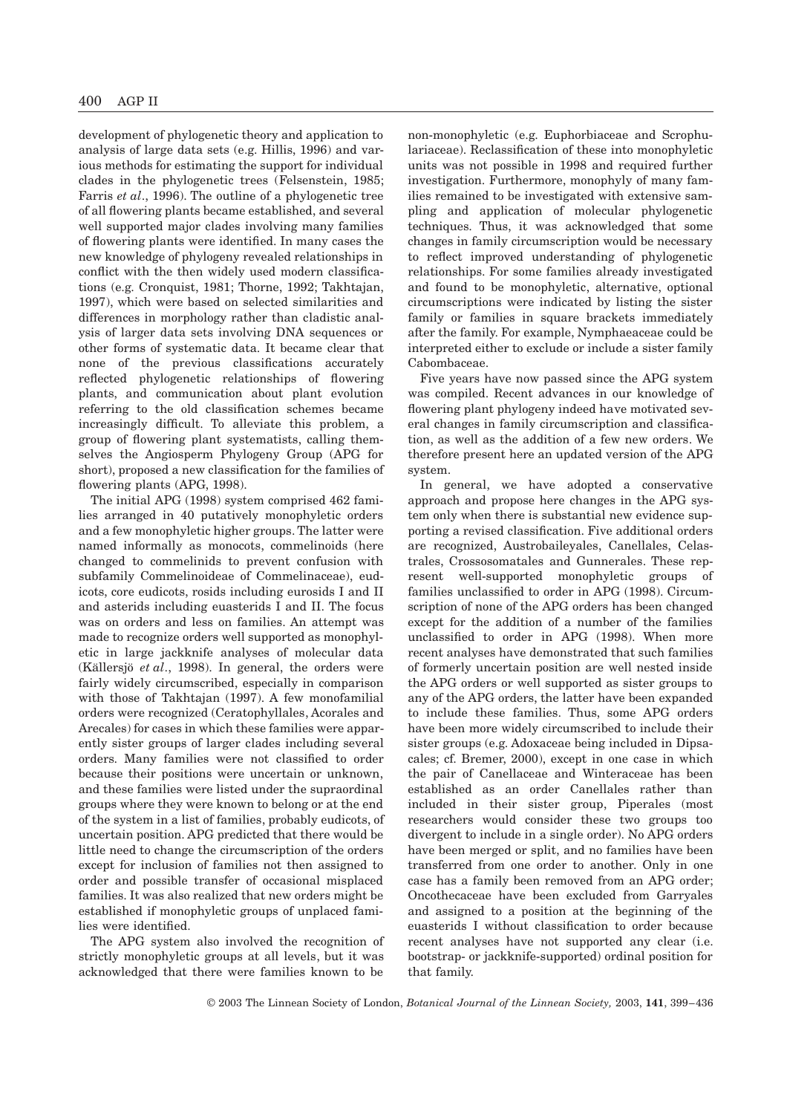development of phylogenetic theory and application to analysis of large data sets (e.g. Hillis, 1996) and various methods for estimating the support for individual clades in the phylogenetic trees (Felsenstein, 1985; Farris *et al*., 1996). The outline of a phylogenetic tree of all flowering plants became established, and several well supported major clades involving many families of flowering plants were identified. In many cases the new knowledge of phylogeny revealed relationships in conflict with the then widely used modern classifications (e.g. Cronquist, 1981; Thorne, 1992; Takhtajan, 1997), which were based on selected similarities and differences in morphology rather than cladistic analysis of larger data sets involving DNA sequences or other forms of systematic data. It became clear that none of the previous classifications accurately reflected phylogenetic relationships of flowering plants, and communication about plant evolution referring to the old classification schemes became increasingly difficult. To alleviate this problem, a group of flowering plant systematists, calling themselves the Angiosperm Phylogeny Group (APG for short), proposed a new classification for the families of flowering plants (APG, 1998).

The initial APG (1998) system comprised 462 families arranged in 40 putatively monophyletic orders and a few monophyletic higher groups. The latter were named informally as monocots, commelinoids (here changed to commelinids to prevent confusion with subfamily Commelinoideae of Commelinaceae), eudicots, core eudicots, rosids including eurosids I and II and asterids including euasterids I and II. The focus was on orders and less on families. An attempt was made to recognize orders well supported as monophyletic in large jackknife analyses of molecular data (Källersjö *et al*., 1998). In general, the orders were fairly widely circumscribed, especially in comparison with those of Takhtajan (1997). A few monofamilial orders were recognized (Ceratophyllales, Acorales and Arecales) for cases in which these families were apparently sister groups of larger clades including several orders. Many families were not classified to order because their positions were uncertain or unknown, and these families were listed under the supraordinal groups where they were known to belong or at the end of the system in a list of families, probably eudicots, of uncertain position. APG predicted that there would be little need to change the circumscription of the orders except for inclusion of families not then assigned to order and possible transfer of occasional misplaced families. It was also realized that new orders might be established if monophyletic groups of unplaced families were identified.

The APG system also involved the recognition of strictly monophyletic groups at all levels, but it was acknowledged that there were families known to be

non-monophyletic (e.g. Euphorbiaceae and Scrophulariaceae). Reclassification of these into monophyletic units was not possible in 1998 and required further investigation. Furthermore, monophyly of many families remained to be investigated with extensive sampling and application of molecular phylogenetic techniques. Thus, it was acknowledged that some changes in family circumscription would be necessary to reflect improved understanding of phylogenetic relationships. For some families already investigated and found to be monophyletic, alternative, optional circumscriptions were indicated by listing the sister family or families in square brackets immediately after the family. For example, Nymphaeaceae could be interpreted either to exclude or include a sister family Cabombaceae.

Five years have now passed since the APG system was compiled. Recent advances in our knowledge of flowering plant phylogeny indeed have motivated several changes in family circumscription and classification, as well as the addition of a few new orders. We therefore present here an updated version of the APG system.

In general, we have adopted a conservative approach and propose here changes in the APG system only when there is substantial new evidence supporting a revised classification. Five additional orders are recognized, Austrobaileyales, Canellales, Celastrales, Crossosomatales and Gunnerales. These represent well-supported monophyletic groups of families unclassified to order in APG (1998). Circumscription of none of the APG orders has been changed except for the addition of a number of the families unclassified to order in APG (1998). When more recent analyses have demonstrated that such families of formerly uncertain position are well nested inside the APG orders or well supported as sister groups to any of the APG orders, the latter have been expanded to include these families. Thus, some APG orders have been more widely circumscribed to include their sister groups (e.g. Adoxaceae being included in Dipsacales; cf. Bremer, 2000), except in one case in which the pair of Canellaceae and Winteraceae has been established as an order Canellales rather than included in their sister group, Piperales (most researchers would consider these two groups too divergent to include in a single order). No APG orders have been merged or split, and no families have been transferred from one order to another. Only in one case has a family been removed from an APG order; Oncothecaceae have been excluded from Garryales and assigned to a position at the beginning of the euasterids I without classification to order because recent analyses have not supported any clear (i.e. bootstrap- or jackknife-supported) ordinal position for that family.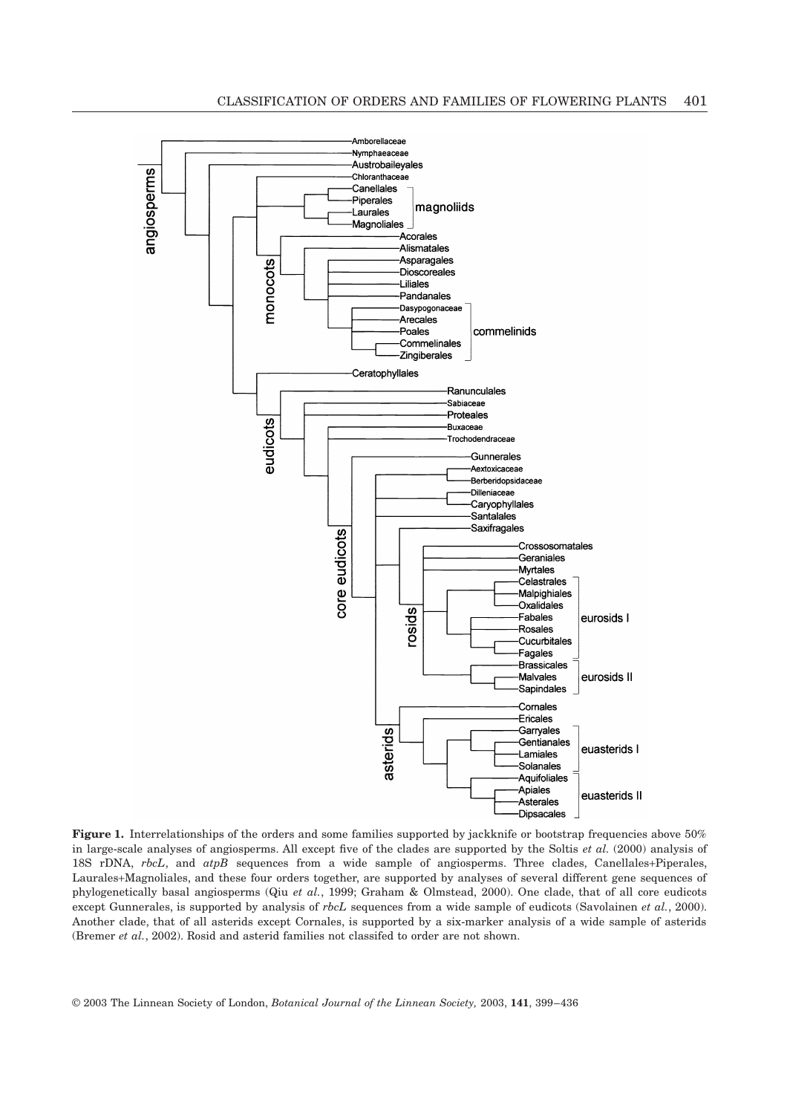

Figure 1. Interrelationships of the orders and some families supported by jackknife or bootstrap frequencies above 50% in large-scale analyses of angiosperms. All except five of the clades are supported by the Soltis *et al.* (2000) analysis of 18S rDNA, *rbcL*, and *atpB* sequences from a wide sample of angiosperms. Three clades, Canellales+Piperales, Laurales+Magnoliales, and these four orders together, are supported by analyses of several different gene sequences of phylogenetically basal angiosperms (Qiu *et al.*, 1999; Graham & Olmstead, 2000). One clade, that of all core eudicots except Gunnerales, is supported by analysis of *rbcL* sequences from a wide sample of eudicots (Savolainen *et al.*, 2000). Another clade, that of all asterids except Cornales, is supported by a six-marker analysis of a wide sample of asterids (Bremer *et al.*, 2002). Rosid and asterid families not classifed to order are not shown.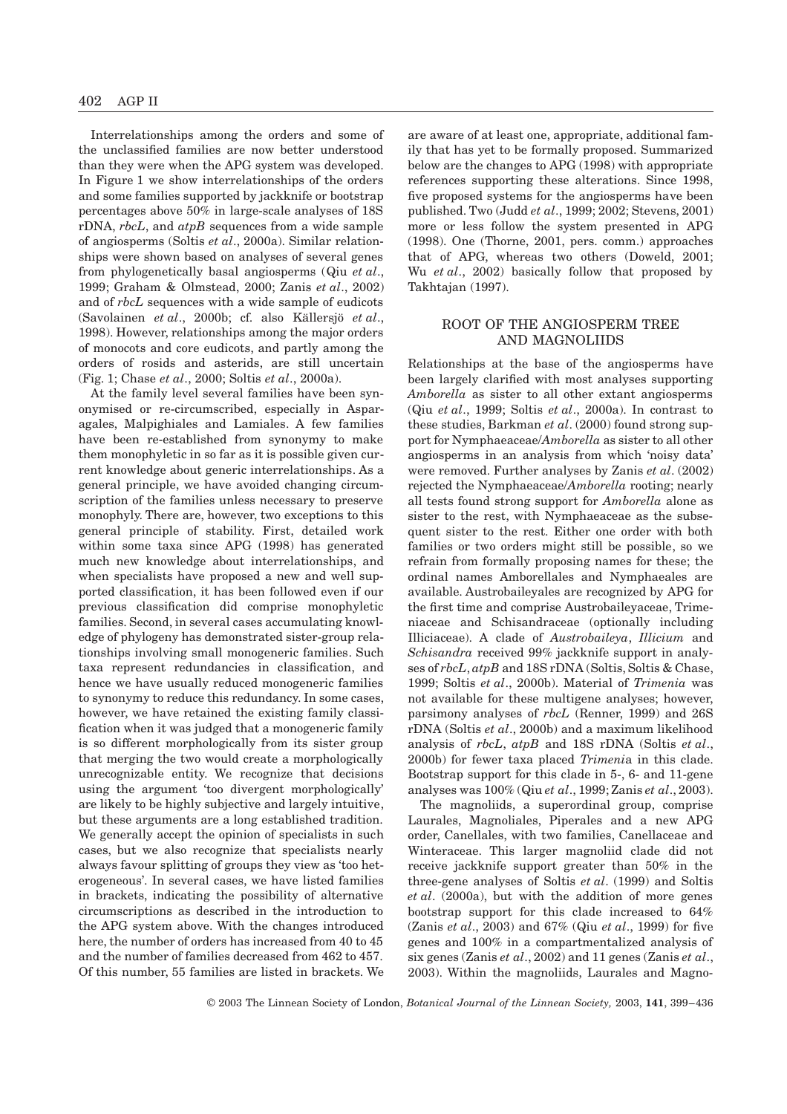Interrelationships among the orders and some of the unclassified families are now better understood than they were when the APG system was developed. In Figure 1 we show interrelationships of the orders and some families supported by jackknife or bootstrap percentages above 50% in large-scale analyses of 18S rDNA, *rbcL*, and *atpB* sequences from a wide sample of angiosperms (Soltis *et al*., 2000a). Similar relationships were shown based on analyses of several genes from phylogenetically basal angiosperms (Qiu *et al*., 1999; Graham & Olmstead, 2000; Zanis *et al*., 2002) and of *rbcL* sequences with a wide sample of eudicots (Savolainen *et al*., 2000b; cf. also Källersjö *et al*., 1998). However, relationships among the major orders of monocots and core eudicots, and partly among the orders of rosids and asterids, are still uncertain (Fig. 1; Chase *et al*., 2000; Soltis *et al*., 2000a).

At the family level several families have been synonymised or re-circumscribed, especially in Asparagales, Malpighiales and Lamiales. A few families have been re-established from synonymy to make them monophyletic in so far as it is possible given current knowledge about generic interrelationships. As a general principle, we have avoided changing circumscription of the families unless necessary to preserve monophyly. There are, however, two exceptions to this general principle of stability. First, detailed work within some taxa since APG (1998) has generated much new knowledge about interrelationships, and when specialists have proposed a new and well supported classification, it has been followed even if our previous classification did comprise monophyletic families. Second, in several cases accumulating knowledge of phylogeny has demonstrated sister-group relationships involving small monogeneric families. Such taxa represent redundancies in classification, and hence we have usually reduced monogeneric families to synonymy to reduce this redundancy. In some cases, however, we have retained the existing family classification when it was judged that a monogeneric family is so different morphologically from its sister group that merging the two would create a morphologically unrecognizable entity. We recognize that decisions using the argument 'too divergent morphologically' are likely to be highly subjective and largely intuitive, but these arguments are a long established tradition. We generally accept the opinion of specialists in such cases, but we also recognize that specialists nearly always favour splitting of groups they view as 'too heterogeneous'. In several cases, we have listed families in brackets, indicating the possibility of alternative circumscriptions as described in the introduction to the APG system above. With the changes introduced here, the number of orders has increased from 40 to 45 and the number of families decreased from 462 to 457. Of this number, 55 families are listed in brackets. We

are aware of at least one, appropriate, additional family that has yet to be formally proposed. Summarized below are the changes to APG (1998) with appropriate references supporting these alterations. Since 1998, five proposed systems for the angiosperms have been published. Two (Judd *et al*., 1999; 2002; Stevens, 2001) more or less follow the system presented in APG (1998). One (Thorne, 2001, pers. comm.) approaches that of APG, whereas two others (Doweld, 2001; Wu *et al*., 2002) basically follow that proposed by Takhtajan (1997).

# ROOT OF THE ANGIOSPERM TREE AND MAGNOLIIDS

Relationships at the base of the angiosperms have been largely clarified with most analyses supporting *Amborella* as sister to all other extant angiosperms (Qiu *et al*., 1999; Soltis *et al*., 2000a). In contrast to these studies, Barkman *et al*. (2000) found strong support for Nymphaeaceae/*Amborella* as sister to all other angiosperms in an analysis from which 'noisy data' were removed. Further analyses by Zanis *et al*. (2002) rejected the Nymphaeaceae/*Amborella* rooting; nearly all tests found strong support for *Amborella* alone as sister to the rest, with Nymphaeaceae as the subsequent sister to the rest. Either one order with both families or two orders might still be possible, so we refrain from formally proposing names for these; the ordinal names Amborellales and Nymphaeales are available. Austrobaileyales are recognized by APG for the first time and comprise Austrobaileyaceae, Trimeniaceae and Schisandraceae (optionally including Illiciaceae). A clade of *Austrobaileya*, *Illicium* and *Schisandra* received 99% jackknife support in analyses of *rbcL*, *atpB* and 18S rDNA (Soltis, Soltis & Chase, 1999; Soltis *et al*., 2000b). Material of *Trimenia* was not available for these multigene analyses; however, parsimony analyses of *rbcL* (Renner, 1999) and 26S rDNA (Soltis *et al*., 2000b) and a maximum likelihood analysis of *rbcL*, *atpB* and 18S rDNA (Soltis *et al*., 2000b) for fewer taxa placed *Trimeni*a in this clade. Bootstrap support for this clade in 5-, 6- and 11-gene analyses was 100% (Qiu *et al*., 1999; Zanis *et al*., 2003).

The magnoliids, a superordinal group, comprise Laurales, Magnoliales, Piperales and a new APG order, Canellales, with two families, Canellaceae and Winteraceae. This larger magnoliid clade did not receive jackknife support greater than 50% in the three-gene analyses of Soltis *et al*. (1999) and Soltis *et al*. (2000a), but with the addition of more genes bootstrap support for this clade increased to 64% (Zanis *et al*., 2003) and 67% (Qiu *et al*., 1999) for five genes and 100% in a compartmentalized analysis of six genes (Zanis *et al*., 2002) and 11 genes (Zanis *et al*., 2003). Within the magnoliids, Laurales and Magno-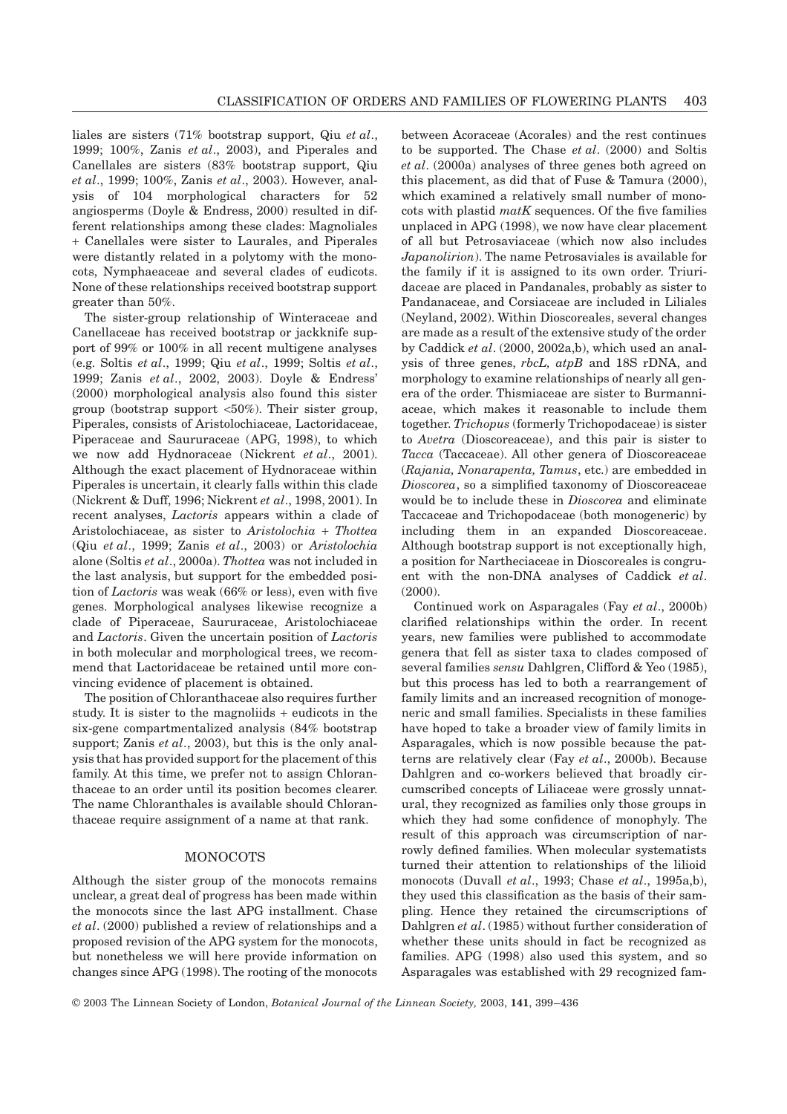liales are sisters (71% bootstrap support, Qiu *et al*., 1999; 100%, Zanis *et al*., 2003), and Piperales and Canellales are sisters (83% bootstrap support, Qiu *et al*., 1999; 100%, Zanis *et al*., 2003). However, analysis of 104 morphological characters for 52 angiosperms (Doyle & Endress, 2000) resulted in different relationships among these clades: Magnoliales + Canellales were sister to Laurales, and Piperales were distantly related in a polytomy with the monocots, Nymphaeaceae and several clades of eudicots. None of these relationships received bootstrap support greater than 50%.

The sister-group relationship of Winteraceae and Canellaceae has received bootstrap or jackknife support of 99% or 100% in all recent multigene analyses (e.g. Soltis *et al*., 1999; Qiu *et al*., 1999; Soltis *et al*., 1999; Zanis *et al*., 2002, 2003). Doyle & Endress' (2000) morphological analysis also found this sister group (bootstrap support <50%). Their sister group, Piperales, consists of Aristolochiaceae, Lactoridaceae, Piperaceae and Saururaceae (APG, 1998), to which we now add Hydnoraceae (Nickrent *et al*., 2001). Although the exact placement of Hydnoraceae within Piperales is uncertain, it clearly falls within this clade (Nickrent & Duff, 1996; Nickrent *et al*., 1998, 2001). In recent analyses, *Lactoris* appears within a clade of Aristolochiaceae, as sister to *Aristolochia* + *Thottea* (Qiu *et al*., 1999; Zanis *et al*., 2003) or *Aristolochia* alone (Soltis *et al*., 2000a). *Thottea* was not included in the last analysis, but support for the embedded position of *Lactoris* was weak (66% or less), even with five genes. Morphological analyses likewise recognize a clade of Piperaceae, Saururaceae, Aristolochiaceae and *Lactoris*. Given the uncertain position of *Lactoris* in both molecular and morphological trees, we recommend that Lactoridaceae be retained until more convincing evidence of placement is obtained.

The position of Chloranthaceae also requires further study. It is sister to the magnoliids + eudicots in the six-gene compartmentalized analysis (84% bootstrap support; Zanis *et al*., 2003), but this is the only analysis that has provided support for the placement of this family. At this time, we prefer not to assign Chloranthaceae to an order until its position becomes clearer. The name Chloranthales is available should Chloranthaceae require assignment of a name at that rank.

# MONOCOTS

Although the sister group of the monocots remains unclear, a great deal of progress has been made within the monocots since the last APG installment. Chase *et al*. (2000) published a review of relationships and a proposed revision of the APG system for the monocots, but nonetheless we will here provide information on changes since APG (1998). The rooting of the monocots between Acoraceae (Acorales) and the rest continues to be supported. The Chase *et al*. (2000) and Soltis *et al*. (2000a) analyses of three genes both agreed on this placement, as did that of Fuse & Tamura (2000), which examined a relatively small number of monocots with plastid *matK* sequences. Of the five families unplaced in APG (1998), we now have clear placement of all but Petrosaviaceae (which now also includes *Japanolirion*). The name Petrosaviales is available for the family if it is assigned to its own order. Triuridaceae are placed in Pandanales, probably as sister to Pandanaceae, and Corsiaceae are included in Liliales (Neyland, 2002). Within Dioscoreales, several changes are made as a result of the extensive study of the order by Caddick *et al*. (2000, 2002a,b), which used an analysis of three genes, *rbcL, atpB* and 18S rDNA, and morphology to examine relationships of nearly all genera of the order. Thismiaceae are sister to Burmanniaceae, which makes it reasonable to include them together. *Trichopus* (formerly Trichopodaceae) is sister to *Avetra* (Dioscoreaceae), and this pair is sister to *Tacca* (Taccaceae). All other genera of Dioscoreaceae (*Rajania, Nonarapenta, Tamus*, etc.) are embedded in *Dioscorea*, so a simplified taxonomy of Dioscoreaceae would be to include these in *Dioscorea* and eliminate Taccaceae and Trichopodaceae (both monogeneric) by including them in an expanded Dioscoreaceae. Although bootstrap support is not exceptionally high, a position for Nartheciaceae in Dioscoreales is congruent with the non-DNA analyses of Caddick *et al*. (2000).

Continued work on Asparagales (Fay *et al*., 2000b) clarified relationships within the order. In recent years, new families were published to accommodate genera that fell as sister taxa to clades composed of several families *sensu* Dahlgren, Clifford & Yeo (1985), but this process has led to both a rearrangement of family limits and an increased recognition of monogeneric and small families. Specialists in these families have hoped to take a broader view of family limits in Asparagales, which is now possible because the patterns are relatively clear (Fay *et al*., 2000b). Because Dahlgren and co-workers believed that broadly circumscribed concepts of Liliaceae were grossly unnatural, they recognized as families only those groups in which they had some confidence of monophyly. The result of this approach was circumscription of narrowly defined families. When molecular systematists turned their attention to relationships of the lilioid monocots (Duvall *et al*., 1993; Chase *et al*., 1995a,b), they used this classification as the basis of their sampling. Hence they retained the circumscriptions of Dahlgren *et al*. (1985) without further consideration of whether these units should in fact be recognized as families. APG (1998) also used this system, and so Asparagales was established with 29 recognized fam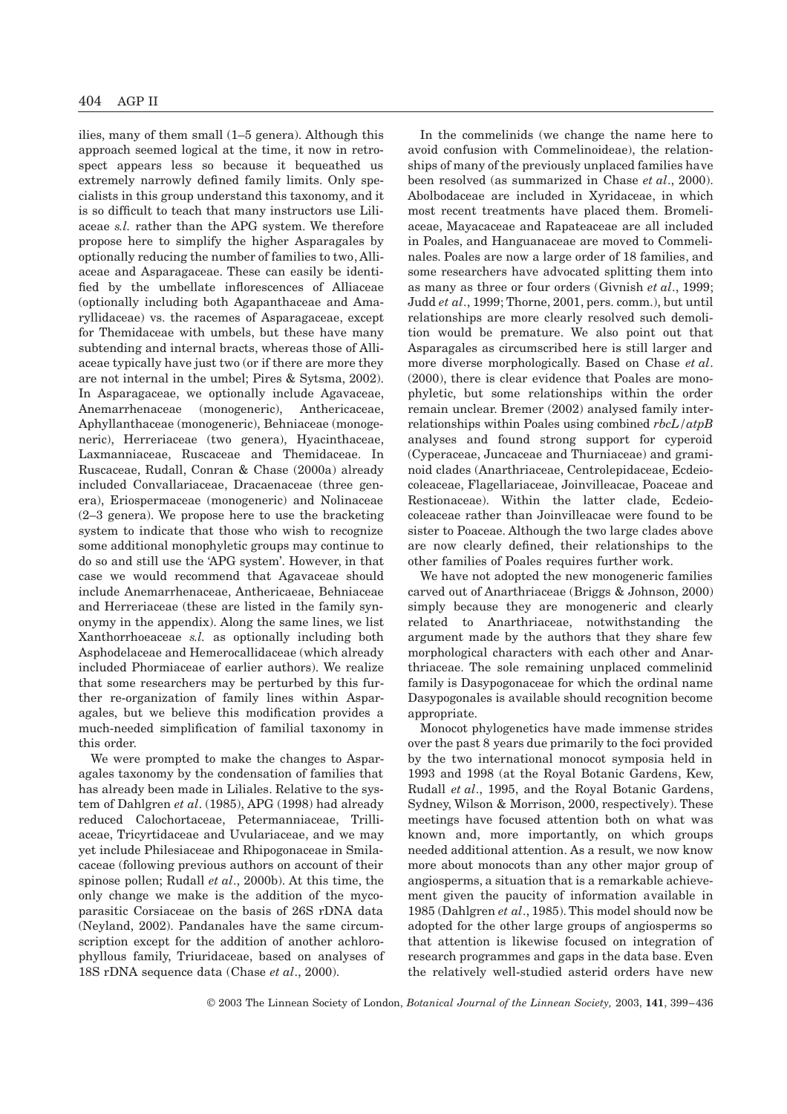ilies, many of them small (1–5 genera). Although this approach seemed logical at the time, it now in retrospect appears less so because it bequeathed us extremely narrowly defined family limits. Only specialists in this group understand this taxonomy, and it is so difficult to teach that many instructors use Liliaceae *s.l.* rather than the APG system. We therefore propose here to simplify the higher Asparagales by optionally reducing the number of families to two, Alliaceae and Asparagaceae. These can easily be identified by the umbellate inflorescences of Alliaceae (optionally including both Agapanthaceae and Amaryllidaceae) vs. the racemes of Asparagaceae, except for Themidaceae with umbels, but these have many subtending and internal bracts, whereas those of Alliaceae typically have just two (or if there are more they are not internal in the umbel; Pires & Sytsma, 2002). In Asparagaceae, we optionally include Agavaceae, Anemarrhenaceae (monogeneric), Anthericaceae, Aphyllanthaceae (monogeneric), Behniaceae (monogeneric), Herreriaceae (two genera), Hyacinthaceae, Laxmanniaceae, Ruscaceae and Themidaceae. In Ruscaceae, Rudall, Conran & Chase (2000a) already included Convallariaceae, Dracaenaceae (three genera), Eriospermaceae (monogeneric) and Nolinaceae (2–3 genera). We propose here to use the bracketing system to indicate that those who wish to recognize some additional monophyletic groups may continue to do so and still use the 'APG system'. However, in that case we would recommend that Agavaceae should include Anemarrhenaceae, Anthericaeae, Behniaceae and Herreriaceae (these are listed in the family synonymy in the appendix). Along the same lines, we list Xanthorrhoeaceae *s.l.* as optionally including both Asphodelaceae and Hemerocallidaceae (which already included Phormiaceae of earlier authors). We realize that some researchers may be perturbed by this further re-organization of family lines within Asparagales, but we believe this modification provides a much-needed simplification of familial taxonomy in this order.

We were prompted to make the changes to Asparagales taxonomy by the condensation of families that has already been made in Liliales. Relative to the system of Dahlgren *et al*. (1985), APG (1998) had already reduced Calochortaceae, Petermanniaceae, Trilliaceae, Tricyrtidaceae and Uvulariaceae, and we may yet include Philesiaceae and Rhipogonaceae in Smilacaceae (following previous authors on account of their spinose pollen; Rudall *et al*., 2000b). At this time, the only change we make is the addition of the mycoparasitic Corsiaceae on the basis of 26S rDNA data (Neyland, 2002). Pandanales have the same circumscription except for the addition of another achlorophyllous family, Triuridaceae, based on analyses of 18S rDNA sequence data (Chase *et al*., 2000).

In the commelinids (we change the name here to avoid confusion with Commelinoideae), the relationships of many of the previously unplaced families have been resolved (as summarized in Chase *et al*., 2000). Abolbodaceae are included in Xyridaceae, in which most recent treatments have placed them. Bromeliaceae, Mayacaceae and Rapateaceae are all included in Poales, and Hanguanaceae are moved to Commelinales. Poales are now a large order of 18 families, and some researchers have advocated splitting them into as many as three or four orders (Givnish *et al*., 1999; Judd *et al*., 1999; Thorne, 2001, pers. comm.), but until relationships are more clearly resolved such demolition would be premature. We also point out that Asparagales as circumscribed here is still larger and more diverse morphologically. Based on Chase *et al*. (2000), there is clear evidence that Poales are monophyletic, but some relationships within the order remain unclear. Bremer (2002) analysed family interrelationships within Poales using combined *rbcL/atpB* analyses and found strong support for cyperoid (Cyperaceae, Juncaceae and Thurniaceae) and graminoid clades (Anarthriaceae, Centrolepidaceae, Ecdeiocoleaceae, Flagellariaceae, Joinvilleacae, Poaceae and Restionaceae). Within the latter clade, Ecdeiocoleaceae rather than Joinvilleacae were found to be sister to Poaceae. Although the two large clades above are now clearly defined, their relationships to the other families of Poales requires further work.

We have not adopted the new monogeneric families carved out of Anarthriaceae (Briggs & Johnson, 2000) simply because they are monogeneric and clearly related to Anarthriaceae, notwithstanding the argument made by the authors that they share few morphological characters with each other and Anarthriaceae. The sole remaining unplaced commelinid family is Dasypogonaceae for which the ordinal name Dasypogonales is available should recognition become appropriate.

Monocot phylogenetics have made immense strides over the past 8 years due primarily to the foci provided by the two international monocot symposia held in 1993 and 1998 (at the Royal Botanic Gardens, Kew, Rudall *et al*., 1995, and the Royal Botanic Gardens, Sydney, Wilson & Morrison, 2000, respectively). These meetings have focused attention both on what was known and, more importantly, on which groups needed additional attention. As a result, we now know more about monocots than any other major group of angiosperms, a situation that is a remarkable achievement given the paucity of information available in 1985 (Dahlgren *et al*., 1985). This model should now be adopted for the other large groups of angiosperms so that attention is likewise focused on integration of research programmes and gaps in the data base. Even the relatively well-studied asterid orders have new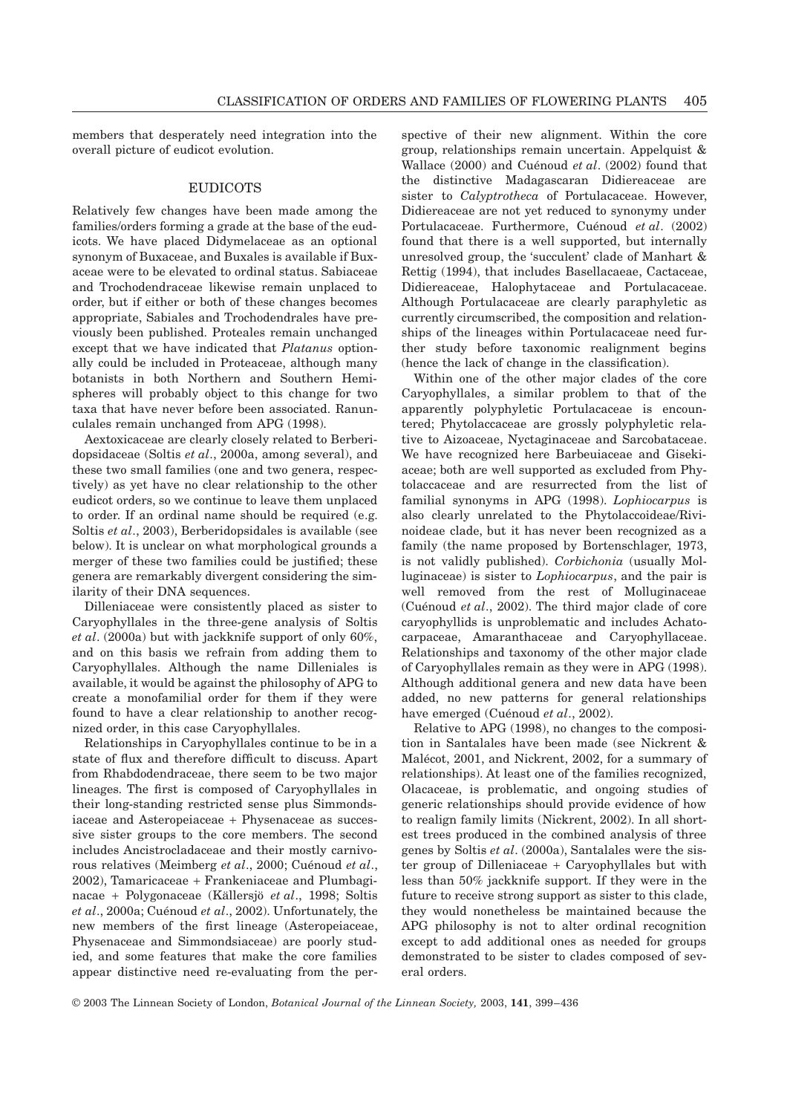members that desperately need integration into the overall picture of eudicot evolution.

#### **EUDICOTS**

Relatively few changes have been made among the families/orders forming a grade at the base of the eudicots. We have placed Didymelaceae as an optional synonym of Buxaceae, and Buxales is available if Buxaceae were to be elevated to ordinal status. Sabiaceae and Trochodendraceae likewise remain unplaced to order, but if either or both of these changes becomes appropriate, Sabiales and Trochodendrales have previously been published. Proteales remain unchanged except that we have indicated that *Platanus* optionally could be included in Proteaceae, although many botanists in both Northern and Southern Hemispheres will probably object to this change for two taxa that have never before been associated. Ranunculales remain unchanged from APG (1998).

Aextoxicaceae are clearly closely related to Berberidopsidaceae (Soltis *et al*., 2000a, among several), and these two small families (one and two genera, respectively) as yet have no clear relationship to the other eudicot orders, so we continue to leave them unplaced to order. If an ordinal name should be required (e.g. Soltis *et al*., 2003), Berberidopsidales is available (see below). It is unclear on what morphological grounds a merger of these two families could be justified; these genera are remarkably divergent considering the similarity of their DNA sequences.

Dilleniaceae were consistently placed as sister to Caryophyllales in the three-gene analysis of Soltis *et al*. (2000a) but with jackknife support of only 60%, and on this basis we refrain from adding them to Caryophyllales. Although the name Dilleniales is available, it would be against the philosophy of APG to create a monofamilial order for them if they were found to have a clear relationship to another recognized order, in this case Caryophyllales.

Relationships in Caryophyllales continue to be in a state of flux and therefore difficult to discuss. Apart from Rhabdodendraceae, there seem to be two major lineages. The first is composed of Caryophyllales in their long-standing restricted sense plus Simmondsiaceae and Asteropeiaceae + Physenaceae as successive sister groups to the core members. The second includes Ancistrocladaceae and their mostly carnivorous relatives (Meimberg *et al*., 2000; Cuénoud *et al*., 2002), Tamaricaceae + Frankeniaceae and Plumbaginacae + Polygonaceae (Källersjö *et al*., 1998; Soltis *et al*., 2000a; Cuénoud *et al*., 2002). Unfortunately, the new members of the first lineage (Asteropeiaceae, Physenaceae and Simmondsiaceae) are poorly studied, and some features that make the core families appear distinctive need re-evaluating from the perspective of their new alignment. Within the core group, relationships remain uncertain. Appelquist & Wallace (2000) and Cuénoud *et al*. (2002) found that the distinctive Madagascaran Didiereaceae are sister to *Calyptrotheca* of Portulacaceae. However, Didiereaceae are not yet reduced to synonymy under Portulacaceae. Furthermore, Cuénoud *et al*. (2002) found that there is a well supported, but internally unresolved group, the 'succulent' clade of Manhart & Rettig (1994), that includes Basellacaeae, Cactaceae, Didiereaceae, Halophytaceae and Portulacaceae. Although Portulacaceae are clearly paraphyletic as currently circumscribed, the composition and relationships of the lineages within Portulacaceae need further study before taxonomic realignment begins (hence the lack of change in the classification).

Within one of the other major clades of the core Caryophyllales, a similar problem to that of the apparently polyphyletic Portulacaceae is encountered; Phytolaccaceae are grossly polyphyletic relative to Aizoaceae, Nyctaginaceae and Sarcobataceae. We have recognized here Barbeuiaceae and Gisekiaceae; both are well supported as excluded from Phytolaccaceae and are resurrected from the list of familial synonyms in APG (1998). *Lophiocarpus* is also clearly unrelated to the Phytolaccoideae/Rivinoideae clade, but it has never been recognized as a family (the name proposed by Bortenschlager, 1973, is not validly published). *Corbichonia* (usually Molluginaceae) is sister to *Lophiocarpus*, and the pair is well removed from the rest of Molluginaceae (Cuénoud *et al*., 2002). The third major clade of core caryophyllids is unproblematic and includes Achatocarpaceae, Amaranthaceae and Caryophyllaceae. Relationships and taxonomy of the other major clade of Caryophyllales remain as they were in APG (1998). Although additional genera and new data have been added, no new patterns for general relationships have emerged (Cuénoud *et al*., 2002).

Relative to APG (1998), no changes to the composition in Santalales have been made (see Nickrent & Malécot, 2001, and Nickrent, 2002, for a summary of relationships). At least one of the families recognized, Olacaceae, is problematic, and ongoing studies of generic relationships should provide evidence of how to realign family limits (Nickrent, 2002). In all shortest trees produced in the combined analysis of three genes by Soltis *et al*. (2000a), Santalales were the sister group of Dilleniaceae + Caryophyllales but with less than 50% jackknife support. If they were in the future to receive strong support as sister to this clade, they would nonetheless be maintained because the APG philosophy is not to alter ordinal recognition except to add additional ones as needed for groups demonstrated to be sister to clades composed of several orders.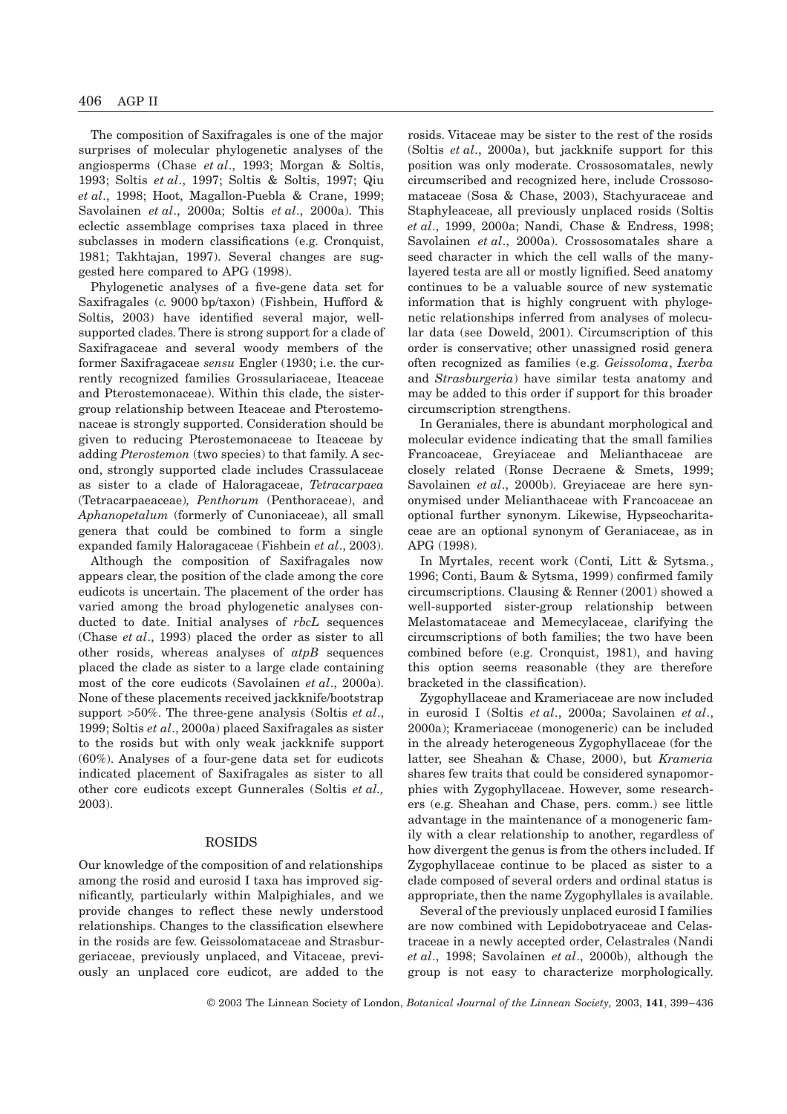The composition of Saxifragales is one of the major surprises of molecular phylogenetic analyses of the angiosperms (Chase *et al*., 1993; Morgan & Soltis, 1993; Soltis *et al*., 1997; Soltis & Soltis, 1997; Qiu *et al*., 1998; Hoot, Magallon-Puebla & Crane, 1999; Savolainen *et al*., 2000a; Soltis *et al*., 2000a). This eclectic assemblage comprises taxa placed in three subclasses in modern classifications (e.g. Cronquist, 1981; Takhtajan, 1997). Several changes are suggested here compared to APG (1998).

Phylogenetic analyses of a five-gene data set for Saxifragales (*c.* 9000 bp/taxon) (Fishbein, Hufford & Soltis, 2003) have identified several major, wellsupported clades. There is strong support for a clade of Saxifragaceae and several woody members of the former Saxifragaceae *sensu* Engler (1930; i.e. the currently recognized families Grossulariaceae, Iteaceae and Pterostemonaceae). Within this clade, the sistergroup relationship between Iteaceae and Pterostemonaceae is strongly supported. Consideration should be given to reducing Pterostemonaceae to Iteaceae by adding *Pterostemon* (two species) to that family. A second, strongly supported clade includes Crassulaceae as sister to a clade of Haloragaceae, *Tetracarpaea* (Tetracarpaeaceae)*, Penthorum* (Penthoraceae), and *Aphanopetalum* (formerly of Cunoniaceae), all small genera that could be combined to form a single expanded family Haloragaceae (Fishbein *et al*., 2003).

Although the composition of Saxifragales now appears clear, the position of the clade among the core eudicots is uncertain. The placement of the order has varied among the broad phylogenetic analyses conducted to date. Initial analyses of *rbcL* sequences (Chase *et al*., 1993) placed the order as sister to all other rosids, whereas analyses of *atpB* sequences placed the clade as sister to a large clade containing most of the core eudicots (Savolainen *et al*., 2000a). None of these placements received jackknife/bootstrap support >50%. The three-gene analysis (Soltis *et al*., 1999; Soltis *et al*., 2000a) placed Saxifragales as sister to the rosids but with only weak jackknife support (60%). Analyses of a four-gene data set for eudicots indicated placement of Saxifragales as sister to all other core eudicots except Gunnerales (Soltis *et al.,* 2003).

#### ROSIDS

Our knowledge of the composition of and relationships among the rosid and eurosid I taxa has improved significantly, particularly within Malpighiales, and we provide changes to reflect these newly understood relationships. Changes to the classification elsewhere in the rosids are few. Geissolomataceae and Strasburgeriaceae, previously unplaced, and Vitaceae, previously an unplaced core eudicot, are added to the

rosids. Vitaceae may be sister to the rest of the rosids (Soltis *et al*., 2000a), but jackknife support for this position was only moderate. Crossosomatales, newly circumscribed and recognized here, include Crossosomataceae (Sosa & Chase, 2003), Stachyuraceae and Staphyleaceae, all previously unplaced rosids (Soltis *et al*., 1999, 2000a; Nandi*,* Chase & Endress, 1998; Savolainen *et al*., 2000a). Crossosomatales share a seed character in which the cell walls of the manylayered testa are all or mostly lignified. Seed anatomy continues to be a valuable source of new systematic information that is highly congruent with phylogenetic relationships inferred from analyses of molecular data (see Doweld, 2001). Circumscription of this order is conservative; other unassigned rosid genera often recognized as families (e.g. *Geissoloma*, *Ixerba* and *Strasburgeria*) have similar testa anatomy and may be added to this order if support for this broader circumscription strengthens.

In Geraniales, there is abundant morphological and molecular evidence indicating that the small families Francoaceae, Greyiaceae and Melianthaceae are closely related (Ronse Decraene & Smets, 1999; Savolainen *et al*., 2000b). Greyiaceae are here synonymised under Melianthaceae with Francoaceae an optional further synonym. Likewise, Hypseocharitaceae are an optional synonym of Geraniaceae, as in APG (1998).

In Myrtales, recent work (Conti*,* Litt & Sytsma*.*, 1996; Conti, Baum & Sytsma, 1999) confirmed family circumscriptions. Clausing & Renner (2001) showed a well-supported sister-group relationship between Melastomataceae and Memecylaceae, clarifying the circumscriptions of both families; the two have been combined before (e.g. Cronquist, 1981), and having this option seems reasonable (they are therefore bracketed in the classification).

Zygophyllaceae and Krameriaceae are now included in eurosid I (Soltis *et al*., 2000a; Savolainen *et al*., 2000a); Krameriaceae (monogeneric) can be included in the already heterogeneous Zygophyllaceae (for the latter, see Sheahan & Chase, 2000), but *Krameria* shares few traits that could be considered synapomorphies with Zygophyllaceae. However, some researchers (e.g. Sheahan and Chase, pers. comm.) see little advantage in the maintenance of a monogeneric family with a clear relationship to another, regardless of how divergent the genus is from the others included. If Zygophyllaceae continue to be placed as sister to a clade composed of several orders and ordinal status is appropriate, then the name Zygophyllales is available.

Several of the previously unplaced eurosid I families are now combined with Lepidobotryaceae and Celastraceae in a newly accepted order, Celastrales (Nandi *et al*., 1998; Savolainen *et al*., 2000b), although the group is not easy to characterize morphologically.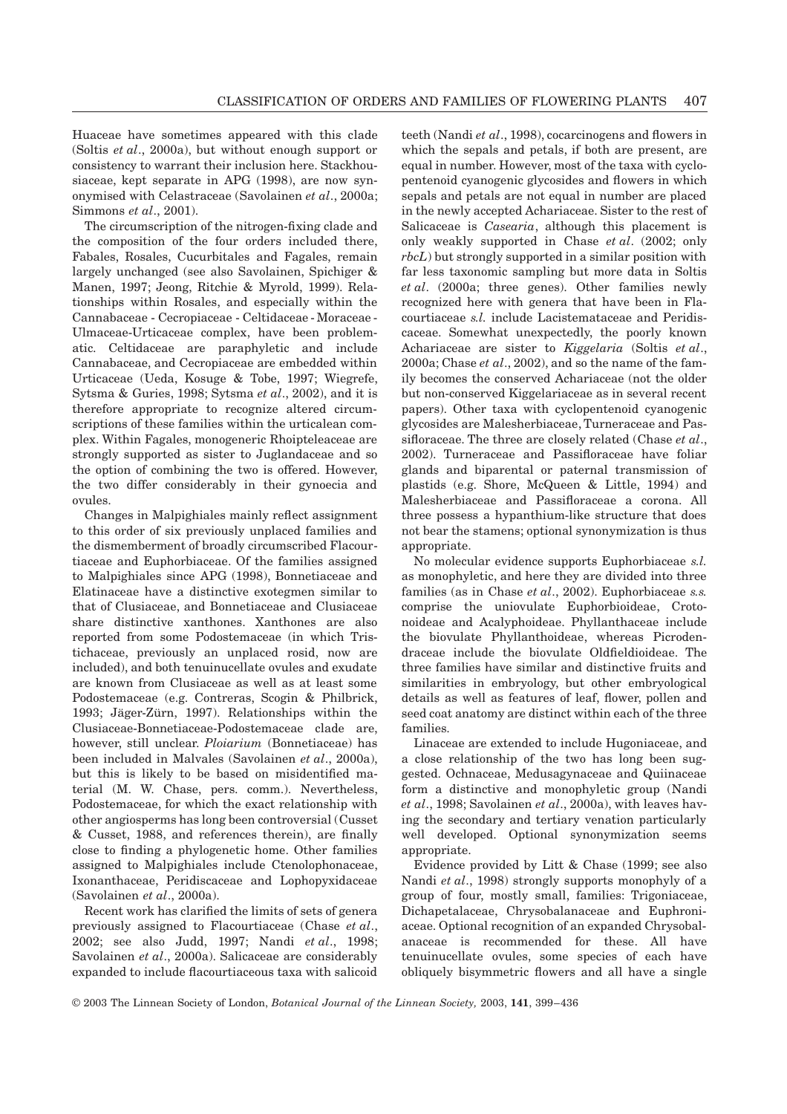Huaceae have sometimes appeared with this clade (Soltis *et al*., 2000a), but without enough support or consistency to warrant their inclusion here. Stackhousiaceae, kept separate in APG (1998), are now synonymised with Celastraceae (Savolainen *et al*., 2000a; Simmons *et al*., 2001).

The circumscription of the nitrogen-fixing clade and the composition of the four orders included there, Fabales, Rosales, Cucurbitales and Fagales, remain largely unchanged (see also Savolainen, Spichiger & Manen, 1997; Jeong, Ritchie & Myrold, 1999). Relationships within Rosales, and especially within the Cannabaceae - Cecropiaceae - Celtidaceae - Moraceae - Ulmaceae-Urticaceae complex, have been problematic. Celtidaceae are paraphyletic and include Cannabaceae, and Cecropiaceae are embedded within Urticaceae (Ueda, Kosuge & Tobe, 1997; Wiegrefe, Sytsma & Guries, 1998; Sytsma *et al*., 2002), and it is therefore appropriate to recognize altered circumscriptions of these families within the urticalean complex. Within Fagales, monogeneric Rhoipteleaceae are strongly supported as sister to Juglandaceae and so the option of combining the two is offered. However, the two differ considerably in their gynoecia and ovules.

Changes in Malpighiales mainly reflect assignment to this order of six previously unplaced families and the dismemberment of broadly circumscribed Flacourtiaceae and Euphorbiaceae. Of the families assigned to Malpighiales since APG (1998), Bonnetiaceae and Elatinaceae have a distinctive exotegmen similar to that of Clusiaceae, and Bonnetiaceae and Clusiaceae share distinctive xanthones. Xanthones are also reported from some Podostemaceae (in which Tristichaceae, previously an unplaced rosid, now are included), and both tenuinucellate ovules and exudate are known from Clusiaceae as well as at least some Podostemaceae (e.g. Contreras, Scogin & Philbrick, 1993; Jäger-Zürn, 1997). Relationships within the Clusiaceae-Bonnetiaceae-Podostemaceae clade are, however, still unclear. *Ploiarium* (Bonnetiaceae) has been included in Malvales (Savolainen *et al*., 2000a), but this is likely to be based on misidentified material (M. W. Chase, pers. comm.). Nevertheless, Podostemaceae, for which the exact relationship with other angiosperms has long been controversial (Cusset & Cusset, 1988, and references therein), are finally close to finding a phylogenetic home. Other families assigned to Malpighiales include Ctenolophonaceae, Ixonanthaceae, Peridiscaceae and Lophopyxidaceae (Savolainen *et al*., 2000a).

Recent work has clarified the limits of sets of genera previously assigned to Flacourtiaceae (Chase *et al*., 2002; see also Judd, 1997; Nandi *et al*., 1998; Savolainen *et al*., 2000a). Salicaceae are considerably expanded to include flacourtiaceous taxa with salicoid

teeth (Nandi *et al*., 1998), cocarcinogens and flowers in which the sepals and petals, if both are present, are equal in number. However, most of the taxa with cyclopentenoid cyanogenic glycosides and flowers in which sepals and petals are not equal in number are placed in the newly accepted Achariaceae. Sister to the rest of Salicaceae is *Casearia*, although this placement is only weakly supported in Chase *et al*. (2002; only *rbcL*) but strongly supported in a similar position with far less taxonomic sampling but more data in Soltis *et al*. (2000a; three genes). Other families newly recognized here with genera that have been in Flacourtiaceae *s.l.* include Lacistemataceae and Peridiscaceae. Somewhat unexpectedly, the poorly known Achariaceae are sister to *Kiggelaria* (Soltis *et al*., 2000a; Chase *et al*., 2002), and so the name of the family becomes the conserved Achariaceae (not the older but non-conserved Kiggelariaceae as in several recent papers). Other taxa with cyclopentenoid cyanogenic glycosides are Malesherbiaceae, Turneraceae and Passifloraceae. The three are closely related (Chase *et al*., 2002). Turneraceae and Passifloraceae have foliar glands and biparental or paternal transmission of plastids (e.g. Shore, McQueen & Little, 1994) and Malesherbiaceae and Passifloraceae a corona. All three possess a hypanthium-like structure that does not bear the stamens; optional synonymization is thus appropriate.

No molecular evidence supports Euphorbiaceae *s.l.* as monophyletic, and here they are divided into three families (as in Chase *et al*., 2002). Euphorbiaceae *s.s.* comprise the uniovulate Euphorbioideae, Crotonoideae and Acalyphoideae. Phyllanthaceae include the biovulate Phyllanthoideae, whereas Picrodendraceae include the biovulate Oldfieldioideae. The three families have similar and distinctive fruits and similarities in embryology, but other embryological details as well as features of leaf, flower, pollen and seed coat anatomy are distinct within each of the three families.

Linaceae are extended to include Hugoniaceae, and a close relationship of the two has long been suggested. Ochnaceae, Medusagynaceae and Quiinaceae form a distinctive and monophyletic group (Nandi *et al*., 1998; Savolainen *et al*., 2000a), with leaves having the secondary and tertiary venation particularly well developed. Optional synonymization seems appropriate.

Evidence provided by Litt & Chase (1999; see also Nandi *et al*., 1998) strongly supports monophyly of a group of four, mostly small, families: Trigoniaceae, Dichapetalaceae, Chrysobalanaceae and Euphroniaceae. Optional recognition of an expanded Chrysobalanaceae is recommended for these. All have tenuinucellate ovules, some species of each have obliquely bisymmetric flowers and all have a single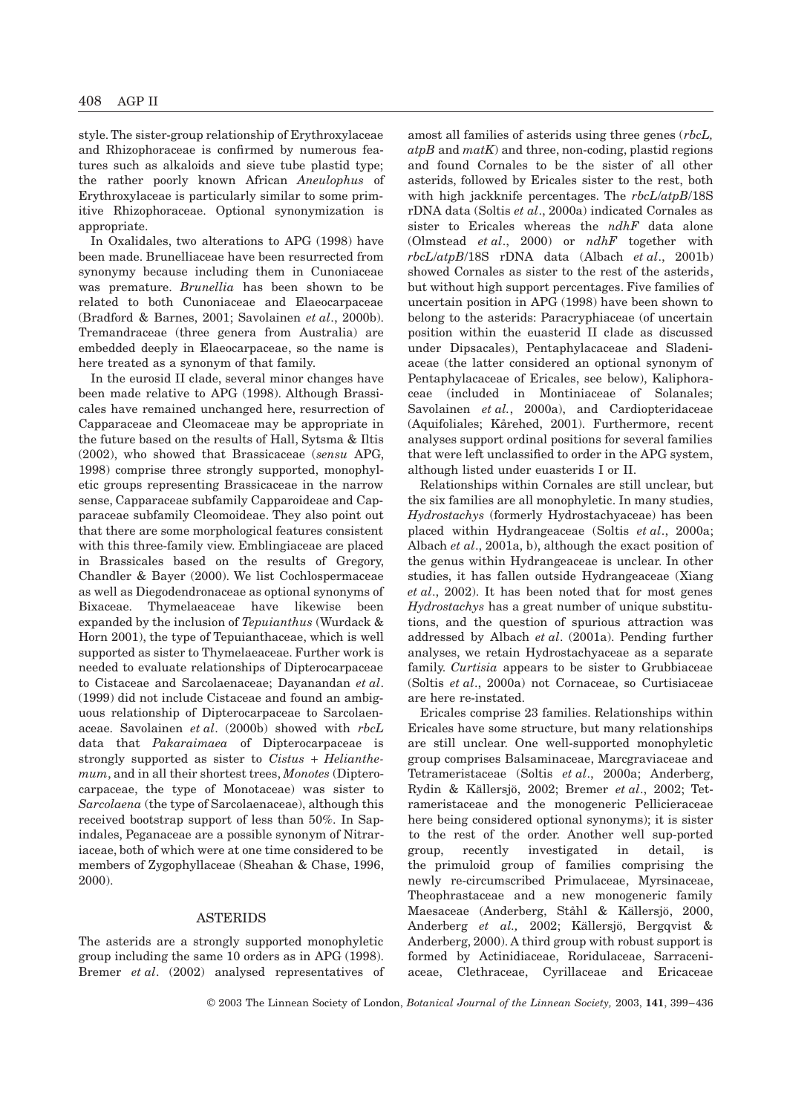style. The sister-group relationship of Erythroxylaceae and Rhizophoraceae is confirmed by numerous features such as alkaloids and sieve tube plastid type; the rather poorly known African *Aneulophus* of Erythroxylaceae is particularly similar to some primitive Rhizophoraceae. Optional synonymization is appropriate.

In Oxalidales, two alterations to APG (1998) have been made. Brunelliaceae have been resurrected from synonymy because including them in Cunoniaceae was premature. *Brunellia* has been shown to be related to both Cunoniaceae and Elaeocarpaceae (Bradford & Barnes, 2001; Savolainen *et al*., 2000b). Tremandraceae (three genera from Australia) are embedded deeply in Elaeocarpaceae, so the name is here treated as a synonym of that family.

In the eurosid II clade, several minor changes have been made relative to APG (1998). Although Brassicales have remained unchanged here, resurrection of Capparaceae and Cleomaceae may be appropriate in the future based on the results of Hall, Sytsma & Iltis (2002), who showed that Brassicaceae (*sensu* APG, 1998) comprise three strongly supported, monophyletic groups representing Brassicaceae in the narrow sense, Capparaceae subfamily Capparoideae and Capparaceae subfamily Cleomoideae. They also point out that there are some morphological features consistent with this three-family view. Emblingiaceae are placed in Brassicales based on the results of Gregory, Chandler & Bayer (2000). We list Cochlospermaceae as well as Diegodendronaceae as optional synonyms of Bixaceae. Thymelaeaceae have likewise been expanded by the inclusion of *Tepuianthus* (Wurdack & Horn 2001), the type of Tepuianthaceae, which is well supported as sister to Thymelaeaceae. Further work is needed to evaluate relationships of Dipterocarpaceae to Cistaceae and Sarcolaenaceae; Dayanandan *et al*. (1999) did not include Cistaceae and found an ambiguous relationship of Dipterocarpaceae to Sarcolaenaceae. Savolainen *et al*. (2000b) showed with *rbcL* data that *Pakaraimaea* of Dipterocarpaceae is strongly supported as sister to *Cistus* + *Helianthemum*, and in all their shortest trees, *Monotes* (Dipterocarpaceae, the type of Monotaceae) was sister to *Sarcolaena* (the type of Sarcolaenaceae), although this received bootstrap support of less than 50%. In Sapindales, Peganaceae are a possible synonym of Nitrariaceae, both of which were at one time considered to be members of Zygophyllaceae (Sheahan & Chase, 1996, 2000).

## ASTERIDS

The asterids are a strongly supported monophyletic group including the same 10 orders as in APG (1998). Bremer *et al*. (2002) analysed representatives of

amost all families of asterids using three genes (*rbcL, atpB* and *matK*) and three, non-coding, plastid regions and found Cornales to be the sister of all other asterids, followed by Ericales sister to the rest, both with high jackknife percentages. The *rbcL*/*atpB*/18S rDNA data (Soltis *et al*., 2000a) indicated Cornales as sister to Ericales whereas the *ndhF* data alone (Olmstead *et al*., 2000) or *ndhF* together with *rbcL*/*atpB*/18S rDNA data (Albach *et al*., 2001b) showed Cornales as sister to the rest of the asterids, but without high support percentages. Five families of uncertain position in APG (1998) have been shown to belong to the asterids: Paracryphiaceae (of uncertain position within the euasterid II clade as discussed under Dipsacales), Pentaphylacaceae and Sladeniaceae (the latter considered an optional synonym of Pentaphylacaceae of Ericales, see below), Kaliphoraceae (included in Montiniaceae of Solanales; Savolainen *et al.*, 2000a), and Cardiopteridaceae (Aquifoliales; Kårehed, 2001). Furthermore, recent analyses support ordinal positions for several families that were left unclassified to order in the APG system, although listed under euasterids I or II.

Relationships within Cornales are still unclear, but the six families are all monophyletic. In many studies, *Hydrostachys* (formerly Hydrostachyaceae) has been placed within Hydrangeaceae (Soltis *et al*., 2000a; Albach *et al*., 2001a, b), although the exact position of the genus within Hydrangeaceae is unclear. In other studies, it has fallen outside Hydrangeaceae (Xiang *et al*., 2002). It has been noted that for most genes *Hydrostachys* has a great number of unique substitutions, and the question of spurious attraction was addressed by Albach *et al*. (2001a). Pending further analyses, we retain Hydrostachyaceae as a separate family. *Curtisia* appears to be sister to Grubbiaceae (Soltis *et al*., 2000a) not Cornaceae, so Curtisiaceae are here re-instated.

Ericales comprise 23 families. Relationships within Ericales have some structure, but many relationships are still unclear. One well-supported monophyletic group comprises Balsaminaceae, Marcgraviaceae and Tetrameristaceae (Soltis *et al*., 2000a; Anderberg, Rydin & Källersjö, 2002; Bremer *et al*., 2002; Tetrameristaceae and the monogeneric Pellicieraceae here being considered optional synonyms); it is sister to the rest of the order. Another well sup-ported group, recently investigated in detail, is the primuloid group of families comprising the newly re-circumscribed Primulaceae, Myrsinaceae, Theophrastaceae and a new monogeneric family Maesaceae (Anderberg, Ståhl & Källersjö, 2000, Anderberg *et al.,* 2002; Källersjö, Bergqvist & Anderberg, 2000). A third group with robust support is formed by Actinidiaceae, Roridulaceae, Sarraceniaceae, Clethraceae, Cyrillaceae and Ericaceae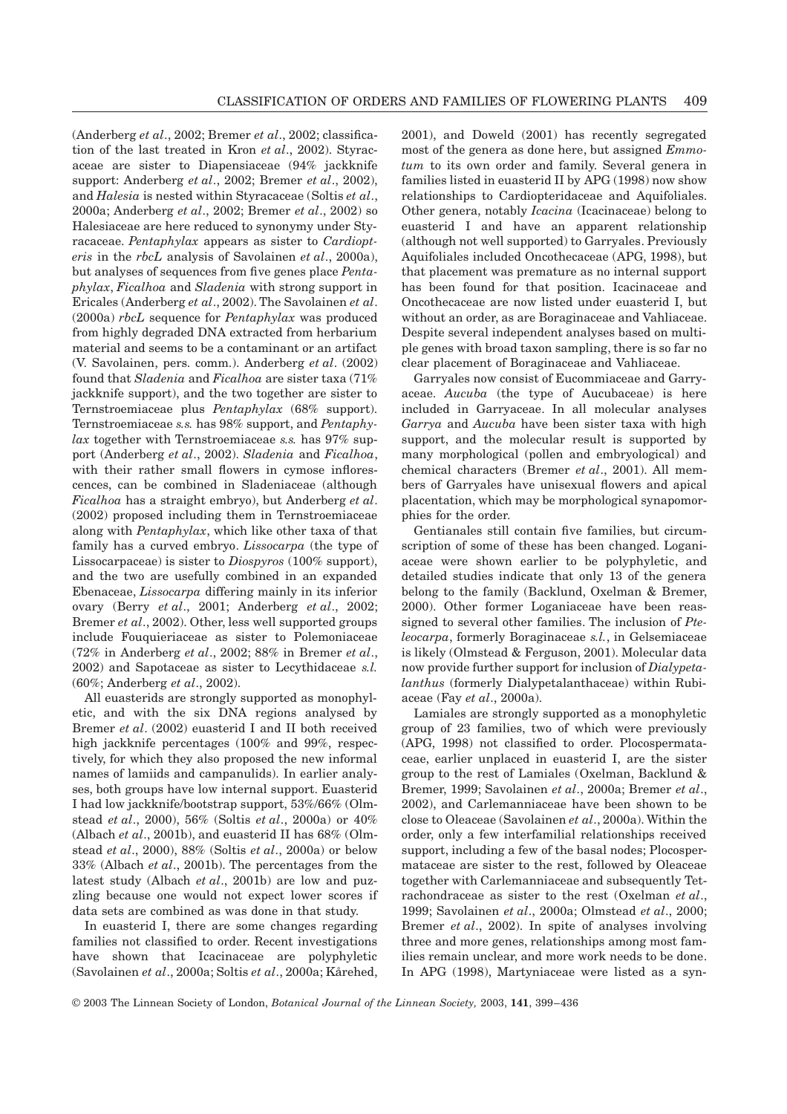(Anderberg *et al*., 2002; Bremer *et al*., 2002; classification of the last treated in Kron *et al*., 2002). Styracaceae are sister to Diapensiaceae (94% jackknife support: Anderberg *et al*., 2002; Bremer *et al*., 2002), and *Halesia* is nested within Styracaceae (Soltis *et al*., 2000a; Anderberg *et al*., 2002; Bremer *et al*., 2002) so Halesiaceae are here reduced to synonymy under Styracaceae. *Pentaphylax* appears as sister to *Cardiopteris* in the *rbcL* analysis of Savolainen *et al*., 2000a), but analyses of sequences from five genes place *Pentaphylax*, *Ficalhoa* and *Sladenia* with strong support in Ericales (Anderberg *et al*., 2002). The Savolainen *et al*. (2000a) *rbcL* sequence for *Pentaphylax* was produced from highly degraded DNA extracted from herbarium material and seems to be a contaminant or an artifact (V. Savolainen, pers. comm.). Anderberg *et al*. (2002) found that *Sladenia* and *Ficalhoa* are sister taxa (71% jackknife support), and the two together are sister to Ternstroemiaceae plus *Pentaphylax* (68% support). Ternstroemiaceae *s.s.* has 98% support, and *Pentaphylax* together with Ternstroemiaceae *s.s.* has 97% support (Anderberg *et al*., 2002). *Sladenia* and *Ficalhoa*, with their rather small flowers in cymose inflorescences, can be combined in Sladeniaceae (although *Ficalhoa* has a straight embryo), but Anderberg *et al*. (2002) proposed including them in Ternstroemiaceae along with *Pentaphylax*, which like other taxa of that family has a curved embryo. *Lissocarpa* (the type of Lissocarpaceae) is sister to *Diospyros* (100% support), and the two are usefully combined in an expanded Ebenaceae, *Lissocarpa* differing mainly in its inferior ovary (Berry *et al*., 2001; Anderberg *et al*., 2002; Bremer *et al*., 2002). Other, less well supported groups include Fouquieriaceae as sister to Polemoniaceae (72% in Anderberg *et al*., 2002; 88% in Bremer *et al*., 2002) and Sapotaceae as sister to Lecythidaceae *s.l.* (60%; Anderberg *et al*., 2002).

All euasterids are strongly supported as monophyletic, and with the six DNA regions analysed by Bremer *et al*. (2002) euasterid I and II both received high jackknife percentages (100% and 99%, respectively, for which they also proposed the new informal names of lamiids and campanulids). In earlier analyses, both groups have low internal support. Euasterid I had low jackknife/bootstrap support, 53%/66% (Olmstead *et al*., 2000), 56% (Soltis *et al*., 2000a) or 40% (Albach *et al*., 2001b), and euasterid II has 68% (Olmstead *et al*., 2000), 88% (Soltis *et al*., 2000a) or below 33% (Albach *et al*., 2001b). The percentages from the latest study (Albach *et al*., 2001b) are low and puzzling because one would not expect lower scores if data sets are combined as was done in that study.

In euasterid I, there are some changes regarding families not classified to order. Recent investigations have shown that Icacinaceae are polyphyletic (Savolainen *et al*., 2000a; Soltis *et al*., 2000a; Kårehed,

2001), and Doweld (2001) has recently segregated most of the genera as done here, but assigned *Emmotum* to its own order and family. Several genera in families listed in euasterid II by APG (1998) now show relationships to Cardiopteridaceae and Aquifoliales. Other genera, notably *Icacina* (Icacinaceae) belong to euasterid I and have an apparent relationship (although not well supported) to Garryales. Previously Aquifoliales included Oncothecaceae (APG, 1998), but that placement was premature as no internal support has been found for that position. Icacinaceae and Oncothecaceae are now listed under euasterid I, but without an order, as are Boraginaceae and Vahliaceae. Despite several independent analyses based on multiple genes with broad taxon sampling, there is so far no clear placement of Boraginaceae and Vahliaceae.

Garryales now consist of Eucommiaceae and Garryaceae. *Aucuba* (the type of Aucubaceae) is here included in Garryaceae. In all molecular analyses *Garrya* and *Aucuba* have been sister taxa with high support, and the molecular result is supported by many morphological (pollen and embryological) and chemical characters (Bremer *et al*., 2001). All members of Garryales have unisexual flowers and apical placentation, which may be morphological synapomorphies for the order.

Gentianales still contain five families, but circumscription of some of these has been changed. Loganiaceae were shown earlier to be polyphyletic, and detailed studies indicate that only 13 of the genera belong to the family (Backlund, Oxelman & Bremer, 2000). Other former Loganiaceae have been reassigned to several other families. The inclusion of *Pteleocarpa*, formerly Boraginaceae *s.l.*, in Gelsemiaceae is likely (Olmstead & Ferguson, 2001). Molecular data now provide further support for inclusion of *Dialypetalanthus* (formerly Dialypetalanthaceae) within Rubiaceae (Fay *et al*., 2000a).

Lamiales are strongly supported as a monophyletic group of 23 families, two of which were previously (APG, 1998) not classified to order. Plocospermataceae, earlier unplaced in euasterid I, are the sister group to the rest of Lamiales (Oxelman, Backlund & Bremer, 1999; Savolainen *et al*., 2000a; Bremer *et al*., 2002), and Carlemanniaceae have been shown to be close to Oleaceae (Savolainen *et al*., 2000a). Within the order, only a few interfamilial relationships received support, including a few of the basal nodes; Plocospermataceae are sister to the rest, followed by Oleaceae together with Carlemanniaceae and subsequently Tetrachondraceae as sister to the rest (Oxelman *et al*., 1999; Savolainen *et al*., 2000a; Olmstead *et al*., 2000; Bremer *et al*., 2002). In spite of analyses involving three and more genes, relationships among most families remain unclear, and more work needs to be done. In APG (1998), Martyniaceae were listed as a syn-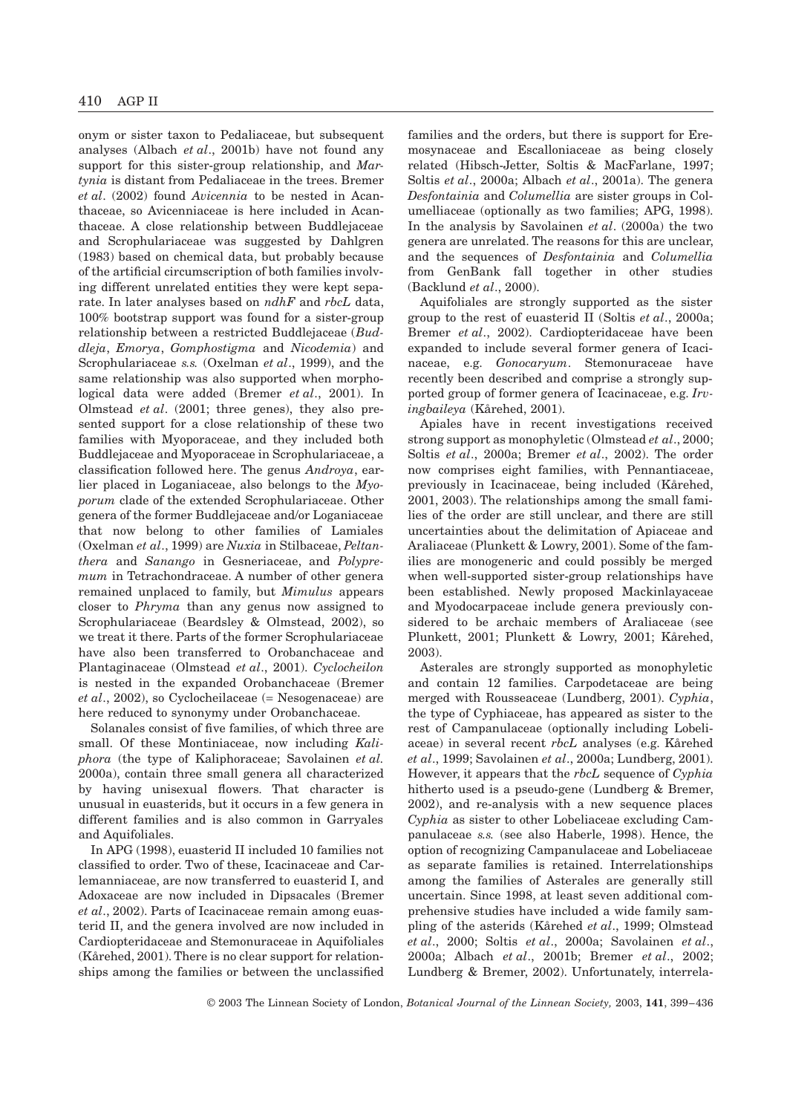onym or sister taxon to Pedaliaceae, but subsequent analyses (Albach *et al*., 2001b) have not found any support for this sister-group relationship, and *Martynia* is distant from Pedaliaceae in the trees. Bremer *et al*. (2002) found *Avicennia* to be nested in Acanthaceae, so Avicenniaceae is here included in Acanthaceae. A close relationship between Buddlejaceae and Scrophulariaceae was suggested by Dahlgren (1983) based on chemical data, but probably because of the artificial circumscription of both families involving different unrelated entities they were kept separate. In later analyses based on *ndhF* and *rbcL* data, 100% bootstrap support was found for a sister-group relationship between a restricted Buddlejaceae (*Buddleja*, *Emorya*, *Gomphostigma* and *Nicodemia*) and Scrophulariaceae *s.s.* (Oxelman *et al*., 1999), and the same relationship was also supported when morphological data were added (Bremer *et al*., 2001). In Olmstead *et al*. (2001; three genes), they also presented support for a close relationship of these two families with Myoporaceae, and they included both Buddlejaceae and Myoporaceae in Scrophulariaceae, a classification followed here. The genus *Androya*, earlier placed in Loganiaceae, also belongs to the *Myoporum* clade of the extended Scrophulariaceae. Other genera of the former Buddlejaceae and/or Loganiaceae that now belong to other families of Lamiales (Oxelman *et al*., 1999) are *Nuxia* in Stilbaceae, *Peltanthera* and *Sanango* in Gesneriaceae, and *Polypremum* in Tetrachondraceae. A number of other genera remained unplaced to family, but *Mimulus* appears closer to *Phryma* than any genus now assigned to Scrophulariaceae (Beardsley & Olmstead, 2002), so we treat it there. Parts of the former Scrophulariaceae have also been transferred to Orobanchaceae and Plantaginaceae (Olmstead *et al*., 2001). *Cyclocheilon* is nested in the expanded Orobanchaceae (Bremer *et al*., 2002), so Cyclocheilaceae (= Nesogenaceae) are here reduced to synonymy under Orobanchaceae.

Solanales consist of five families, of which three are small. Of these Montiniaceae, now including *Kaliphora* (the type of Kaliphoraceae; Savolainen *et al.* 2000a), contain three small genera all characterized by having unisexual flowers. That character is unusual in euasterids, but it occurs in a few genera in different families and is also common in Garryales and Aquifoliales.

In APG (1998), euasterid II included 10 families not classified to order. Two of these, Icacinaceae and Carlemanniaceae, are now transferred to euasterid I, and Adoxaceae are now included in Dipsacales (Bremer *et al*., 2002). Parts of Icacinaceae remain among euasterid II, and the genera involved are now included in Cardiopteridaceae and Stemonuraceae in Aquifoliales (Kårehed, 2001). There is no clear support for relationships among the families or between the unclassified

families and the orders, but there is support for Eremosynaceae and Escalloniaceae as being closely related (Hibsch-Jetter, Soltis & MacFarlane, 1997; Soltis *et al*., 2000a; Albach *et al*., 2001a). The genera *Desfontainia* and *Columellia* are sister groups in Columelliaceae (optionally as two families; APG, 1998). In the analysis by Savolainen *et al*. (2000a) the two genera are unrelated. The reasons for this are unclear, and the sequences of *Desfontainia* and *Columellia* from GenBank fall together in other studies (Backlund *et al*., 2000).

Aquifoliales are strongly supported as the sister group to the rest of euasterid II (Soltis *et al*., 2000a; Bremer *et al*., 2002). Cardiopteridaceae have been expanded to include several former genera of Icacinaceae, e.g. *Gonocaryum*. Stemonuraceae have recently been described and comprise a strongly supported group of former genera of Icacinaceae, e.g. *Irvingbaileya* (Kårehed, 2001).

Apiales have in recent investigations received strong support as monophyletic (Olmstead *et al*., 2000; Soltis *et al*., 2000a; Bremer *et al*., 2002). The order now comprises eight families, with Pennantiaceae, previously in Icacinaceae, being included (Kårehed, 2001, 2003). The relationships among the small families of the order are still unclear, and there are still uncertainties about the delimitation of Apiaceae and Araliaceae (Plunkett & Lowry, 2001). Some of the families are monogeneric and could possibly be merged when well-supported sister-group relationships have been established. Newly proposed Mackinlayaceae and Myodocarpaceae include genera previously considered to be archaic members of Araliaceae (see Plunkett, 2001; Plunkett & Lowry, 2001; Kårehed, 2003).

Asterales are strongly supported as monophyletic and contain 12 families. Carpodetaceae are being merged with Rousseaceae (Lundberg, 2001). *Cyphia*, the type of Cyphiaceae, has appeared as sister to the rest of Campanulaceae (optionally including Lobeliaceae) in several recent *rbcL* analyses (e.g. Kårehed *et al*., 1999; Savolainen *et al*., 2000a; Lundberg, 2001). However, it appears that the *rbcL* sequence of *Cyphia* hitherto used is a pseudo-gene (Lundberg & Bremer, 2002), and re-analysis with a new sequence places *Cyphia* as sister to other Lobeliaceae excluding Campanulaceae *s.s.* (see also Haberle, 1998). Hence, the option of recognizing Campanulaceae and Lobeliaceae as separate families is retained. Interrelationships among the families of Asterales are generally still uncertain. Since 1998, at least seven additional comprehensive studies have included a wide family sampling of the asterids (Kårehed *et al*., 1999; Olmstead *et al*., 2000; Soltis *et al*., 2000a; Savolainen *et al*., 2000a; Albach *et al*., 2001b; Bremer *et al*., 2002; Lundberg & Bremer, 2002). Unfortunately, interrela-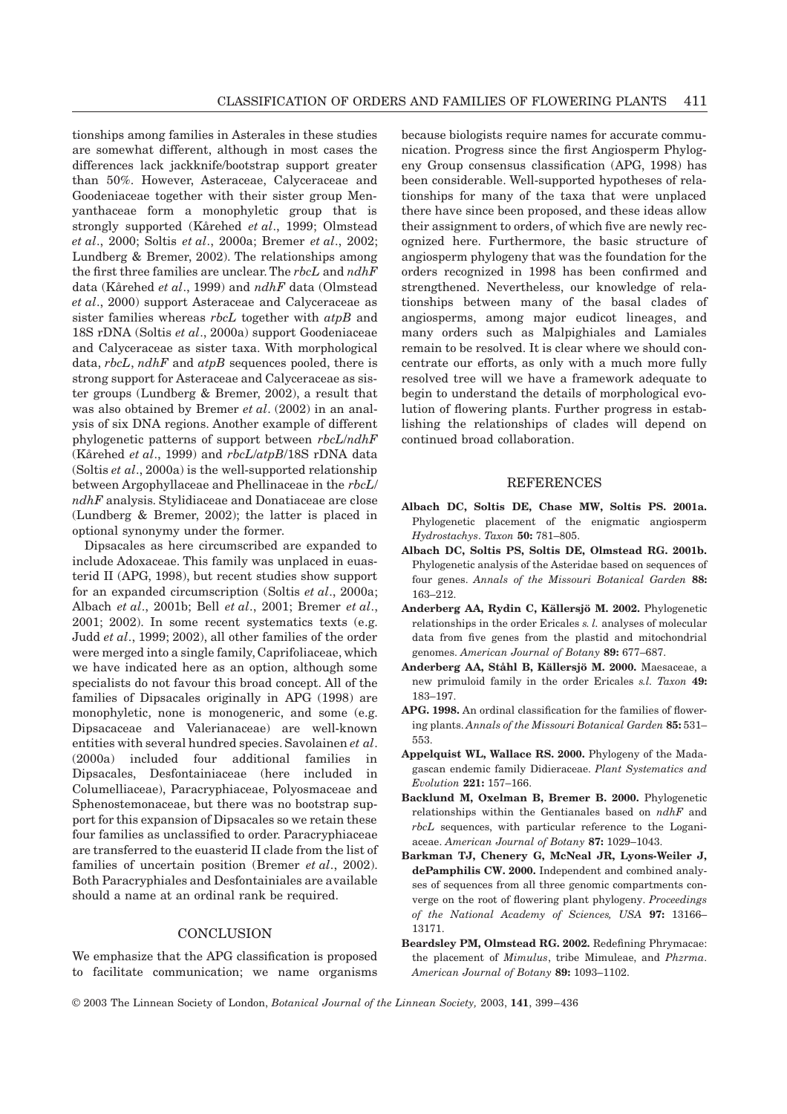tionships among families in Asterales in these studies are somewhat different, although in most cases the differences lack jackknife/bootstrap support greater than 50%. However, Asteraceae, Calyceraceae and Goodeniaceae together with their sister group Menyanthaceae form a monophyletic group that is strongly supported (Kårehed *et al*., 1999; Olmstead *et al*., 2000; Soltis *et al*., 2000a; Bremer *et al*., 2002; Lundberg & Bremer, 2002). The relationships among the first three families are unclear. The *rbcL* and *ndhF* data (Kårehed *et al*., 1999) and *ndhF* data (Olmstead *et al*., 2000) support Asteraceae and Calyceraceae as sister families whereas *rbcL* together with *atpB* and 18S rDNA (Soltis *et al*., 2000a) support Goodeniaceae and Calyceraceae as sister taxa. With morphological data, *rbcL*, *ndhF* and *atpB* sequences pooled, there is strong support for Asteraceae and Calyceraceae as sister groups (Lundberg & Bremer, 2002), a result that was also obtained by Bremer *et al*. (2002) in an analysis of six DNA regions. Another example of different phylogenetic patterns of support between *rbcL*/*ndhF* (Kårehed *et al*., 1999) and *rbcL*/*atpB*/18S rDNA data (Soltis *et al*., 2000a) is the well-supported relationship between Argophyllaceae and Phellinaceae in the *rbcL*/ *ndhF* analysis. Stylidiaceae and Donatiaceae are close (Lundberg & Bremer, 2002); the latter is placed in optional synonymy under the former.

Dipsacales as here circumscribed are expanded to include Adoxaceae. This family was unplaced in euasterid II (APG, 1998), but recent studies show support for an expanded circumscription (Soltis *et al*., 2000a; Albach *et al*., 2001b; Bell *et al*., 2001; Bremer *et al*., 2001; 2002). In some recent systematics texts (e.g. Judd *et al*., 1999; 2002), all other families of the order were merged into a single family, Caprifoliaceae, which we have indicated here as an option, although some specialists do not favour this broad concept. All of the families of Dipsacales originally in APG (1998) are monophyletic, none is monogeneric, and some (e.g. Dipsacaceae and Valerianaceae) are well-known entities with several hundred species. Savolainen *et al*. (2000a) included four additional families in Dipsacales, Desfontainiaceae (here included in Columelliaceae), Paracryphiaceae, Polyosmaceae and Sphenostemonaceae, but there was no bootstrap support for this expansion of Dipsacales so we retain these four families as unclassified to order. Paracryphiaceae are transferred to the euasterid II clade from the list of families of uncertain position (Bremer *et al*., 2002). Both Paracryphiales and Desfontainiales are available should a name at an ordinal rank be required.

### **CONCLUSION**

We emphasize that the APG classification is proposed to facilitate communication; we name organisms

because biologists require names for accurate communication. Progress since the first Angiosperm Phylogeny Group consensus classification (APG, 1998) has been considerable. Well-supported hypotheses of relationships for many of the taxa that were unplaced there have since been proposed, and these ideas allow their assignment to orders, of which five are newly recognized here. Furthermore, the basic structure of angiosperm phylogeny that was the foundation for the orders recognized in 1998 has been confirmed and strengthened. Nevertheless, our knowledge of relationships between many of the basal clades of angiosperms, among major eudicot lineages, and many orders such as Malpighiales and Lamiales remain to be resolved. It is clear where we should concentrate our efforts, as only with a much more fully resolved tree will we have a framework adequate to begin to understand the details of morphological evolution of flowering plants. Further progress in establishing the relationships of clades will depend on continued broad collaboration.

#### REFERENCES

- **Albach DC, Soltis DE, Chase MW, Soltis PS. 2001a.** Phylogenetic placement of the enigmatic angiosperm *Hydrostachys*. *Taxon* **50:** 781–805.
- **Albach DC, Soltis PS, Soltis DE, Olmstead RG. 2001b.** Phylogenetic analysis of the Asteridae based on sequences of four genes. *Annals of the Missouri Botanical Garden* **88:** 163–212.
- **Anderberg AA, Rydin C, Källersjö M. 2002.** Phylogenetic relationships in the order Ericales *s. l.* analyses of molecular data from five genes from the plastid and mitochondrial genomes. *American Journal of Botany* **89:** 677–687.
- **Anderberg AA, Ståhl B, Källersjö M. 2000.** Maesaceae, a new primuloid family in the order Ericales *s.l. Taxon* **49:** 183–197.
- **APG. 1998.** An ordinal classification for the families of flowering plants. *Annals of the Missouri Botanical Garden* **85:** 531– 553.
- **Appelquist WL, Wallace RS. 2000.** Phylogeny of the Madagascan endemic family Didieraceae. *Plant Systematics and Evolution* **221:** 157–166.
- **Backlund M, Oxelman B, Bremer B. 2000.** Phylogenetic relationships within the Gentianales based on *ndhF* and *rbcL* sequences, with particular reference to the Loganiaceae. *American Journal of Botany* **87:** 1029–1043.
- **Barkman TJ, Chenery G, McNeal JR, Lyons-Weiler J, dePamphilis CW. 2000.** Independent and combined analyses of sequences from all three genomic compartments converge on the root of flowering plant phylogeny. *Proceedings of the National Academy of Sciences, USA* **97:** 13166– 13171.
- **Beardsley PM, Olmstead RG. 2002.** Redefining Phrymacae: the placement of *Mimulus*, tribe Mimuleae, and *Phzrma*. *American Journal of Botany* **89:** 1093–1102.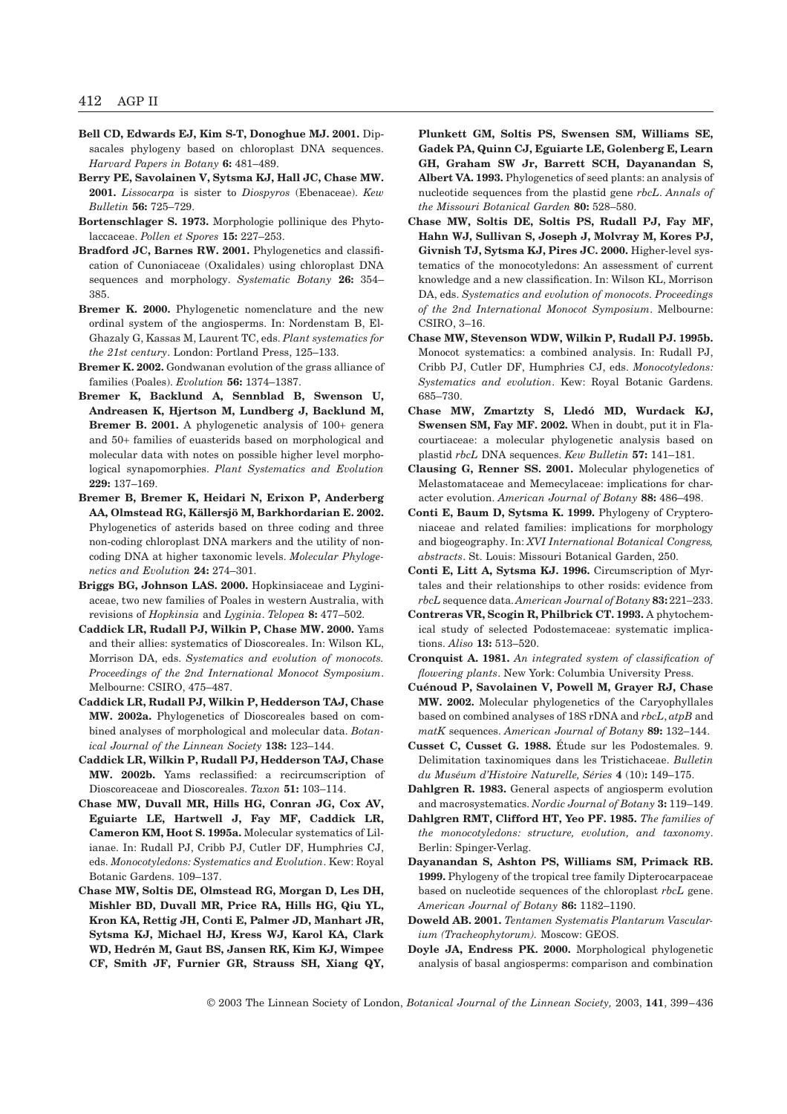- **Bell CD, Edwards EJ, Kim S-T, Donoghue MJ. 2001.** Dipsacales phylogeny based on chloroplast DNA sequences. *Harvard Papers in Botany* **6:** 481–489.
- **Berry PE, Savolainen V, Sytsma KJ, Hall JC, Chase MW. 2001.** *Lissocarpa* is sister to *Diospyros* (Ebenaceae). *Kew Bulletin* **56:** 725–729.
- **Bortenschlager S. 1973.** Morphologie pollinique des Phytolaccaceae. *Pollen et Spores* **15:** 227–253.
- **Bradford JC, Barnes RW. 2001.** Phylogenetics and classification of Cunoniaceae (Oxalidales) using chloroplast DNA sequences and morphology. *Systematic Botany* **26:** 354– 385.
- **Bremer K. 2000.** Phylogenetic nomenclature and the new ordinal system of the angiosperms. In: Nordenstam B, El-Ghazaly G, Kassas M, Laurent TC, eds. *Plant systematics for the 21st century*. London: Portland Press, 125–133.
- **Bremer K. 2002.** Gondwanan evolution of the grass alliance of families (Poales). *Evolution* **56:** 1374–1387.
- **Bremer K, Backlund A, Sennblad B, Swenson U, Andreasen K, Hjertson M, Lundberg J, Backlund M, Bremer B. 2001.** A phylogenetic analysis of 100+ genera and 50+ families of euasterids based on morphological and molecular data with notes on possible higher level morphological synapomorphies. *Plant Systematics and Evolution* **229:** 137–169.
- **Bremer B, Bremer K, Heidari N, Erixon P, Anderberg AA, Olmstead RG, Källersjö M, Barkhordarian E. 2002.** Phylogenetics of asterids based on three coding and three non-coding chloroplast DNA markers and the utility of noncoding DNA at higher taxonomic levels. *Molecular Phylogenetics and Evolution* **24:** 274–301.
- **Briggs BG, Johnson LAS. 2000.** Hopkinsiaceae and Lyginiaceae, two new families of Poales in western Australia, with revisions of *Hopkinsia* and *Lyginia*. *Telopea* **8:** 477–502.
- **Caddick LR, Rudall PJ, Wilkin P, Chase MW. 2000.** Yams and their allies: systematics of Dioscoreales. In: Wilson KL, Morrison DA, eds. *Systematics and evolution of monocots. Proceedings of the 2nd International Monocot Symposium*. Melbourne: CSIRO, 475–487.
- **Caddick LR, Rudall PJ, Wilkin P, Hedderson TAJ, Chase MW. 2002a.** Phylogenetics of Dioscoreales based on combined analyses of morphological and molecular data. *Botanical Journal of the Linnean Society* **138:** 123–144.
- **Caddick LR, Wilkin P, Rudall PJ, Hedderson TAJ, Chase MW. 2002b.** Yams reclassified: a recircumscription of Dioscoreaceae and Dioscoreales. *Taxon* **51:** 103–114.
- **Chase MW, Duvall MR, Hills HG, Conran JG, Cox AV, Eguiarte LE, Hartwell J, Fay MF, Caddick LR, Cameron KM, Hoot S. 1995a.** Molecular systematics of Lilianae. In: Rudall PJ, Cribb PJ, Cutler DF, Humphries CJ, eds. *Monocotyledons: Systematics and Evolution*. Kew: Royal Botanic Gardens. 109–137.
- **Chase MW, Soltis DE, Olmstead RG, Morgan D, Les DH, Mishler BD, Duvall MR, Price RA, Hills HG, Qiu YL, Kron KA, Rettig JH, Conti E, Palmer JD, Manhart JR, Sytsma KJ, Michael HJ, Kress WJ, Karol KA, Clark WD, Hedrén M, Gaut BS, Jansen RK, Kim KJ, Wimpee CF, Smith JF, Furnier GR, Strauss SH, Xiang QY,**

**Plunkett GM, Soltis PS, Swensen SM, Williams SE, Gadek PA, Quinn CJ, Eguiarte LE, Golenberg E, Learn GH, Graham SW Jr, Barrett SCH, Dayanandan S, Albert VA. 1993.** Phylogenetics of seed plants: an analysis of nucleotide sequences from the plastid gene *rbcL*. *Annals of the Missouri Botanical Garden* **80:** 528–580.

- **Chase MW, Soltis DE, Soltis PS, Rudall PJ, Fay MF, Hahn WJ, Sullivan S, Joseph J, Molvray M, Kores PJ, Givnish TJ, Sytsma KJ, Pires JC. 2000.** Higher-level systematics of the monocotyledons: An assessment of current knowledge and a new classification. In: Wilson KL, Morrison DA, eds. *Systematics and evolution of monocots. Proceedings of the 2nd International Monocot Symposium*. Melbourne: CSIRO, 3–16.
- **Chase MW, Stevenson WDW, Wilkin P, Rudall PJ. 1995b.** Monocot systematics: a combined analysis. In: Rudall PJ, Cribb PJ, Cutler DF, Humphries CJ, eds. *Monocotyledons: Systematics and evolution*. Kew: Royal Botanic Gardens. 685–730.
- **Chase MW, Zmartzty S, Lledó MD, Wurdack KJ, Swensen SM, Fay MF. 2002.** When in doubt, put it in Flacourtiaceae: a molecular phylogenetic analysis based on plastid *rbcL* DNA sequences. *Kew Bulletin* **57:** 141–181.
- **Clausing G, Renner SS. 2001.** Molecular phylogenetics of Melastomataceae and Memecylaceae: implications for character evolution. *American Journal of Botany* **88:** 486–498.
- **Conti E, Baum D, Sytsma K. 1999.** Phylogeny of Crypteroniaceae and related families: implications for morphology and biogeography. In: *XVI International Botanical Congress, abstracts*. St. Louis: Missouri Botanical Garden, 250.
- **Conti E, Litt A, Sytsma KJ. 1996.** Circumscription of Myrtales and their relationships to other rosids: evidence from *rbcL* sequence data. *American Journal of Botany* **83:** 221–233.
- **Contreras VR, Scogin R, Philbrick CT. 1993.** A phytochemical study of selected Podostemaceae: systematic implications. *Aliso* **13:** 513–520.
- **Cronquist A. 1981.** *An integrated system of classification of flowering plants*. New York: Columbia University Press.
- **Cuénoud P, Savolainen V, Powell M, Grayer RJ, Chase MW. 2002.** Molecular phylogenetics of the Caryophyllales based on combined analyses of 18S rDNA and *rbcL*, *atpB* and *matK* sequences. *American Journal of Botany* **89:** 132–144.
- **Cusset C, Cusset G. 1988.** Étude sur les Podostemales. 9. Delimitation taxinomiques dans les Tristichaceae. *Bulletin du Muséum d'Histoire Naturelle, Séries* **4** (10)**:** 149–175.
- **Dahlgren R. 1983.** General aspects of angiosperm evolution and macrosystematics. *Nordic Journal of Botany* **3:** 119–149.
- **Dahlgren RMT, Clifford HT, Yeo PF. 1985.** *The families of the monocotyledons: structure, evolution, and taxonomy*. Berlin: Spinger-Verlag.
- **Dayanandan S, Ashton PS, Williams SM, Primack RB. 1999.** Phylogeny of the tropical tree family Dipterocarpaceae based on nucleotide sequences of the chloroplast *rbcL* gene. *American Journal of Botany* **86:** 1182–1190.
- **Doweld AB. 2001.** *Tentamen Systematis Plantarum Vascularium (Tracheophytorum).* Moscow: GEOS.
- **Doyle JA, Endress PK. 2000.** Morphological phylogenetic analysis of basal angiosperms: comparison and combination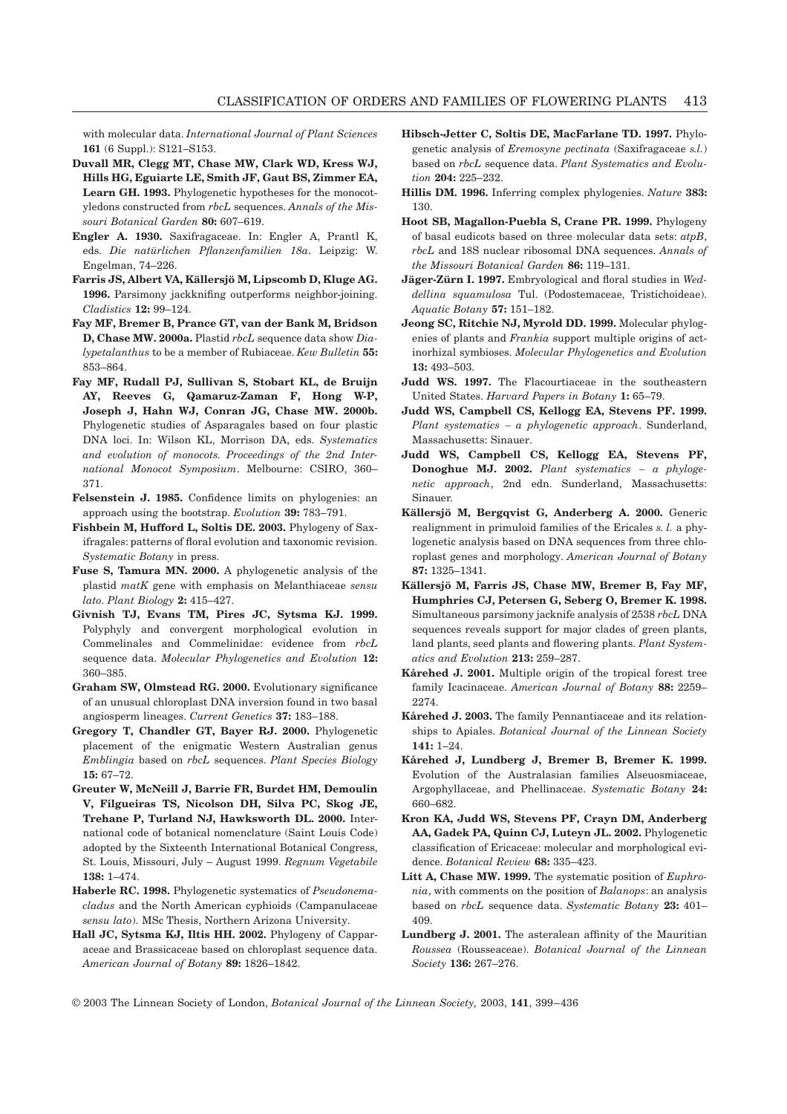with molecular data. *International Journal of Plant Sciences* **161** (6 Suppl.): S121–S153.

- **Duvall MR, Clegg MT, Chase MW, Clark WD, Kress WJ, Hills HG, Eguiarte LE, Smith JF, Gaut BS, Zimmer EA, Learn GH. 1993.** Phylogenetic hypotheses for the monocotyledons constructed from *rbcL* sequences. *Annals of the Missouri Botanical Garden* **80:** 607–619.
- **Engler A. 1930.** Saxifragaceae. In: Engler A, Prantl K, eds. *Die natürlichen Pflanzenfamilien 18a*. Leipzig: W. Engelman, 74–226.
- **Farris JS, Albert VA, Källersjö M, Lipscomb D, Kluge AG. 1996.** Parsimony jackknifing outperforms neighbor-joining. *Cladistics* **12:** 99–124.
- **Fay MF, Bremer B, Prance GT, van der Bank M, Bridson D, Chase MW. 2000a.** Plastid *rbcL* sequence data show *Dialypetalanthus* to be a member of Rubiaceae. *Kew Bulletin* **55:** 853–864.
- **Fay MF, Rudall PJ, Sullivan S, Stobart KL, de Bruijn AY, Reeves G, Qamaruz-Zaman F, Hong W-P, Joseph J, Hahn WJ, Conran JG, Chase MW. 2000b.** Phylogenetic studies of Asparagales based on four plastic DNA loci. In: Wilson KL, Morrison DA, eds. *Systematics and evolution of monocots. Proceedings of the 2nd International Monocot Symposium*. Melbourne: CSIRO, 360– 371.
- **Felsenstein J. 1985.** Confidence limits on phylogenies: an approach using the bootstrap. *Evolution* **39:** 783–791.
- **Fishbein M, Hufford L, Soltis DE. 2003.** Phylogeny of Saxifragales: patterns of floral evolution and taxonomic revision. *Systematic Botany* in press.
- **Fuse S, Tamura MN. 2000.** A phylogenetic analysis of the plastid *matK* gene with emphasis on Melanthiaceae *sensu lato*. *Plant Biology* **2:** 415–427.
- **Givnish TJ, Evans TM, Pires JC, Sytsma KJ. 1999.** Polyphyly and convergent morphological evolution in Commelinales and Commelinidae: evidence from *rbcL* sequence data. *Molecular Phylogenetics and Evolution* **12:** 360–385.
- **Graham SW, Olmstead RG. 2000.** Evolutionary significance of an unusual chloroplast DNA inversion found in two basal angiosperm lineages. *Current Genetics* **37:** 183–188.
- **Gregory T, Chandler GT, Bayer RJ. 2000.** Phylogenetic placement of the enigmatic Western Australian genus *Emblingia* based on *rbcL* sequences. *Plant Species Biology* **15:** 67–72.
- **Greuter W, McNeill J, Barrie FR, Burdet HM, Demoulin V, Filgueiras TS, Nicolson DH, Silva PC, Skog JE, Trehane P, Turland NJ, Hawksworth DL. 2000.** International code of botanical nomenclature (Saint Louis Code) adopted by the Sixteenth International Botanical Congress, St. Louis, Missouri, July – August 1999. *Regnum Vegetabile* **138:** 1–474.
- **Haberle RC. 1998.** Phylogenetic systematics of *Pseudonemacladus* and the North American cyphioids (Campanulaceae *sensu lato*). MSc Thesis, Northern Arizona University.
- **Hall JC, Sytsma KJ, Iltis HH. 2002.** Phylogeny of Capparaceae and Brassicaceae based on chloroplast sequence data. *American Journal of Botany* **89:** 1826–1842.
- **Hibsch-Jetter C, Soltis DE, MacFarlane TD. 1997.** Phylogenetic analysis of *Eremosyne pectinata* (Saxifragaceae *s.l.*) based on *rbcL* sequence data. *Plant Systematics and Evolution* **204:** 225–232.
- **Hillis DM. 1996.** Inferring complex phylogenies. *Nature* **383:** 130.
- **Hoot SB, Magallon-Puebla S, Crane PR. 1999.** Phylogeny of basal eudicots based on three molecular data sets: *atpB*, *rbcL* and 18S nuclear ribosomal DNA sequences. *Annals of the Missouri Botanical Garden* **86:** 119–131.
- **Jäger-Zürn I. 1997.** Embryological and floral studies in *Weddellina squamulosa* Tul. (Podostemaceae, Tristichoideae). *Aquatic Botany* **57:** 151–182.
- **Jeong SC, Ritchie NJ, Myrold DD. 1999.** Molecular phylogenies of plants and *Frankia* support multiple origins of actinorhizal symbioses. *Molecular Phylogenetics and Evolution* **13:** 493–503.
- **Judd WS. 1997.** The Flacourtiaceae in the southeastern United States. *Harvard Papers in Botany* **1:** 65–79.
- **Judd WS, Campbell CS, Kellogg EA, Stevens PF. 1999.** *Plant systematics – a phylogenetic approach*. Sunderland, Massachusetts: Sinauer.
- **Judd WS, Campbell CS, Kellogg EA, Stevens PF, Donoghue MJ. 2002.** *Plant systematics – a phylogenetic approach*, 2nd edn. Sunderland, Massachusetts: Sinauer.
- **Källersjö M, Bergqvist G, Anderberg A. 2000.** Generic realignment in primuloid families of the Ericales *s. l.* a phylogenetic analysis based on DNA sequences from three chloroplast genes and morphology. *American Journal of Botany* **87:** 1325–1341.
- **Källersjö M, Farris JS, Chase MW, Bremer B, Fay MF, Humphries CJ, Petersen G, Seberg O, Bremer K. 1998.** Simultaneous parsimony jacknife analysis of 2538 *rbcL* DNA sequences reveals support for major clades of green plants, land plants, seed plants and flowering plants. *Plant Systematics and Evolution* **213:** 259–287.
- **Kårehed J. 2001.** Multiple origin of the tropical forest tree family Icacinaceae. *American Journal of Botany* **88:** 2259– 2274.
- **Kårehed J. 2003.** The family Pennantiaceae and its relationships to Apiales. *Botanical Journal of the Linnean Society* **141:** 1–24.
- **Kårehed J, Lundberg J, Bremer B, Bremer K. 1999.** Evolution of the Australasian families Alseuosmiaceae, Argophyllaceae, and Phellinaceae. *Systematic Botany* **24:** 660–682.
- **Kron KA, Judd WS, Stevens PF, Crayn DM, Anderberg AA, Gadek PA, Quinn CJ, Luteyn JL. 2002.** Phylogenetic classification of Ericaceae: molecular and morphological evidence. *Botanical Review* **68:** 335–423.
- **Litt A, Chase MW. 1999.** The systematic position of *Euphronia*, with comments on the position of *Balanops*: an analysis based on *rbcL* sequence data. *Systematic Botany* **23:** 401– 409.
- **Lundberg J. 2001.** The asteralean affinity of the Mauritian *Roussea* (Rousseaceae). *Botanical Journal of the Linnean Society* **136:** 267–276.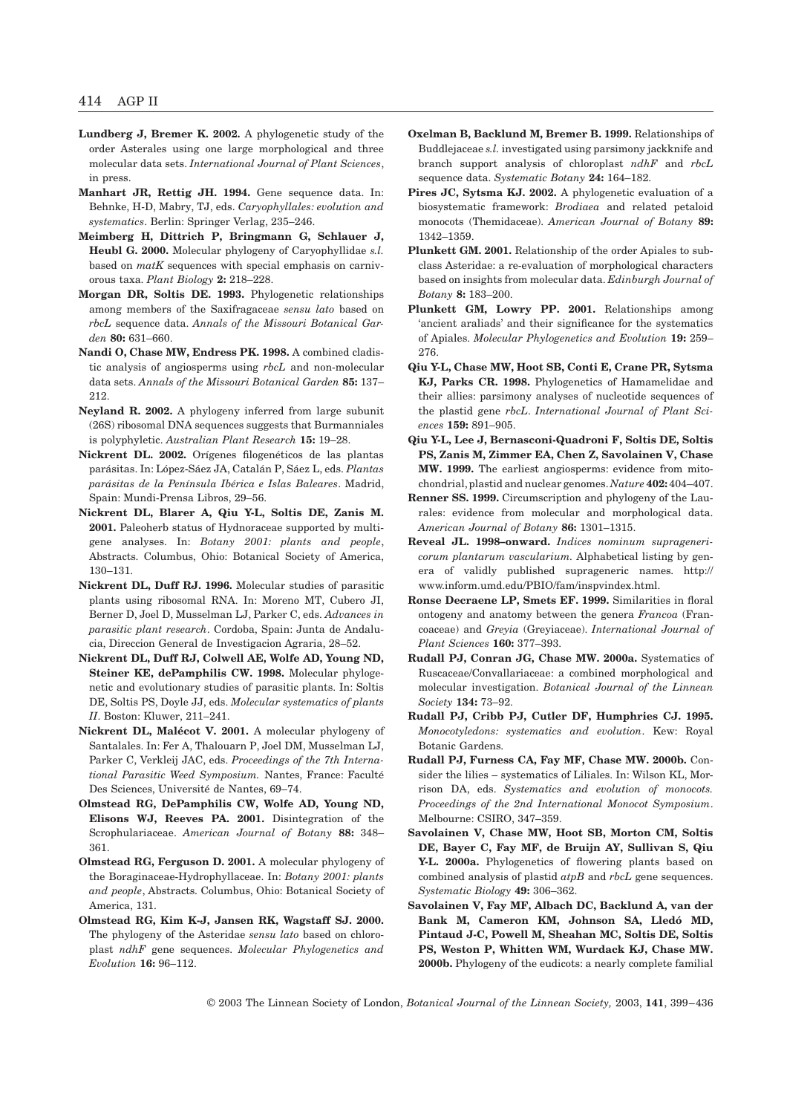- **Lundberg J, Bremer K. 2002.** A phylogenetic study of the order Asterales using one large morphological and three molecular data sets. *International Journal of Plant Sciences*, in press.
- **Manhart JR, Rettig JH. 1994.** Gene sequence data. In: Behnke, H-D, Mabry, TJ, eds. *Caryophyllales: evolution and systematics*. Berlin: Springer Verlag, 235–246.
- **Meimberg H, Dittrich P, Bringmann G, Schlauer J, Heubl G. 2000.** Molecular phylogeny of Caryophyllidae *s.l.* based on *matK* sequences with special emphasis on carnivorous taxa. *Plant Biology* **2:** 218–228.
- **Morgan DR, Soltis DE. 1993.** Phylogenetic relationships among members of the Saxifragaceae *sensu lato* based on *rbcL* sequence data. *Annals of the Missouri Botanical Garden* **80:** 631–660.
- **Nandi O, Chase MW, Endress PK. 1998.** A combined cladistic analysis of angiosperms using *rbcL* and non-molecular data sets. *Annals of the Missouri Botanical Garden* **85:** 137– 212.
- **Neyland R. 2002.** A phylogeny inferred from large subunit (26S) ribosomal DNA sequences suggests that Burmanniales is polyphyletic. *Australian Plant Research* **15:** 19–28.
- **Nickrent DL. 2002.** Orígenes filogenéticos de las plantas parásitas. In: López-Sáez JA, Catalán P, Sáez L, eds. *Plantas parásitas de la Península Ibérica e Islas Baleares*. Madrid, Spain: Mundi-Prensa Libros, 29–56.
- **Nickrent DL, Blarer A, Qiu Y-L, Soltis DE, Zanis M. 2001.** Paleoherb status of Hydnoraceae supported by multigene analyses. In: *Botany 2001: plants and people*, Abstracts. Columbus, Ohio: Botanical Society of America, 130–131.
- **Nickrent DL, Duff RJ. 1996.** Molecular studies of parasitic plants using ribosomal RNA. In: Moreno MT, Cubero JI, Berner D, Joel D, Musselman LJ, Parker C, eds. *Advances in parasitic plant research*. Cordoba, Spain: Junta de Andalucia, Direccion General de Investigacion Agraria, 28–52.
- **Nickrent DL, Duff RJ, Colwell AE, Wolfe AD, Young ND, Steiner KE, dePamphilis CW. 1998.** Molecular phylogenetic and evolutionary studies of parasitic plants. In: Soltis DE, Soltis PS, Doyle JJ, eds. *Molecular systematics of plants II*. Boston: Kluwer, 211–241.
- **Nickrent DL, Malécot V. 2001.** A molecular phylogeny of Santalales. In: Fer A, Thalouarn P, Joel DM, Musselman LJ, Parker C, Verkleij JAC, eds. *Proceedings of the 7th International Parasitic Weed Symposium.* Nantes, France: Faculté Des Sciences, Université de Nantes, 69–74.
- **Olmstead RG, DePamphilis CW, Wolfe AD, Young ND, Elisons WJ, Reeves PA. 2001.** Disintegration of the Scrophulariaceae. *American Journal of Botany* **88:** 348– 361.
- **Olmstead RG, Ferguson D. 2001.** A molecular phylogeny of the Boraginaceae-Hydrophyllaceae. In: *Botany 2001: plants and people*, Abstracts. Columbus, Ohio: Botanical Society of America, 131.
- **Olmstead RG, Kim K-J, Jansen RK, Wagstaff SJ. 2000.** The phylogeny of the Asteridae *sensu lato* based on chloroplast *ndhF* gene sequences. *Molecular Phylogenetics and Evolution* **16:** 96–112.
- **Oxelman B, Backlund M, Bremer B. 1999.** Relationships of Buddlejaceae *s.l.* investigated using parsimony jackknife and branch support analysis of chloroplast *ndhF* and *rbcL* sequence data. *Systematic Botany* **24:** 164–182.
- Pires JC, Sytsma KJ. 2002. A phylogenetic evaluation of a biosystematic framework: *Brodiaea* and related petaloid monocots (Themidaceae). *American Journal of Botany* **89:** 1342–1359.
- **Plunkett GM. 2001.** Relationship of the order Apiales to subclass Asteridae: a re-evaluation of morphological characters based on insights from molecular data. *Edinburgh Journal of Botany* **8:** 183–200.
- **Plunkett GM, Lowry PP. 2001.** Relationships among 'ancient araliads' and their significance for the systematics of Apiales. *Molecular Phylogenetics and Evolution* **19:** 259– 276.
- **Qiu Y-L, Chase MW, Hoot SB, Conti E, Crane PR, Sytsma KJ, Parks CR. 1998.** Phylogenetics of Hamamelidae and their allies: parsimony analyses of nucleotide sequences of the plastid gene *rbcL*. *International Journal of Plant Sciences* **159:** 891–905.
- **Qiu Y-L, Lee J, Bernasconi-Quadroni F, Soltis DE, Soltis PS, Zanis M, Zimmer EA, Chen Z, Savolainen V, Chase MW. 1999.** The earliest angiosperms: evidence from mitochondrial, plastid and nuclear genomes. *Nature* **402:** 404–407.
- **Renner SS. 1999.** Circumscription and phylogeny of the Laurales: evidence from molecular and morphological data. *American Journal of Botany* **86:** 1301–1315.
- **Reveal JL. 1998–onward.** *Indices nominum supragenericorum plantarum vascularium.* Alphabetical listing by genera of validly published suprageneric names. <http://> www.inform.umd.edu/PBIO/fam/inspvindex.html.
- **Ronse Decraene LP, Smets EF. 1999.** Similarities in floral ontogeny and anatomy between the genera *Francoa* (Francoaceae) and *Greyia* (Greyiaceae). *International Journal of Plant Sciences* **160:** 377–393.
- **Rudall PJ, Conran JG, Chase MW. 2000a.** Systematics of Ruscaceae/Convallariaceae: a combined morphological and molecular investigation. *Botanical Journal of the Linnean Society* **134:** 73–92.
- **Rudall PJ, Cribb PJ, Cutler DF, Humphries CJ. 1995.** *Monocotyledons: systematics and evolution*. Kew: Royal Botanic Gardens.
- **Rudall PJ, Furness CA, Fay MF, Chase MW. 2000b.** Consider the lilies – systematics of Liliales. In: Wilson KL, Morrison DA, eds. *Systematics and evolution of monocots. Proceedings of the 2nd International Monocot Symposium*. Melbourne: CSIRO, 347–359.
- **Savolainen V, Chase MW, Hoot SB, Morton CM, Soltis DE, Bayer C, Fay MF, de Bruijn AY, Sullivan S, Qiu Y-L. 2000a.** Phylogenetics of flowering plants based on combined analysis of plastid *atpB* and *rbcL* gene sequences. *Systematic Biology* **49:** 306–362.
- **Savolainen V, Fay MF, Albach DC, Backlund A, van der Bank M, Cameron KM, Johnson SA, Lledó MD, Pintaud J-C, Powell M, Sheahan MC, Soltis DE, Soltis PS, Weston P, Whitten WM, Wurdack KJ, Chase MW. 2000b.** Phylogeny of the eudicots: a nearly complete familial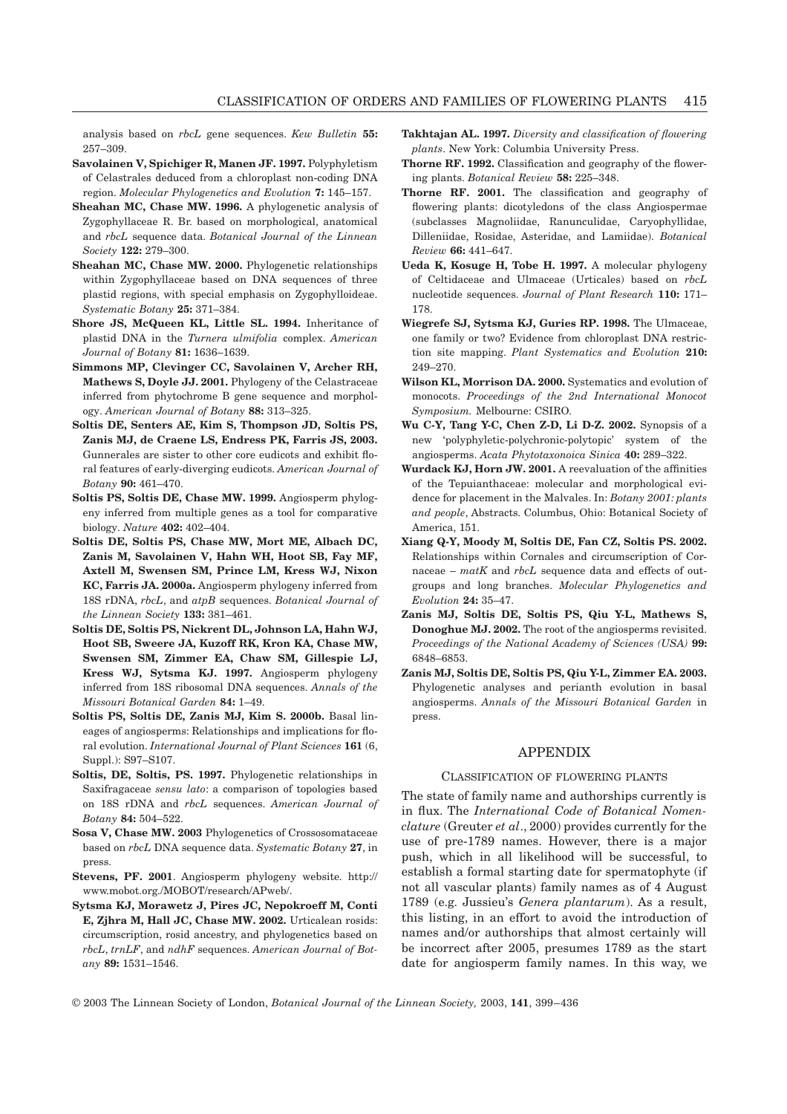analysis based on *rbcL* gene sequences. *Kew Bulletin* **55:** 257–309.

- **Savolainen V, Spichiger R, Manen JF. 1997.** Polyphyletism of Celastrales deduced from a chloroplast non-coding DNA region. *Molecular Phylogenetics and Evolution* **7:** 145–157.
- **Sheahan MC, Chase MW. 1996.** A phylogenetic analysis of Zygophyllaceae R. Br. based on morphological, anatomical and *rbcL* sequence data. *Botanical Journal of the Linnean Society* **122:** 279–300.
- **Sheahan MC, Chase MW. 2000.** Phylogenetic relationships within Zygophyllaceae based on DNA sequences of three plastid regions, with special emphasis on Zygophylloideae. *Systematic Botany* **25:** 371–384.
- **Shore JS, McQueen KL, Little SL. 1994.** Inheritance of plastid DNA in the *Turnera ulmifolia* complex. *American Journal of Botany* **81:** 1636–1639.
- **Simmons MP, Clevinger CC, Savolainen V, Archer RH, Mathews S, Doyle JJ. 2001.** Phylogeny of the Celastraceae inferred from phytochrome B gene sequence and morphology. *American Journal of Botany* **88:** 313–325.
- **Soltis DE, Senters AE, Kim S, Thompson JD, Soltis PS, Zanis MJ, de Craene LS, Endress PK, Farris JS, 2003.** Gunnerales are sister to other core eudicots and exhibit floral features of early-diverging eudicots. *American Journal of Botany* **90:** 461–470.
- **Soltis PS, Soltis DE, Chase MW. 1999.** Angiosperm phylogeny inferred from multiple genes as a tool for comparative biology. *Nature* **402:** 402–404.
- **Soltis DE, Soltis PS, Chase MW, Mort ME, Albach DC, Zanis M, Savolainen V, Hahn WH, Hoot SB, Fay MF, Axtell M, Swensen SM, Prince LM, Kress WJ, Nixon KC, Farris JA. 2000a.** Angiosperm phylogeny inferred from 18S rDNA, *rbcL*, and *atpB* sequences. *Botanical Journal of the Linnean Society* **133:** 381–461.
- **Soltis DE, Soltis PS, Nickrent DL, Johnson LA, Hahn WJ, Hoot SB, Sweere JA, Kuzoff RK, Kron KA, Chase MW, Swensen SM, Zimmer EA, Chaw SM, Gillespie LJ, Kress WJ, Sytsma KJ. 1997.** Angiosperm phylogeny inferred from 18S ribosomal DNA sequences. *Annals of the Missouri Botanical Garden* **84:** 1–49.
- **Soltis PS, Soltis DE, Zanis MJ, Kim S. 2000b.** Basal lineages of angiosperms: Relationships and implications for floral evolution. *International Journal of Plant Sciences* **161** (6, Suppl.): S97–S107.
- **Soltis, DE, Soltis, PS. 1997.** Phylogenetic relationships in Saxifragaceae *sensu lato*: a comparison of topologies based on 18S rDNA and *rbcL* sequences. *American Journal of Botany* **84:** 504–522.
- **Sosa V, Chase MW. 2003** Phylogenetics of Crossosomataceae based on *rbcL* DNA sequence data. *Systematic Botany* **27**, in press.
- **Stevens, PF. 2001**. Angiosperm phylogeny website. <http://> www.mobot.org./MOBOT/research/APweb/.
- **Sytsma KJ, Morawetz J, Pires JC, Nepokroeff M, Conti E, Zjhra M, Hall JC, Chase MW. 2002.** Urticalean rosids: circumscription, rosid ancestry, and phylogenetics based on *rbcL*, *trnLF*, and *ndhF* sequences. *American Journal of Botany* **89:** 1531–1546.
- **Takhtajan AL. 1997.** *Diversity and classification of flowering plants*. New York: Columbia University Press.
- **Thorne RF. 1992.** Classification and geography of the flowering plants. *Botanical Review* **58:** 225–348.
- **Thorne RF. 2001.** The classification and geography of flowering plants: dicotyledons of the class Angiospermae (subclasses Magnoliidae, Ranunculidae, Caryophyllidae, Dilleniidae, Rosidae, Asteridae, and Lamiidae). *Botanical Review* **66:** 441–647.
- **Ueda K, Kosuge H, Tobe H. 1997.** A molecular phylogeny of Celtidaceae and Ulmaceae (Urticales) based on *rbcL* nucleotide sequences. *Journal of Plant Research* **110:** 171– 178.
- **Wiegrefe SJ, Sytsma KJ, Guries RP. 1998.** The Ulmaceae, one family or two? Evidence from chloroplast DNA restriction site mapping. *Plant Systematics and Evolution* **210:** 249–270.
- **Wilson KL, Morrison DA. 2000.** Systematics and evolution of monocots. *Proceedings of the 2nd International Monocot Symposium.* Melbourne: CSIRO.
- **Wu C-Y, Tang Y-C, Chen Z-D, Li D-Z. 2002.** Synopsis of a new 'polyphyletic-polychronic-polytopic' system of the angiosperms. *Acata Phytotaxonoica Sinica* **40:** 289–322.
- **Wurdack KJ, Horn JW. 2001.** A reevaluation of the affinities of the Tepuianthaceae: molecular and morphological evidence for placement in the Malvales. In: *Botany 2001: plants and people*, Abstracts. Columbus, Ohio: Botanical Society of America, 151.
- **Xiang Q-Y, Moody M, Soltis DE, Fan CZ, Soltis PS. 2002.** Relationships within Cornales and circumscription of Cornaceae – *matK* and *rbcL* sequence data and effects of outgroups and long branches. *Molecular Phylogenetics and Evolution* **24:** 35–47.
- **Zanis MJ, Soltis DE, Soltis PS, Qiu Y-L, Mathews S, Donoghue MJ. 2002.** The root of the angiosperms revisited. *Proceedings of the National Academy of Sciences (USA)* **99:** 6848–6853.
- **Zanis MJ, Soltis DE, Soltis PS, Qiu Y-L, Zimmer EA. 2003.** Phylogenetic analyses and perianth evolution in basal angiosperms. *Annals of the Missouri Botanical Garden* in press.

#### APPENDIX

#### CLASSIFICATION OF FLOWERING PLANTS

The state of family name and authorships currently is in flux. The *International Code of Botanical Nomenclature* (Greuter *et al*., 2000) provides currently for the use of pre-1789 names. However, there is a major push, which in all likelihood will be successful, to establish a formal starting date for spermatophyte (if not all vascular plants) family names as of 4 August 1789 (e.g. Jussieu's *Genera plantarum*). As a result, this listing, in an effort to avoid the introduction of names and/or authorships that almost certainly will be incorrect after 2005, presumes 1789 as the start date for angiosperm family names. In this way, we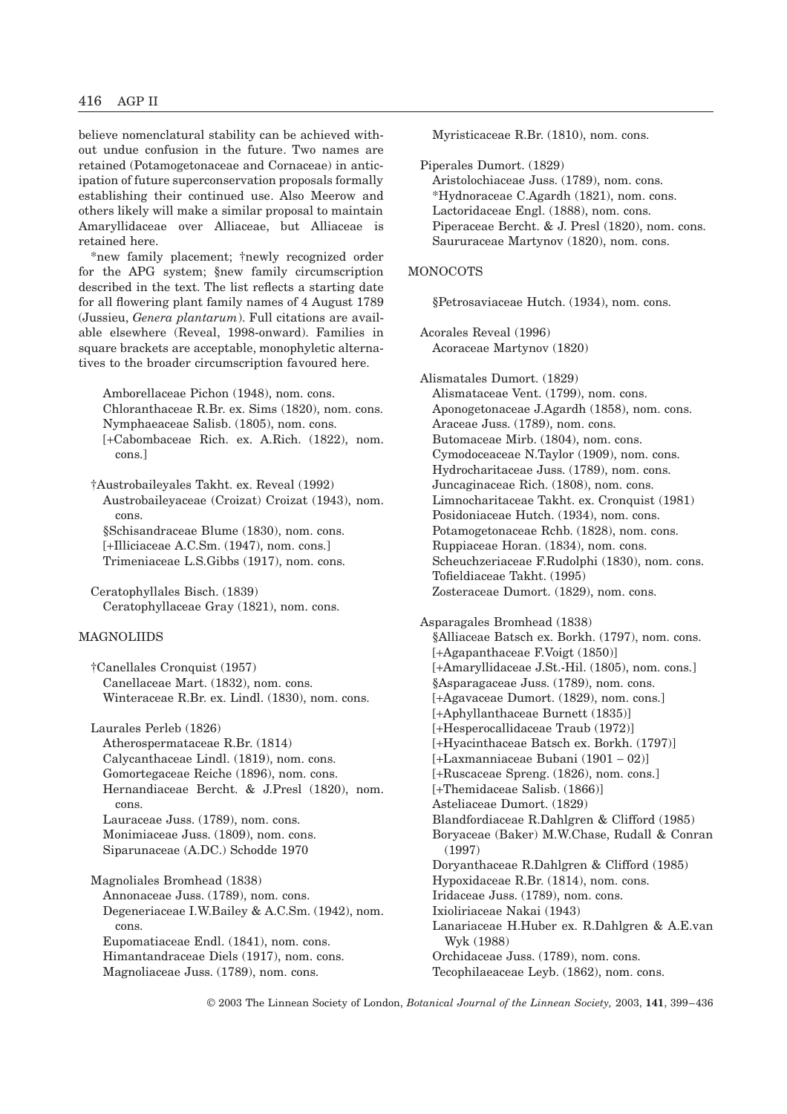believe nomenclatural stability can be achieved without undue confusion in the future. Two names are retained (Potamogetonaceae and Cornaceae) in anticipation of future superconservation proposals formally establishing their continued use. Also Meerow and others likely will make a similar proposal to maintain Amaryllidaceae over Alliaceae, but Alliaceae is retained here.

\*new family placement; †newly recognized order for the APG system; §new family circumscription described in the text. The list reflects a starting date for all flowering plant family names of 4 August 1789 (Jussieu, *Genera plantarum*). Full citations are available elsewhere (Reveal, 1998-onward). Families in square brackets are acceptable, monophyletic alternatives to the broader circumscription favoured here.

Amborellaceae Pichon (1948), nom. cons. Chloranthaceae R.Br. ex. Sims (1820), nom. cons. Nymphaeaceae Salisb. (1805), nom. cons.

[+Cabombaceae Rich. ex. A.Rich. (1822), nom. cons.]

†Austrobaileyales Takht. ex. Reveal (1992) Austrobaileyaceae (Croizat) Croizat (1943), nom. cons.

§Schisandraceae Blume (1830), nom. cons. [+Illiciaceae A.C.Sm. (1947), nom. cons.] Trimeniaceae L.S.Gibbs (1917), nom. cons.

Ceratophyllales Bisch. (1839) Ceratophyllaceae Gray (1821), nom. cons.

## MAGNOLIIDS

†Canellales Cronquist (1957) Canellaceae Mart. (1832), nom. cons. Winteraceae R.Br. ex. Lindl. (1830), nom. cons.

Laurales Perleb (1826) Atherospermataceae R.Br. (1814) Calycanthaceae Lindl. (1819), nom. cons. Gomortegaceae Reiche (1896), nom. cons. Hernandiaceae Bercht. & J.Presl (1820), nom. cons. Lauraceae Juss. (1789), nom. cons. Monimiaceae Juss. (1809), nom. cons. Siparunaceae (A.DC.) Schodde 1970

Magnoliales Bromhead (1838) Annonaceae Juss. (1789), nom. cons. Degeneriaceae I.W.Bailey & A.C.Sm. (1942), nom. cons. Eupomatiaceae Endl. (1841), nom. cons. Himantandraceae Diels (1917), nom. cons. Magnoliaceae Juss. (1789), nom. cons.

Myristicaceae R.Br. (1810), nom. cons.

Piperales Dumort. (1829) Aristolochiaceae Juss. (1789), nom. cons. \*Hydnoraceae C.Agardh (1821), nom. cons. Lactoridaceae Engl. (1888), nom. cons. Piperaceae Bercht. & J. Presl (1820), nom. cons. Saururaceae Martynov (1820), nom. cons.

# MONOCOTS

§Petrosaviaceae Hutch. (1934), nom. cons.

Acorales Reveal (1996) Acoraceae Martynov (1820)

Alismatales Dumort. (1829) Alismataceae Vent. (1799), nom. cons. Aponogetonaceae J.Agardh (1858), nom. cons. Araceae Juss. (1789), nom. cons. Butomaceae Mirb. (1804), nom. cons. Cymodoceaceae N.Taylor (1909), nom. cons. Hydrocharitaceae Juss. (1789), nom. cons. Juncaginaceae Rich. (1808), nom. cons. Limnocharitaceae Takht. ex. Cronquist (1981) Posidoniaceae Hutch. (1934), nom. cons. Potamogetonaceae Rchb. (1828), nom. cons. Ruppiaceae Horan. (1834), nom. cons. Scheuchzeriaceae F.Rudolphi (1830), nom. cons. Tofieldiaceae Takht. (1995) Zosteraceae Dumort. (1829), nom. cons.

Asparagales Bromhead (1838) §Alliaceae Batsch ex. Borkh. (1797), nom. cons. [+Agapanthaceae F.Voigt (1850)] [+Amaryllidaceae J.St.-Hil. (1805), nom. cons.] §Asparagaceae Juss. (1789), nom. cons. [+Agavaceae Dumort. (1829), nom. cons.] [+Aphyllanthaceae Burnett (1835)] [+Hesperocallidaceae Traub (1972)] [+Hyacinthaceae Batsch ex. Borkh. (1797)]  $[-\text{Laxmanniaceae Bubani } (1901 - 02)]$ [+Ruscaceae Spreng. (1826), nom. cons.] [+Themidaceae Salisb. (1866)] Asteliaceae Dumort. (1829) Blandfordiaceae R.Dahlgren & Clifford (1985) Boryaceae (Baker) M.W.Chase, Rudall & Conran (1997) Doryanthaceae R.Dahlgren & Clifford (1985) Hypoxidaceae R.Br. (1814), nom. cons. Iridaceae Juss. (1789), nom. cons. Ixioliriaceae Nakai (1943) Lanariaceae H.Huber ex. R.Dahlgren & A.E.van Wyk (1988) Orchidaceae Juss. (1789), nom. cons. Tecophilaeaceae Leyb. (1862), nom. cons.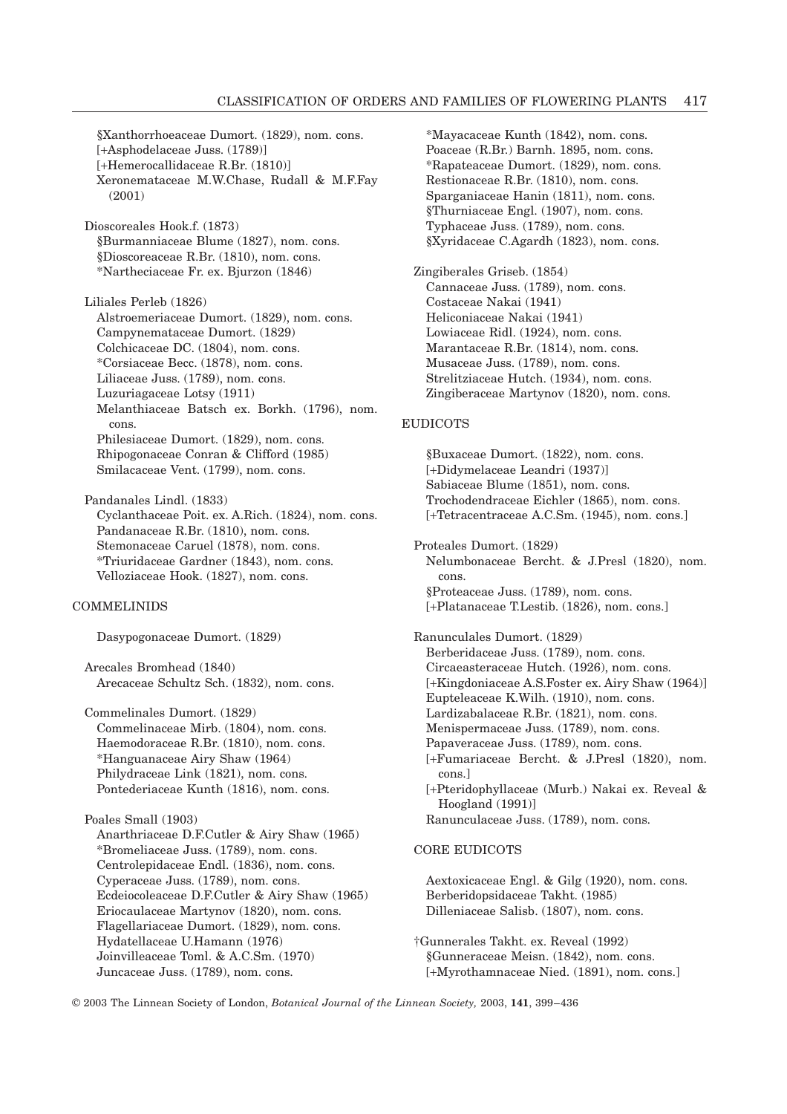§Xanthorrhoeaceae Dumort. (1829), nom. cons. [+Asphodelaceae Juss. (1789)] [+Hemerocallidaceae R.Br. (1810)] Xeronemataceae M.W.Chase, Rudall & M.F.Fay (2001) Dioscoreales Hook.f. (1873) §Burmanniaceae Blume (1827), nom. cons. §Dioscoreaceae R.Br. (1810), nom. cons. \*Nartheciaceae Fr. ex. Bjurzon (1846) Liliales Perleb (1826) Alstroemeriaceae Dumort. (1829), nom. cons. Campynemataceae Dumort. (1829) Colchicaceae DC. (1804), nom. cons. \*Corsiaceae Becc. (1878), nom. cons. Liliaceae Juss. (1789), nom. cons. Luzuriagaceae Lotsy (1911) Melanthiaceae Batsch ex. Borkh. (1796), nom. cons. Philesiaceae Dumort. (1829), nom. cons. Rhipogonaceae Conran & Clifford (1985) Smilacaceae Vent. (1799), nom. cons. Pandanales Lindl. (1833) Cyclanthaceae Poit. ex. A.Rich. (1824), nom. cons. Pandanaceae R.Br. (1810), nom. cons. Stemonaceae Caruel (1878), nom. cons. \*Triuridaceae Gardner (1843), nom. cons. Velloziaceae Hook. (1827), nom. cons.

# COMMELINIDS

Dasypogonaceae Dumort. (1829)

Arecales Bromhead (1840) Arecaceae Schultz Sch. (1832), nom. cons.

Commelinales Dumort. (1829) Commelinaceae Mirb. (1804), nom. cons. Haemodoraceae R.Br. (1810), nom. cons. \*Hanguanaceae Airy Shaw (1964) Philydraceae Link (1821), nom. cons. Pontederiaceae Kunth (1816), nom. cons.

Poales Small (1903) Anarthriaceae D.F.Cutler & Airy Shaw (1965) \*Bromeliaceae Juss. (1789), nom. cons. Centrolepidaceae Endl. (1836), nom. cons. Cyperaceae Juss. (1789), nom. cons. Ecdeiocoleaceae D.F.Cutler & Airy Shaw (1965) Eriocaulaceae Martynov (1820), nom. cons. Flagellariaceae Dumort. (1829), nom. cons. Hydatellaceae U.Hamann (1976) Joinvilleaceae Toml. & A.C.Sm. (1970) Juncaceae Juss. (1789), nom. cons.

\*Mayacaceae Kunth (1842), nom. cons. Poaceae (R.Br.) Barnh. 1895, nom. cons. \*Rapateaceae Dumort. (1829), nom. cons. Restionaceae R.Br. (1810), nom. cons. Sparganiaceae Hanin (1811), nom. cons. §Thurniaceae Engl. (1907), nom. cons. Typhaceae Juss. (1789), nom. cons. §Xyridaceae C.Agardh (1823), nom. cons.

Zingiberales Griseb. (1854) Cannaceae Juss. (1789), nom. cons. Costaceae Nakai (1941) Heliconiaceae Nakai (1941) Lowiaceae Ridl. (1924), nom. cons. Marantaceae R.Br. (1814), nom. cons. Musaceae Juss. (1789), nom. cons. Strelitziaceae Hutch. (1934), nom. cons. Zingiberaceae Martynov (1820), nom. cons.

## EUDICOTS

§Buxaceae Dumort. (1822), nom. cons. [+Didymelaceae Leandri (1937)] Sabiaceae Blume (1851), nom. cons. Trochodendraceae Eichler (1865), nom. cons. [+Tetracentraceae A.C.Sm. (1945), nom. cons.] Proteales Dumort. (1829)

Nelumbonaceae Bercht. & J.Presl (1820), nom. cons. §Proteaceae Juss. (1789), nom. cons. [+Platanaceae T.Lestib. (1826), nom. cons.]

Ranunculales Dumort. (1829) Berberidaceae Juss. (1789), nom. cons. Circaeasteraceae Hutch. (1926), nom. cons. [+Kingdoniaceae A.S.Foster ex. Airy Shaw (1964)] Eupteleaceae K.Wilh. (1910), nom. cons. Lardizabalaceae R.Br. (1821), nom. cons. Menispermaceae Juss. (1789), nom. cons. Papaveraceae Juss. (1789), nom. cons. [+Fumariaceae Bercht. & J.Presl (1820), nom. cons.] [+Pteridophyllaceae (Murb.) Nakai ex. Reveal & Hoogland (1991)] Ranunculaceae Juss. (1789), nom. cons.

# CORE EUDICOTS

Aextoxicaceae Engl. & Gilg (1920), nom. cons. Berberidopsidaceae Takht. (1985) Dilleniaceae Salisb. (1807), nom. cons.

†Gunnerales Takht. ex. Reveal (1992) §Gunneraceae Meisn. (1842), nom. cons. [+Myrothamnaceae Nied. (1891), nom. cons.]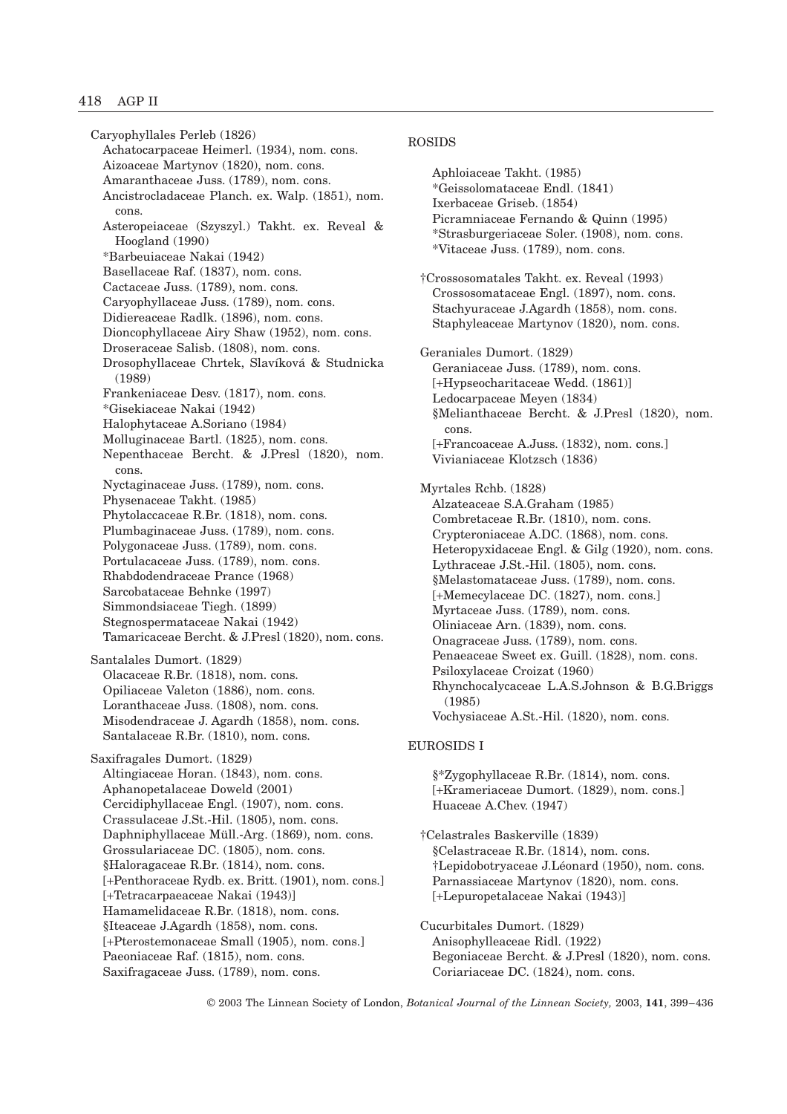Caryophyllales Perleb (1826) Achatocarpaceae Heimerl. (1934), nom. cons. Aizoaceae Martynov (1820), nom. cons. Amaranthaceae Juss. (1789), nom. cons. Ancistrocladaceae Planch. ex. Walp. (1851), nom. cons. Asteropeiaceae (Szyszyl.) Takht. ex. Reveal & Hoogland (1990) \*Barbeuiaceae Nakai (1942) Basellaceae Raf. (1837), nom. cons. Cactaceae Juss. (1789), nom. cons. Caryophyllaceae Juss. (1789), nom. cons. Didiereaceae Radlk. (1896), nom. cons. Dioncophyllaceae Airy Shaw (1952), nom. cons. Droseraceae Salisb. (1808), nom. cons. Drosophyllaceae Chrtek, Slavíková & Studnicka (1989) Frankeniaceae Desv. (1817), nom. cons. \*Gisekiaceae Nakai (1942) Halophytaceae A.Soriano (1984) Molluginaceae Bartl. (1825), nom. cons. Nepenthaceae Bercht. & J.Presl (1820), nom. cons. Nyctaginaceae Juss. (1789), nom. cons. Physenaceae Takht. (1985) Phytolaccaceae R.Br. (1818), nom. cons. Plumbaginaceae Juss. (1789), nom. cons. Polygonaceae Juss. (1789), nom. cons. Portulacaceae Juss. (1789), nom. cons. Rhabdodendraceae Prance (1968) Sarcobataceae Behnke (1997) Simmondsiaceae Tiegh. (1899) Stegnospermataceae Nakai (1942) Tamaricaceae Bercht. & J.Presl (1820), nom. cons. Santalales Dumort. (1829) Olacaceae R.Br. (1818), nom. cons. Opiliaceae Valeton (1886), nom. cons. Loranthaceae Juss. (1808), nom. cons. Misodendraceae J. Agardh (1858), nom. cons. Santalaceae R.Br. (1810), nom. cons. Saxifragales Dumort. (1829) Altingiaceae Horan. (1843), nom. cons. Aphanopetalaceae Doweld (2001) Cercidiphyllaceae Engl. (1907), nom. cons. Crassulaceae J.St.-Hil. (1805), nom. cons. Daphniphyllaceae Müll.-Arg. (1869), nom. cons. Grossulariaceae DC. (1805), nom. cons. §Haloragaceae R.Br. (1814), nom. cons. [+Penthoraceae Rydb. ex. Britt. (1901), nom. cons.] [+Tetracarpaeaceae Nakai (1943)] Hamamelidaceae R.Br. (1818), nom. cons. §Iteaceae J.Agardh (1858), nom. cons. [+Pterostemonaceae Small (1905), nom. cons.] Paeoniaceae Raf. (1815), nom. cons. Saxifragaceae Juss. (1789), nom. cons.

## ROSIDS

Aphloiaceae Takht. (1985) \*Geissolomataceae Endl. (1841) Ixerbaceae Griseb. (1854) Picramniaceae Fernando & Quinn (1995) \*Strasburgeriaceae Soler. (1908), nom. cons. \*Vitaceae Juss. (1789), nom. cons. †Crossosomatales Takht. ex. Reveal (1993) Crossosomataceae Engl. (1897), nom. cons. Stachyuraceae J.Agardh (1858), nom. cons. Staphyleaceae Martynov (1820), nom. cons. Geraniales Dumort. (1829) Geraniaceae Juss. (1789), nom. cons. [+Hypseocharitaceae Wedd. (1861)] Ledocarpaceae Meyen (1834) §Melianthaceae Bercht. & J.Presl (1820), nom. cons. [+Francoaceae A.Juss. (1832), nom. cons.] Vivianiaceae Klotzsch (1836) Myrtales Rchb. (1828) Alzateaceae S.A.Graham (1985) Combretaceae R.Br. (1810), nom. cons. Crypteroniaceae A.DC. (1868), nom. cons. Heteropyxidaceae Engl. & Gilg (1920), nom. cons. Lythraceae J.St.-Hil. (1805), nom. cons. §Melastomataceae Juss. (1789), nom. cons. [+Memecylaceae DC. (1827), nom. cons.] Myrtaceae Juss. (1789), nom. cons. Oliniaceae Arn. (1839), nom. cons. Onagraceae Juss. (1789), nom. cons. Penaeaceae Sweet ex. Guill. (1828), nom. cons. Psiloxylaceae Croizat (1960) Rhynchocalycaceae L.A.S.Johnson & B.G.Briggs (1985) Vochysiaceae A.St.-Hil. (1820), nom. cons. EUROSIDS I §\*Zygophyllaceae R.Br. (1814), nom. cons. [+Krameriaceae Dumort. (1829), nom. cons.] Huaceae A.Chev. (1947) †Celastrales Baskerville (1839)

§Celastraceae R.Br. (1814), nom. cons. †Lepidobotryaceae J.Léonard (1950), nom. cons. Parnassiaceae Martynov (1820), nom. cons. [+Lepuropetalaceae Nakai (1943)]

Cucurbitales Dumort. (1829) Anisophylleaceae Ridl. (1922) Begoniaceae Bercht. & J.Presl (1820), nom. cons. Coriariaceae DC. (1824), nom. cons.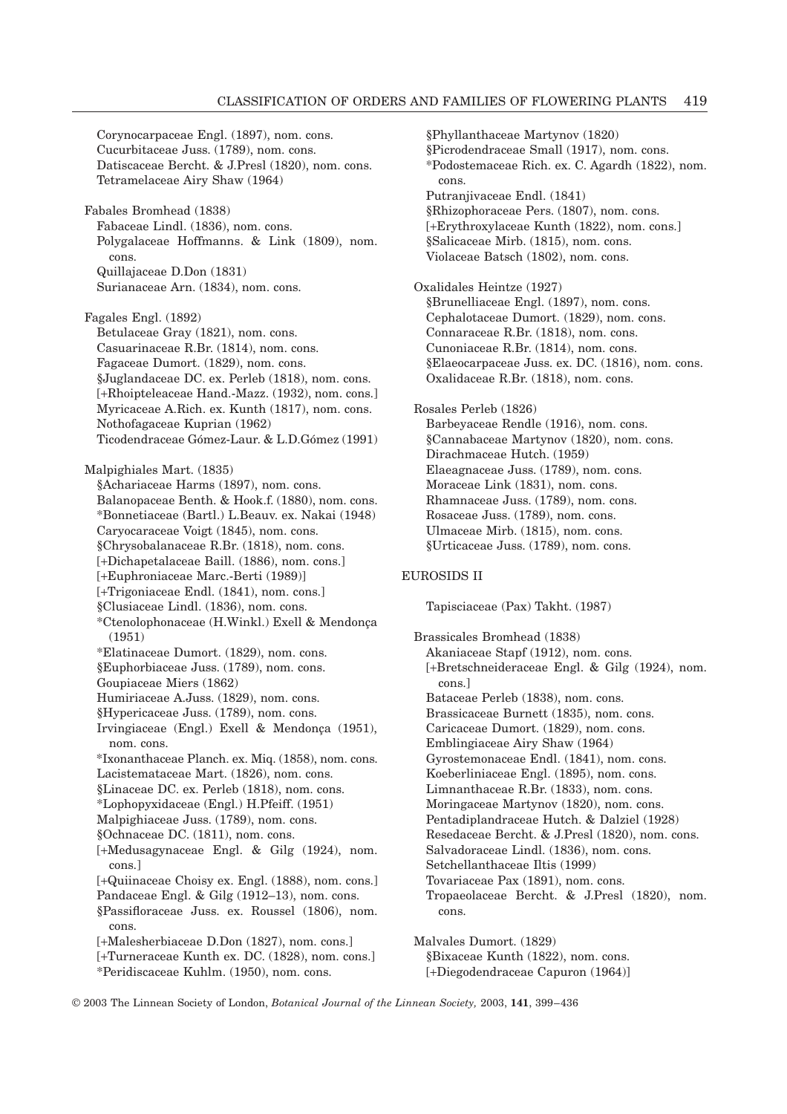Cucurbitaceae Juss. (1789), nom. cons. Datiscaceae Bercht. & J.Presl (1820), nom. cons. Tetramelaceae Airy Shaw (1964) Fabales Bromhead (1838) Fabaceae Lindl. (1836), nom. cons. Polygalaceae Hoffmanns. & Link (1809), nom. cons. Quillajaceae D.Don (1831) Surianaceae Arn. (1834), nom. cons. Fagales Engl. (1892) Betulaceae Gray (1821), nom. cons. Casuarinaceae R.Br. (1814), nom. cons. Fagaceae Dumort. (1829), nom. cons. §Juglandaceae DC. ex. Perleb (1818), nom. cons. [+Rhoipteleaceae Hand.-Mazz. (1932), nom. cons.] Myricaceae A.Rich. ex. Kunth (1817), nom. cons. Nothofagaceae Kuprian (1962) Ticodendraceae Gómez-Laur. & L.D.Gómez (1991) Malpighiales Mart. (1835) §Achariaceae Harms (1897), nom. cons. Balanopaceae Benth. & Hook.f. (1880), nom. cons. \*Bonnetiaceae (Bartl.) L.Beauv. ex. Nakai (1948) Caryocaraceae Voigt (1845), nom. cons. §Chrysobalanaceae R.Br. (1818), nom. cons. [+Dichapetalaceae Baill. (1886), nom. cons.] [+Euphroniaceae Marc.-Berti (1989)] [+Trigoniaceae Endl. (1841), nom. cons.] §Clusiaceae Lindl. (1836), nom. cons. \*Ctenolophonaceae (H.Winkl.) Exell & Mendonça (1951) \*Elatinaceae Dumort. (1829), nom. cons. §Euphorbiaceae Juss. (1789), nom. cons. Goupiaceae Miers (1862) Humiriaceae A.Juss. (1829), nom. cons. §Hypericaceae Juss. (1789), nom. cons. Irvingiaceae (Engl.) Exell & Mendonça (1951), nom. cons. \*Ixonanthaceae Planch. ex. Miq. (1858), nom. cons. Lacistemataceae Mart. (1826), nom. cons. §Linaceae DC. ex. Perleb (1818), nom. cons. \*Lophopyxidaceae (Engl.) H.Pfeiff. (1951) Malpighiaceae Juss. (1789), nom. cons. §Ochnaceae DC. (1811), nom. cons. [+Medusagynaceae Engl. & Gilg (1924), nom. cons.] [+Quiinaceae Choisy ex. Engl. (1888), nom. cons.] Pandaceae Engl. & Gilg (1912–13), nom. cons. §Passifloraceae Juss. ex. Roussel (1806), nom. cons. [+Malesherbiaceae D.Don (1827), nom. cons.] [+Turneraceae Kunth ex. DC. (1828), nom. cons.] \*Peridiscaceae Kuhlm. (1950), nom. cons.

Corynocarpaceae Engl. (1897), nom. cons.

§Phyllanthaceae Martynov (1820) §Picrodendraceae Small (1917), nom. cons. \*Podostemaceae Rich. ex. C. Agardh (1822), nom. cons. Putranjivaceae Endl. (1841) §Rhizophoraceae Pers. (1807), nom. cons. [+Erythroxylaceae Kunth (1822), nom. cons.] §Salicaceae Mirb. (1815), nom. cons. Violaceae Batsch (1802), nom. cons. Oxalidales Heintze (1927) §Brunelliaceae Engl. (1897), nom. cons. Cephalotaceae Dumort. (1829), nom. cons. Connaraceae R.Br. (1818), nom. cons. Cunoniaceae R.Br. (1814), nom. cons. §Elaeocarpaceae Juss. ex. DC. (1816), nom. cons. Oxalidaceae R.Br. (1818), nom. cons. Rosales Perleb (1826) Barbeyaceae Rendle (1916), nom. cons. §Cannabaceae Martynov (1820), nom. cons. Dirachmaceae Hutch. (1959) Elaeagnaceae Juss. (1789), nom. cons. Moraceae Link (1831), nom. cons. Rhamnaceae Juss. (1789), nom. cons. Rosaceae Juss. (1789), nom. cons. Ulmaceae Mirb. (1815), nom. cons. §Urticaceae Juss. (1789), nom. cons. Tapisciaceae (Pax) Takht. (1987) Brassicales Bromhead (1838) Akaniaceae Stapf (1912), nom. cons. cons.] Bataceae Perleb (1838), nom. cons. Brassicaceae Burnett (1835), nom. cons.

# EUROSIDS II

[+Bretschneideraceae Engl. & Gilg (1924), nom. Caricaceae Dumort. (1829), nom. cons. Emblingiaceae Airy Shaw (1964) Gyrostemonaceae Endl. (1841), nom. cons. Koeberliniaceae Engl. (1895), nom. cons. Limnanthaceae R.Br. (1833), nom. cons. Moringaceae Martynov (1820), nom. cons. Pentadiplandraceae Hutch. & Dalziel (1928) Resedaceae Bercht. & J.Presl (1820), nom. cons. Salvadoraceae Lindl. (1836), nom. cons. Setchellanthaceae Iltis (1999) Tovariaceae Pax (1891), nom. cons. Tropaeolaceae Bercht. & J.Presl (1820), nom. cons.

Malvales Dumort. (1829) §Bixaceae Kunth (1822), nom. cons. [+Diegodendraceae Capuron (1964)]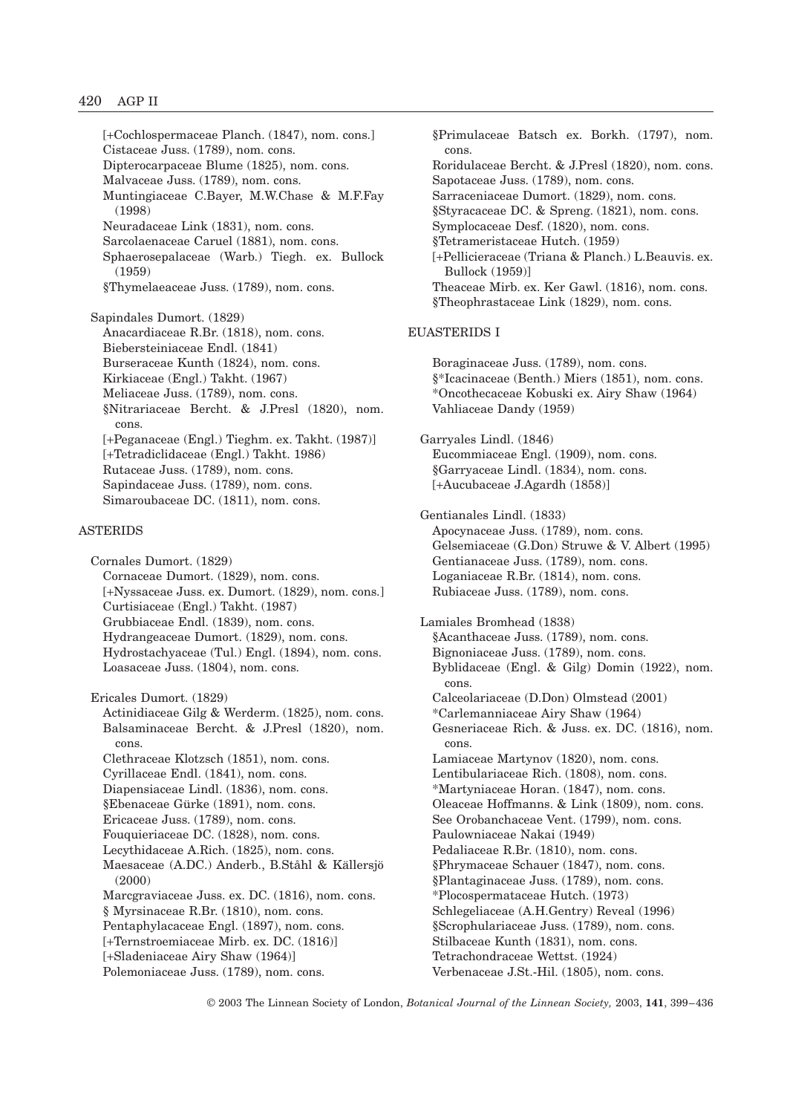[+Cochlospermaceae Planch. (1847), nom. cons.] Cistaceae Juss. (1789), nom. cons. Dipterocarpaceae Blume (1825), nom. cons. Malvaceae Juss. (1789), nom. cons. Muntingiaceae C.Bayer, M.W.Chase & M.F.Fay (1998) Neuradaceae Link (1831), nom. cons. Sarcolaenaceae Caruel (1881), nom. cons. Sphaerosepalaceae (Warb.) Tiegh. ex. Bullock (1959) §Thymelaeaceae Juss. (1789), nom. cons. Sapindales Dumort. (1829) Anacardiaceae R.Br. (1818), nom. cons. Biebersteiniaceae Endl. (1841) Burseraceae Kunth (1824), nom. cons. Kirkiaceae (Engl.) Takht. (1967) Meliaceae Juss. (1789), nom. cons. §Nitrariaceae Bercht. & J.Presl (1820), nom. cons. [+Peganaceae (Engl.) Tieghm. ex. Takht. (1987)] [+Tetradiclidaceae (Engl.) Takht. 1986) Rutaceae Juss. (1789), nom. cons. Sapindaceae Juss. (1789), nom. cons. Simaroubaceae DC. (1811), nom. cons.

# ASTERIDS

Cornales Dumort. (1829) Cornaceae Dumort. (1829), nom. cons. [+Nyssaceae Juss. ex. Dumort. (1829), nom. cons.] Curtisiaceae (Engl.) Takht. (1987) Grubbiaceae Endl. (1839), nom. cons. Hydrangeaceae Dumort. (1829), nom. cons. Hydrostachyaceae (Tul.) Engl. (1894), nom. cons. Loasaceae Juss. (1804), nom. cons.

Ericales Dumort. (1829)

Actinidiaceae Gilg & Werderm. (1825), nom. cons. Balsaminaceae Bercht. & J.Presl (1820), nom. cons. Clethraceae Klotzsch (1851), nom. cons. Cyrillaceae Endl. (1841), nom. cons. Diapensiaceae Lindl. (1836), nom. cons. §Ebenaceae Gürke (1891), nom. cons. Ericaceae Juss. (1789), nom. cons. Fouquieriaceae DC. (1828), nom. cons. Lecythidaceae A.Rich. (1825), nom. cons. Maesaceae (A.DC.) Anderb., B.Ståhl & Källersjö (2000) Marcgraviaceae Juss. ex. DC. (1816), nom. cons. § Myrsinaceae R.Br. (1810), nom. cons. Pentaphylacaceae Engl. (1897), nom. cons. [+Ternstroemiaceae Mirb. ex. DC. (1816)] [+Sladeniaceae Airy Shaw (1964)] Polemoniaceae Juss. (1789), nom. cons.

§Primulaceae Batsch ex. Borkh. (1797), nom. cons. Roridulaceae Bercht. & J.Presl (1820), nom. cons. Sapotaceae Juss. (1789), nom. cons. Sarraceniaceae Dumort. (1829), nom. cons. §Styracaceae DC. & Spreng. (1821), nom. cons. Symplocaceae Desf. (1820), nom. cons. §Tetrameristaceae Hutch. (1959) [+Pellicieraceae (Triana & Planch.) L.Beauvis. ex. Bullock (1959)] Theaceae Mirb. ex. Ker Gawl. (1816), nom. cons. §Theophrastaceae Link (1829), nom. cons.

## EUASTERIDS I

Boraginaceae Juss. (1789), nom. cons. §\*Icacinaceae (Benth.) Miers (1851), nom. cons. \*Oncothecaceae Kobuski ex. Airy Shaw (1964) Vahliaceae Dandy (1959)

Garryales Lindl. (1846) Eucommiaceae Engl. (1909), nom. cons. §Garryaceae Lindl. (1834), nom. cons. [+Aucubaceae J.Agardh (1858)]

Gentianales Lindl. (1833)

Apocynaceae Juss. (1789), nom. cons. Gelsemiaceae (G.Don) Struwe & V. Albert (1995) Gentianaceae Juss. (1789), nom. cons. Loganiaceae R.Br. (1814), nom. cons. Rubiaceae Juss. (1789), nom. cons.

Lamiales Bromhead (1838) §Acanthaceae Juss. (1789), nom. cons. Bignoniaceae Juss. (1789), nom. cons. Byblidaceae (Engl. & Gilg) Domin (1922), nom. cons. Calceolariaceae (D.Don) Olmstead (2001) \*Carlemanniaceae Airy Shaw (1964) Gesneriaceae Rich. & Juss. ex. DC. (1816), nom. cons. Lamiaceae Martynov (1820), nom. cons. Lentibulariaceae Rich. (1808), nom. cons. \*Martyniaceae Horan. (1847), nom. cons. Oleaceae Hoffmanns. & Link (1809), nom. cons. See Orobanchaceae Vent. (1799), nom. cons. Paulowniaceae Nakai (1949) Pedaliaceae R.Br. (1810), nom. cons. §Phrymaceae Schauer (1847), nom. cons. §Plantaginaceae Juss. (1789), nom. cons. \*Plocospermataceae Hutch. (1973) Schlegeliaceae (A.H.Gentry) Reveal (1996) §Scrophulariaceae Juss. (1789), nom. cons. Stilbaceae Kunth (1831), nom. cons. Tetrachondraceae Wettst. (1924) Verbenaceae J.St.-Hil. (1805), nom. cons.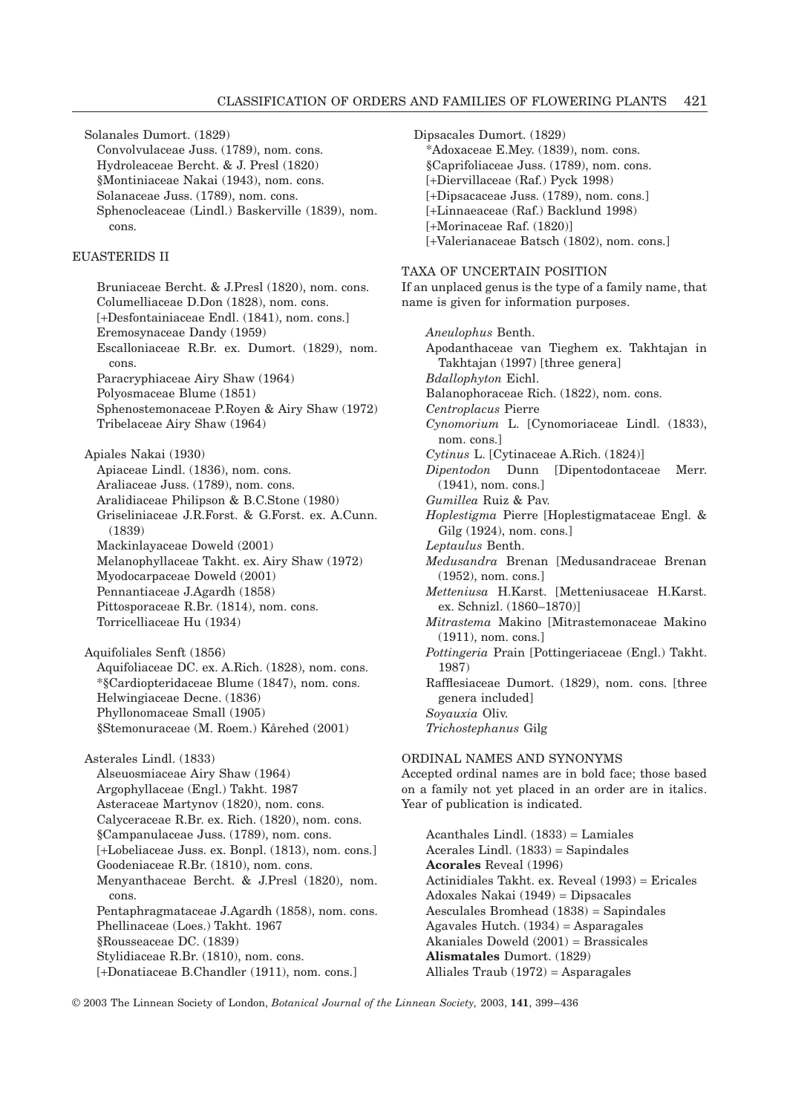Solanales Dumort. (1829) Convolvulaceae Juss. (1789), nom. cons. Hydroleaceae Bercht. & J. Presl (1820) §Montiniaceae Nakai (1943), nom. cons. Solanaceae Juss. (1789), nom. cons.

Sphenocleaceae (Lindl.) Baskerville (1839), nom. cons.

#### EUASTERIDS II

Bruniaceae Bercht. & J.Presl (1820), nom. cons. Columelliaceae D.Don (1828), nom. cons. [+Desfontainiaceae Endl. (1841), nom. cons.] Eremosynaceae Dandy (1959) Escalloniaceae R.Br. ex. Dumort. (1829), nom. cons. Paracryphiaceae Airy Shaw (1964) Polyosmaceae Blume (1851) Sphenostemonaceae P.Royen & Airy Shaw (1972) Tribelaceae Airy Shaw (1964) Apiales Nakai (1930) Apiaceae Lindl. (1836), nom. cons. Araliaceae Juss. (1789), nom. cons. Aralidiaceae Philipson & B.C.Stone (1980) Griseliniaceae J.R.Forst. & G.Forst. ex. A.Cunn. (1839) Mackinlayaceae Doweld (2001) Melanophyllaceae Takht. ex. Airy Shaw (1972) Myodocarpaceae Doweld (2001) Pennantiaceae J.Agardh (1858) Pittosporaceae R.Br. (1814), nom. cons. Torricelliaceae Hu (1934) Aquifoliales Senft (1856) Aquifoliaceae DC. ex. A.Rich. (1828), nom. cons. \*§Cardiopteridaceae Blume (1847), nom. cons. Helwingiaceae Decne. (1836) Phyllonomaceae Small (1905) §Stemonuraceae (M. Roem.) Kårehed (2001)

Asterales Lindl. (1833) Alseuosmiaceae Airy Shaw (1964) Argophyllaceae (Engl.) Takht. 1987 Asteraceae Martynov (1820), nom. cons. Calyceraceae R.Br. ex. Rich. (1820), nom. cons. §Campanulaceae Juss. (1789), nom. cons. [+Lobeliaceae Juss. ex. Bonpl. (1813), nom. cons.] Goodeniaceae R.Br. (1810), nom. cons. Menyanthaceae Bercht. & J.Presl (1820), nom. cons. Pentaphragmataceae J.Agardh (1858), nom. cons. Phellinaceae (Loes.) Takht. 1967 §Rousseaceae DC. (1839) Stylidiaceae R.Br. (1810), nom. cons. [+Donatiaceae B.Chandler (1911), nom. cons.]

Dipsacales Dumort. (1829) \*Adoxaceae E.Mey. (1839), nom. cons. §Caprifoliaceae Juss. (1789), nom. cons. [+Diervillaceae (Raf.) Pyck 1998) [+Dipsacaceae Juss. (1789), nom. cons.] [+Linnaeaceae (Raf.) Backlund 1998) [+Morinaceae Raf. (1820)] [+Valerianaceae Batsch (1802), nom. cons.]

# TAXA OF UNCERTAIN POSITION

If an unplaced genus is the type of a family name, that name is given for information purposes.

*Aneulophus* Benth. Apodanthaceae van Tieghem ex. Takhtajan in Takhtajan (1997) [three genera] *Bdallophyton* Eichl. Balanophoraceae Rich. (1822), nom. cons. *Centroplacus* Pierre *Cynomorium* L. [Cynomoriaceae Lindl. (1833), nom. cons.] *Cytinus* L. [Cytinaceae A.Rich. (1824)] *Dipentodon* Dunn [Dipentodontaceae Merr. (1941), nom. cons.] *Gumillea* Ruiz & Pav. *Hoplestigma* Pierre [Hoplestigmataceae Engl. & Gilg (1924), nom. cons.] *Leptaulus* Benth. *Medusandra* Brenan [Medusandraceae Brenan (1952), nom. cons.] *Metteniusa* H.Karst. [Metteniusaceae H.Karst. ex. Schnizl. (1860–1870)] *Mitrastema* Makino [Mitrastemonaceae Makino (1911), nom. cons.] *Pottingeria* Prain [Pottingeriaceae (Engl.) Takht. 1987) Rafflesiaceae Dumort. (1829), nom. cons. [three genera included] *Soyauxia* Oliv. *Trichostephanus* Gilg

## ORDINAL NAMES AND SYNONYMS

Accepted ordinal names are in bold face; those based on a family not yet placed in an order are in italics. Year of publication is indicated.

Acanthales Lindl. (1833) = Lamiales Acerales Lindl. (1833) = Sapindales **Acorales** Reveal (1996) Actinidiales Takht. ex. Reveal (1993) = Ericales Adoxales Nakai (1949) = Dipsacales Aesculales Bromhead (1838) = Sapindales Agavales Hutch. (1934) = Asparagales Akaniales Doweld (2001) = Brassicales **Alismatales** Dumort. (1829) Alliales Traub (1972) = Asparagales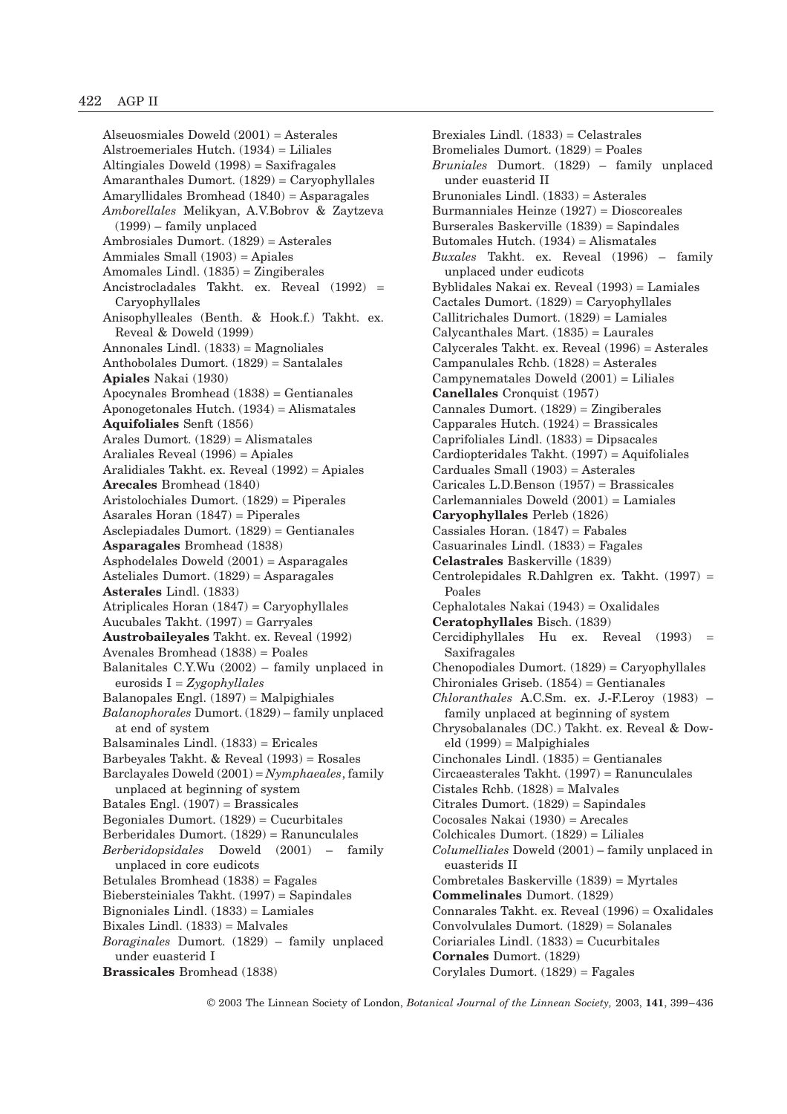Alseuosmiales Doweld (2001) = Asterales Alstroemeriales Hutch. (1934) = Liliales Altingiales Doweld (1998) = Saxifragales Amaranthales Dumort. (1829) = Caryophyllales Amaryllidales Bromhead (1840) = Asparagales *Amborellales* Melikyan, A.V.Bobrov & Zaytzeva (1999) – family unplaced Ambrosiales Dumort. (1829) = Asterales Ammiales Small (1903) = Apiales Amomales Lindl. (1835) = Zingiberales Ancistrocladales Takht. ex. Reveal (1992) = Caryophyllales Anisophylleales (Benth. & Hook.f.) Takht. ex. Reveal & Doweld (1999) Annonales Lindl. (1833) = Magnoliales Anthobolales Dumort. (1829) = Santalales **Apiales** Nakai (1930) Apocynales Bromhead (1838) = Gentianales Aponogetonales Hutch. (1934) = Alismatales **Aquifoliales** Senft (1856) Arales Dumort. (1829) = Alismatales Araliales Reveal (1996) = Apiales Aralidiales Takht. ex. Reveal (1992) = Apiales **Arecales** Bromhead (1840) Aristolochiales Dumort. (1829) = Piperales Asarales Horan (1847) = Piperales Asclepiadales Dumort. (1829) = Gentianales **Asparagales** Bromhead (1838) Asphodelales Doweld (2001) = Asparagales Asteliales Dumort. (1829) = Asparagales **Asterales** Lindl. (1833) Atriplicales Horan (1847) = Caryophyllales Aucubales Takht. (1997) = Garryales **Austrobaileyales** Takht. ex. Reveal (1992) Avenales Bromhead (1838) = Poales Balanitales C.Y.Wu (2002) – family unplaced in eurosids I = *Zygophyllales* Balanopales Engl. (1897) = Malpighiales *Balanophorales* Dumort. (1829) – family unplaced at end of system Balsaminales Lindl. (1833) = Ericales Barbeyales Takht. & Reveal (1993) = Rosales Barclayales Doweld (2001) = *Nymphaeales*, family unplaced at beginning of system Batales Engl. (1907) = Brassicales Begoniales Dumort. (1829) = Cucurbitales Berberidales Dumort. (1829) = Ranunculales *Berberidopsidales* Doweld (2001) – family unplaced in core eudicots Betulales Bromhead (1838) = Fagales Biebersteiniales Takht. (1997) = Sapindales Bignoniales Lindl. (1833) = Lamiales Bixales Lindl. (1833) = Malvales *Boraginales* Dumort. (1829) – family unplaced under euasterid I **Brassicales** Bromhead (1838)

Brexiales Lindl. (1833) = Celastrales Bromeliales Dumort. (1829) = Poales *Bruniales* Dumort. (1829) – family unplaced under euasterid II Brunoniales Lindl. (1833) = Asterales Burmanniales Heinze (1927) = Dioscoreales Burserales Baskerville (1839) = Sapindales Butomales Hutch. (1934) = Alismatales *Buxales* Takht. ex. Reveal (1996) – family unplaced under eudicots Byblidales Nakai ex. Reveal (1993) = Lamiales Cactales Dumort. (1829) = Caryophyllales Callitrichales Dumort. (1829) = Lamiales Calycanthales Mart. (1835) = Laurales Calycerales Takht. ex. Reveal (1996) = Asterales Campanulales Rchb. (1828) = Asterales Campynematales Doweld (2001) = Liliales **Canellales** Cronquist (1957) Cannales Dumort. (1829) = Zingiberales Capparales Hutch. (1924) = Brassicales Caprifoliales Lindl. (1833) = Dipsacales Cardiopteridales Takht. (1997) = Aquifoliales Carduales Small (1903) = Asterales Caricales L.D.Benson (1957) = Brassicales Carlemanniales Doweld (2001) = Lamiales **Caryophyllales** Perleb (1826) Cassiales Horan. (1847) = Fabales Casuarinales Lindl. (1833) = Fagales **Celastrales** Baskerville (1839) Centrolepidales R.Dahlgren ex. Takht. (1997) = Poales Cephalotales Nakai (1943) = Oxalidales **Ceratophyllales** Bisch. (1839) Cercidiphyllales Hu ex. Reveal  $(1993)$  = Saxifragales Chenopodiales Dumort. (1829) = Caryophyllales Chironiales Griseb. (1854) = Gentianales *Chloranthales* A.C.Sm. ex. J.-F.Leroy (1983) – family unplaced at beginning of system Chrysobalanales (DC.) Takht. ex. Reveal & Doweld (1999) = Malpighiales Cinchonales Lindl. (1835) = Gentianales Circaeasterales Takht. (1997) = Ranunculales Cistales Rchb. (1828) = Malvales Citrales Dumort. (1829) = Sapindales Cocosales Nakai (1930) = Arecales Colchicales Dumort. (1829) = Liliales *Columelliales* Doweld (2001) – family unplaced in euasterids II Combretales Baskerville (1839) = Myrtales **Commelinales** Dumort. (1829) Connarales Takht. ex. Reveal (1996) = Oxalidales Convolvulales Dumort. (1829) = Solanales Coriariales Lindl. (1833) = Cucurbitales **Cornales** Dumort. (1829) Corylales Dumort. (1829) = Fagales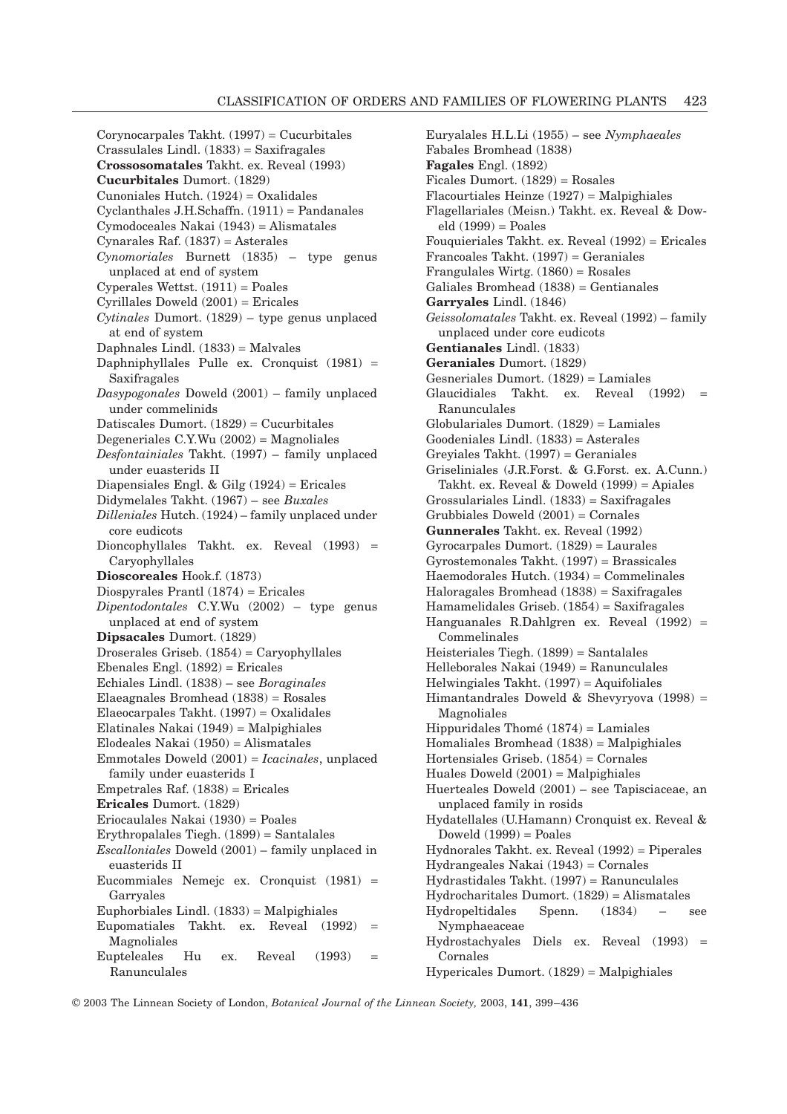Corynocarpales Takht. (1997) = Cucurbitales Crassulales Lindl. (1833) = Saxifragales **Crossosomatales** Takht. ex. Reveal (1993) **Cucurbitales** Dumort. (1829) Cunoniales Hutch. (1924) = Oxalidales Cyclanthales J.H.Schaffn. (1911) = Pandanales Cymodoceales Nakai (1943) = Alismatales Cynarales Raf. (1837) = Asterales *Cynomoriales* Burnett (1835) – type genus unplaced at end of system Cyperales Wettst. (1911) = Poales Cyrillales Doweld (2001) = Ericales *Cytinales* Dumort. (1829) – type genus unplaced at end of system Daphnales Lindl. (1833) = Malvales Daphniphyllales Pulle ex. Cronquist (1981) = Saxifragales *Dasypogonales* Doweld (2001) – family unplaced under commelinids Datiscales Dumort. (1829) = Cucurbitales Degeneriales C.Y.Wu (2002) = Magnoliales *Desfontainiales* Takht. (1997) – family unplaced under euasterids II Diapensiales Engl. & Gilg (1924) = Ericales Didymelales Takht. (1967) – see *Buxales Dilleniales* Hutch. (1924) – family unplaced under core eudicots Dioncophyllales Takht. ex. Reveal (1993) = Caryophyllales **Dioscoreales** Hook.f. (1873) Diospyrales Prantl (1874) = Ericales *Dipentodontales* C.Y.Wu (2002) – type genus unplaced at end of system **Dipsacales** Dumort. (1829) Droserales Griseb. (1854) = Caryophyllales Ebenales Engl. (1892) = Ericales Echiales Lindl. (1838) – see *Boraginales* Elaeagnales Bromhead (1838) = Rosales Elaeocarpales Takht. (1997) = Oxalidales Elatinales Nakai (1949) = Malpighiales Elodeales Nakai (1950) = Alismatales Emmotales Doweld (2001) = *Icacinales*, unplaced family under euasterids I Empetrales Raf. (1838) = Ericales **Ericales** Dumort. (1829) Eriocaulales Nakai (1930) = Poales Erythropalales Tiegh. (1899) = Santalales *Escalloniales* Doweld (2001) – family unplaced in euasterids II Eucommiales Nemejc ex. Cronquist (1981) = Garryales Euphorbiales Lindl. (1833) = Malpighiales Eupomatiales Takht. ex. Reveal (1992) = Magnoliales Eupteleales Hu ex. Reveal (1993) = Ranunculales

Euryalales H.L.Li (1955) – see *Nymphaeales* Fabales Bromhead (1838) **Fagales** Engl. (1892) Ficales Dumort. (1829) = Rosales Flacourtiales Heinze (1927) = Malpighiales Flagellariales (Meisn.) Takht. ex. Reveal & Doweld (1999) = Poales Fouquieriales Takht. ex. Reveal (1992) = Ericales Francoales Takht. (1997) = Geraniales Frangulales Wirtg. (1860) = Rosales Galiales Bromhead (1838) = Gentianales **Garryales** Lindl. (1846) *Geissolomatales* Takht. ex. Reveal (1992) – family unplaced under core eudicots **Gentianales** Lindl. (1833) **Geraniales** Dumort. (1829) Gesneriales Dumort. (1829) = Lamiales Glaucidiales Takht. ex. Reveal (1992) = Ranunculales Globulariales Dumort. (1829) = Lamiales Goodeniales Lindl. (1833) = Asterales Greyiales Takht. (1997) = Geraniales Griseliniales (J.R.Forst. & G.Forst. ex. A.Cunn.) Takht. ex. Reveal & Doweld  $(1999)$  = Apiales Grossulariales Lindl. (1833) = Saxifragales Grubbiales Doweld (2001) = Cornales **Gunnerales** Takht. ex. Reveal (1992) Gyrocarpales Dumort. (1829) = Laurales Gyrostemonales Takht. (1997) = Brassicales Haemodorales Hutch. (1934) = Commelinales Haloragales Bromhead (1838) = Saxifragales Hamamelidales Griseb. (1854) = Saxifragales Hanguanales R.Dahlgren ex. Reveal (1992) = Commelinales Heisteriales Tiegh. (1899) = Santalales Helleborales Nakai (1949) = Ranunculales Helwingiales Takht. (1997) = Aquifoliales Himantandrales Doweld & Shevyryova (1998) = Magnoliales Hippuridales Thomé (1874) = Lamiales Homaliales Bromhead (1838) = Malpighiales Hortensiales Griseb. (1854) = Cornales Huales Doweld (2001) = Malpighiales Huerteales Doweld (2001) – see Tapisciaceae, an unplaced family in rosids Hydatellales (U.Hamann) Cronquist ex. Reveal & Doweld  $(1999)$  = Poales Hydnorales Takht. ex. Reveal (1992) = Piperales Hydrangeales Nakai (1943) = Cornales Hydrastidales Takht. (1997) = Ranunculales Hydrocharitales Dumort. (1829) = Alismatales Hydropeltidales Spenn. (1834) – see Nymphaeaceae Hydrostachyales Diels ex. Reveal (1993) = Cornales Hypericales Dumort. (1829) = Malpighiales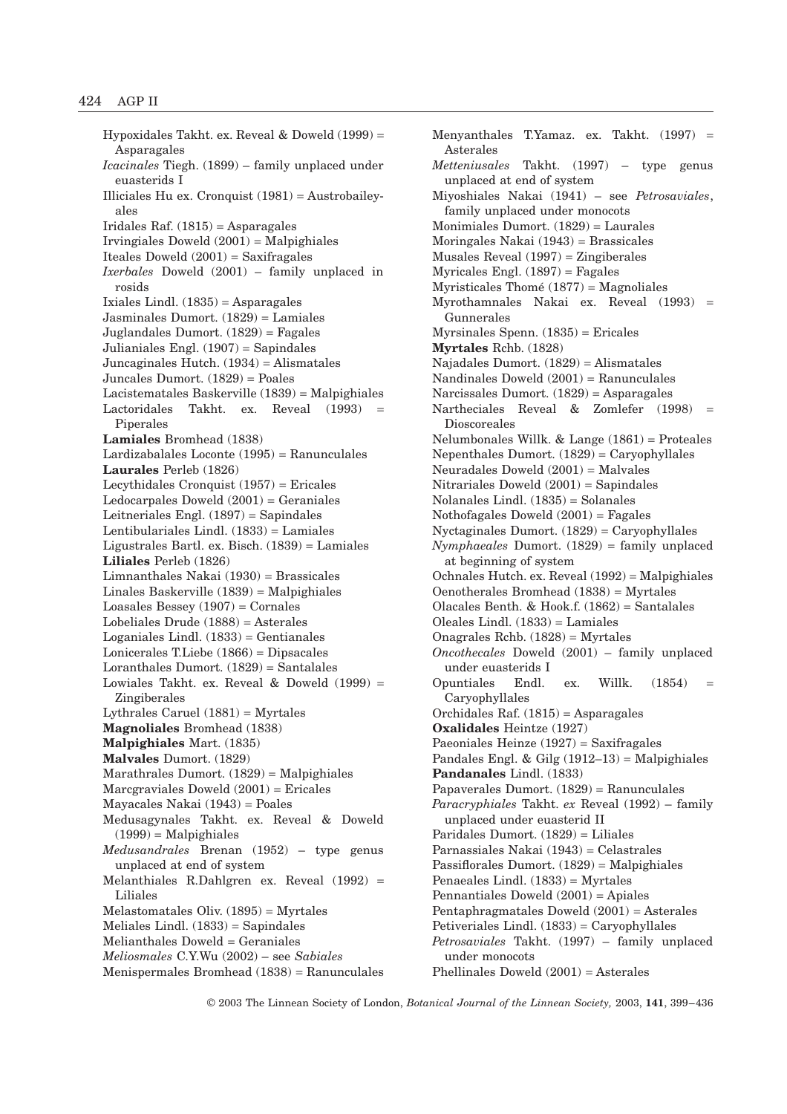Hypoxidales Takht. ex. Reveal & Doweld (1999) = Asparagales *Icacinales* Tiegh. (1899) – family unplaced under euasterids I Illiciales Hu ex. Cronquist (1981) = Austrobaileyales Iridales Raf. (1815) = Asparagales Irvingiales Doweld (2001) = Malpighiales Iteales Doweld  $(2001)$  = Saxifragales *Ixerbales* Doweld (2001) – family unplaced in rosids Ixiales Lindl. (1835) = Asparagales Jasminales Dumort. (1829) = Lamiales Juglandales Dumort. (1829) = Fagales Julianiales Engl. (1907) = Sapindales Juncaginales Hutch. (1934) = Alismatales Juncales Dumort. (1829) = Poales Lacistematales Baskerville (1839) = Malpighiales Lactoridales Takht. ex. Reveal (1993) = Piperales **Lamiales** Bromhead (1838) Lardizabalales Loconte (1995) = Ranunculales **Laurales** Perleb (1826) Lecythidales Cronquist (1957) = Ericales Ledocarpales Doweld  $(2001)$  = Geraniales Leitneriales Engl. (1897) = Sapindales Lentibulariales Lindl. (1833) = Lamiales Ligustrales Bartl. ex. Bisch. (1839) = Lamiales **Liliales** Perleb (1826) Limnanthales Nakai (1930) = Brassicales Linales Baskerville (1839) = Malpighiales Loasales Bessey (1907) = Cornales Lobeliales Drude (1888) = Asterales Loganiales Lindl. (1833) = Gentianales Lonicerales T.Liebe (1866) = Dipsacales Loranthales Dumort. (1829) = Santalales Lowiales Takht. ex. Reveal & Doweld  $(1999)$  = Zingiberales Lythrales Caruel (1881) = Myrtales **Magnoliales** Bromhead (1838) **Malpighiales** Mart. (1835) **Malvales** Dumort. (1829) Marathrales Dumort. (1829) = Malpighiales Marcgraviales Doweld (2001) = Ericales Mayacales Nakai (1943) = Poales Medusagynales Takht. ex. Reveal & Doweld  $(1999)$  = Malpighiales *Medusandrales* Brenan (1952) – type genus unplaced at end of system Melanthiales R.Dahlgren ex. Reveal (1992) = Liliales Melastomatales Oliv. (1895) = Myrtales Meliales Lindl. (1833) = Sapindales Melianthales Doweld = Geraniales *Meliosmales* C.Y.Wu (2002) – see *Sabiales* Menispermales Bromhead (1838) = Ranunculales

Menyanthales T.Yamaz. ex. Takht. (1997) = Asterales *Metteniusales* Takht. (1997) – type genus unplaced at end of system Miyoshiales Nakai (1941) – see *Petrosaviales*, family unplaced under monocots Monimiales Dumort. (1829) = Laurales Moringales Nakai (1943) = Brassicales Musales Reveal (1997) = Zingiberales Myricales Engl.  $(1897)$  = Fagales Myristicales Thomé  $(1877)$  = Magnoliales Myrothamnales Nakai ex. Reveal (1993) = Gunnerales Myrsinales Spenn. (1835) = Ericales **Myrtales** Rchb. (1828) Najadales Dumort. (1829) = Alismatales Nandinales Doweld (2001) = Ranunculales Narcissales Dumort. (1829) = Asparagales Nartheciales Reveal & Zomlefer (1998) = Dioscoreales Nelumbonales Willk. & Lange (1861) = Proteales Nepenthales Dumort. (1829) = Caryophyllales Neuradales Doweld (2001) = Malvales Nitrariales Doweld (2001) = Sapindales Nolanales Lindl. (1835) = Solanales Nothofagales Doweld  $(2001)$  = Fagales Nyctaginales Dumort. (1829) = Caryophyllales *Nymphaeales* Dumort. (1829) = family unplaced at beginning of system Ochnales Hutch. ex. Reveal (1992) = Malpighiales Oenotherales Bromhead (1838) = Myrtales Olacales Benth. & Hook.f. (1862) = Santalales Oleales Lindl. (1833) = Lamiales Onagrales Rchb. (1828) = Myrtales *Oncothecales* Doweld (2001) – family unplaced under euasterids I Opuntiales Endl. ex. Willk. (1854) = Caryophyllales Orchidales Raf. (1815) = Asparagales **Oxalidales** Heintze (1927) Paeoniales Heinze (1927) = Saxifragales Pandales Engl. & Gilg  $(1912-13)$  = Malpighiales **Pandanales** Lindl. (1833) Papaverales Dumort. (1829) = Ranunculales *Paracryphiales* Takht. *ex* Reveal (1992) – family unplaced under euasterid II Paridales Dumort. (1829) = Liliales Parnassiales Nakai (1943) = Celastrales Passiflorales Dumort. (1829) = Malpighiales Penaeales Lindl. (1833) = Myrtales Pennantiales Doweld (2001) = Apiales Pentaphragmatales Doweld (2001) = Asterales Petiveriales Lindl. (1833) = Caryophyllales *Petrosaviales* Takht. (1997) – family unplaced under monocots Phellinales Doweld (2001) = Asterales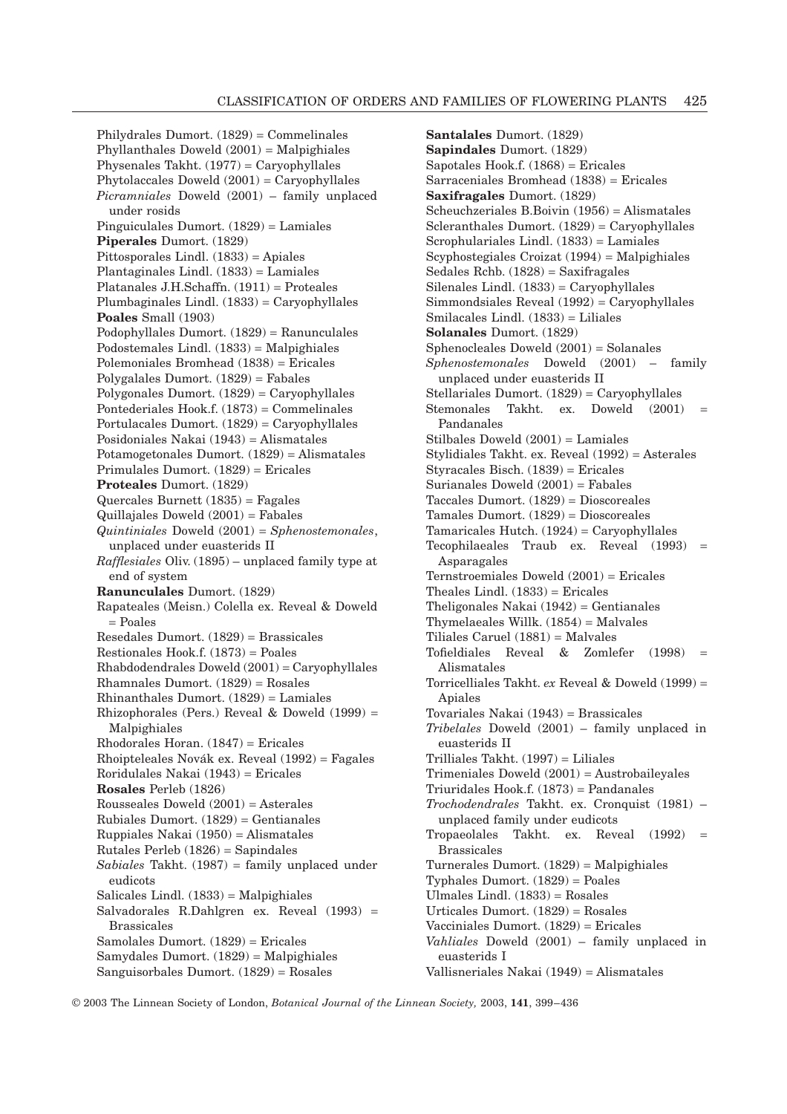Philydrales Dumort. (1829) = Commelinales Phyllanthales Doweld (2001) = Malpighiales Physenales Takht. (1977) = Caryophyllales Phytolaccales Doweld (2001) = Caryophyllales *Picramniales* Doweld (2001) – family unplaced under rosids Pinguiculales Dumort. (1829) = Lamiales **Piperales** Dumort. (1829) Pittosporales Lindl. (1833) = Apiales Plantaginales Lindl. (1833) = Lamiales Platanales J.H.Schaffn. (1911) = Proteales Plumbaginales Lindl. (1833) = Caryophyllales **Poales** Small (1903) Podophyllales Dumort. (1829) = Ranunculales Podostemales Lindl. (1833) = Malpighiales Polemoniales Bromhead (1838) = Ericales Polygalales Dumort. (1829) = Fabales Polygonales Dumort. (1829) = Caryophyllales Pontederiales Hook.f. (1873) = Commelinales Portulacales Dumort. (1829) = Caryophyllales Posidoniales Nakai (1943) = Alismatales Potamogetonales Dumort. (1829) = Alismatales Primulales Dumort. (1829) = Ericales **Proteales** Dumort. (1829) Quercales Burnett (1835) = Fagales Quillajales Doweld (2001) = Fabales *Quintiniales* Doweld (2001) = *Sphenostemonales*, unplaced under euasterids II *Rafflesiales* Oliv. (1895) – unplaced family type at end of system **Ranunculales** Dumort. (1829) Rapateales (Meisn.) Colella ex. Reveal & Doweld = Poales Resedales Dumort. (1829) = Brassicales Restionales Hook.f. (1873) = Poales Rhabdodendrales Doweld (2001) = Caryophyllales Rhamnales Dumort. (1829) = Rosales Rhinanthales Dumort. (1829) = Lamiales Rhizophorales (Pers.) Reveal & Doweld (1999) = Malpighiales Rhodorales Horan. (1847) = Ericales Rhoipteleales Novák ex. Reveal (1992) = Fagales Roridulales Nakai (1943) = Ericales **Rosales** Perleb (1826) Rousseales Doweld (2001) = Asterales Rubiales Dumort. (1829) = Gentianales Ruppiales Nakai (1950) = Alismatales Rutales Perleb (1826) = Sapindales *Sabiales* Takht. (1987) = family unplaced under eudicots Salicales Lindl. (1833) = Malpighiales Salvadorales R.Dahlgren ex. Reveal (1993) = Brassicales Samolales Dumort. (1829) = Ericales Samydales Dumort. (1829) = Malpighiales

Sanguisorbales Dumort. (1829) = Rosales

**Santalales** Dumort. (1829) **Sapindales** Dumort. (1829) Sapotales Hook.f. (1868) = Ericales Sarraceniales Bromhead (1838) = Ericales **Saxifragales** Dumort. (1829) Scheuchzeriales B.Boivin (1956) = Alismatales Scleranthales Dumort. (1829) = Caryophyllales Scrophulariales Lindl. (1833) = Lamiales Scyphostegiales Croizat (1994) = Malpighiales Sedales Rchb. (1828) = Saxifragales Silenales Lindl. (1833) = Caryophyllales Simmondsiales Reveal (1992) = Caryophyllales Smilacales Lindl. (1833) = Liliales **Solanales** Dumort. (1829) Sphenocleales Doweld (2001) = Solanales *Sphenostemonales* Doweld (2001) – family unplaced under euasterids II Stellariales Dumort. (1829) = Caryophyllales Stemonales Takht. ex. Doweld (2001) = Pandanales Stilbales Doweld (2001) = Lamiales Stylidiales Takht. ex. Reveal (1992) = Asterales Styracales Bisch. (1839) = Ericales Surianales Doweld (2001) = Fabales Taccales Dumort. (1829) = Dioscoreales Tamales Dumort. (1829) = Dioscoreales Tamaricales Hutch. (1924) = Caryophyllales Tecophilaeales Traub ex. Reveal (1993) = Asparagales Ternstroemiales Doweld (2001) = Ericales Theales Lindl. (1833) = Ericales Theligonales Nakai (1942) = Gentianales Thymelaeales Willk. (1854) = Malvales Tiliales Caruel (1881) = Malvales Tofieldiales Reveal & Zomlefer (1998) = Alismatales Torricelliales Takht. *ex* Reveal & Doweld (1999) = Apiales Tovariales Nakai (1943) = Brassicales *Tribelales* Doweld (2001) – family unplaced in euasterids II Trilliales Takht. (1997) = Liliales Trimeniales Doweld (2001) = Austrobaileyales Triuridales Hook.f. (1873) = Pandanales *Trochodendrales* Takht. ex. Cronquist (1981) – unplaced family under eudicots Tropaeolales Takht. ex. Reveal (1992) = Brassicales Turnerales Dumort. (1829) = Malpighiales Typhales Dumort. (1829) = Poales Ulmales Lindl. (1833) = Rosales Urticales Dumort. (1829) = Rosales Vacciniales Dumort. (1829) = Ericales *Vahliales* Doweld (2001) – family unplaced in euasterids I Vallisneriales Nakai (1949) = Alismatales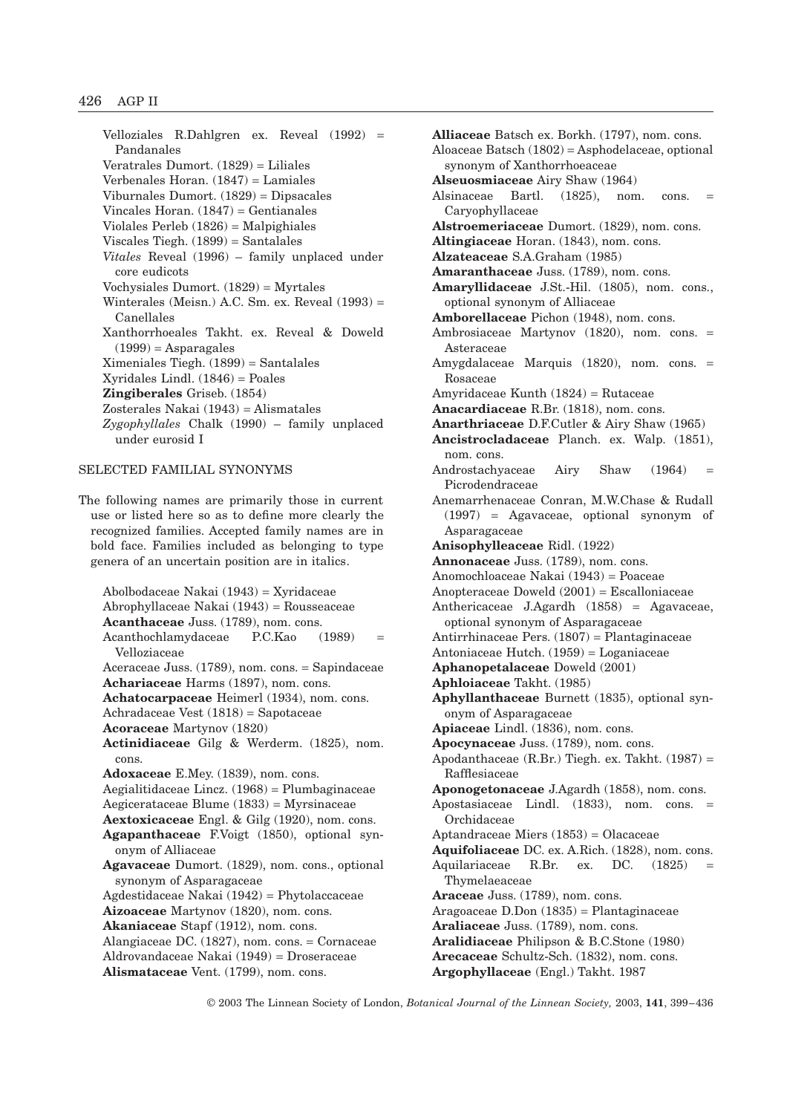Velloziales R.Dahlgren ex. Reveal (1992) = Pandanales Veratrales Dumort. (1829) = Liliales Verbenales Horan. (1847) = Lamiales Viburnales Dumort. (1829) = Dipsacales Vincales Horan. (1847) = Gentianales Violales Perleb (1826) = Malpighiales Viscales Tiegh. (1899) = Santalales *Vitales* Reveal (1996) – family unplaced under core eudicots Vochysiales Dumort. (1829) = Myrtales Winterales (Meisn.) A.C. Sm. ex. Reveal  $(1993)$  = Canellales Xanthorrhoeales Takht. ex. Reveal & Doweld  $(1999)$  = Asparagales Ximeniales Tiegh. (1899) = Santalales Xyridales Lindl. (1846) = Poales **Zingiberales** Griseb. (1854) Zosterales Nakai (1943) = Alismatales *Zygophyllales* Chalk (1990) – family unplaced under eurosid I

## SELECTED FAMILIAL SYNONYMS

The following names are primarily those in current use or listed here so as to define more clearly the recognized families. Accepted family names are in bold face. Families included as belonging to type genera of an uncertain position are in italics.

Abolbodaceae Nakai (1943) = Xyridaceae Abrophyllaceae Nakai (1943) = Rousseaceae **Acanthaceae** Juss. (1789), nom. cons. Acanthochlamydaceae P.C.Kao (1989) = Velloziaceae Aceraceae Juss. (1789), nom. cons. = Sapindaceae **Achariaceae** Harms (1897), nom. cons. **Achatocarpaceae** Heimerl (1934), nom. cons. Achradaceae Vest (1818) = Sapotaceae **Acoraceae** Martynov (1820) **Actinidiaceae** Gilg & Werderm. (1825), nom. cons. **Adoxaceae** E.Mey. (1839), nom. cons. Aegialitidaceae Lincz. (1968) = Plumbaginaceae Aegicerataceae Blume (1833) = Myrsinaceae **Aextoxicaceae** Engl. & Gilg (1920), nom. cons. **Agapanthaceae** F.Voigt (1850), optional synonym of Alliaceae **Agavaceae** Dumort. (1829), nom. cons., optional synonym of Asparagaceae Agdestidaceae Nakai (1942) = Phytolaccaceae **Aizoaceae** Martynov (1820), nom. cons. **Akaniaceae** Stapf (1912), nom. cons. Alangiaceae DC. (1827), nom. cons. = Cornaceae Aldrovandaceae Nakai (1949) = Droseraceae **Alismataceae** Vent. (1799), nom. cons.

**Alliaceae** Batsch ex. Borkh. (1797), nom. cons. Aloaceae Batsch (1802) = Asphodelaceae, optional synonym of Xanthorrhoeaceae **Alseuosmiaceae** Airy Shaw (1964) Alsinaceae Bartl. (1825), nom. cons. = Caryophyllaceae **Alstroemeriaceae** Dumort. (1829), nom. cons. **Altingiaceae** Horan. (1843), nom. cons. **Alzateaceae** S.A.Graham (1985) **Amaranthaceae** Juss. (1789), nom. cons. **Amaryllidaceae** J.St.-Hil. (1805), nom. cons., optional synonym of Alliaceae **Amborellaceae** Pichon (1948), nom. cons. Ambrosiaceae Martynov (1820), nom. cons. = Asteraceae Amygdalaceae Marquis (1820), nom. cons. = Rosaceae Amyridaceae Kunth (1824) = Rutaceae **Anacardiaceae** R.Br. (1818), nom. cons. **Anarthriaceae** D.F.Cutler & Airy Shaw (1965) **Ancistrocladaceae** Planch. ex. Walp. (1851), nom. cons. Androstachyaceae Airy Shaw (1964) = Picrodendraceae Anemarrhenaceae Conran, M.W.Chase & Rudall (1997) = Agavaceae, optional synonym of Asparagaceae **Anisophylleaceae** Ridl. (1922) **Annonaceae** Juss. (1789), nom. cons. Anomochloaceae Nakai (1943) = Poaceae Anopteraceae Doweld (2001) = Escalloniaceae Anthericaceae J.Agardh (1858) = Agavaceae, optional synonym of Asparagaceae Antirrhinaceae Pers. (1807) = Plantaginaceae Antoniaceae Hutch. (1959) = Loganiaceae **Aphanopetalaceae** Doweld (2001) **Aphloiaceae** Takht. (1985) **Aphyllanthaceae** Burnett (1835), optional synonym of Asparagaceae **Apiaceae** Lindl. (1836), nom. cons. **Apocynaceae** Juss. (1789), nom. cons. Apodanthaceae  $(R.Br.)$  Tiegh. ex. Takht.  $(1987) =$ Rafflesiaceae **Aponogetonaceae** J.Agardh (1858), nom. cons. Apostasiaceae Lindl. (1833), nom. cons. = Orchidaceae Aptandraceae Miers (1853) = Olacaceae **Aquifoliaceae** DC. ex. A.Rich. (1828), nom. cons. Aquilariaceae R.Br. ex. DC. (1825) = Thymelaeaceae **Araceae** Juss. (1789), nom. cons. Aragoaceae D.Don (1835) = Plantaginaceae **Araliaceae** Juss. (1789), nom. cons. **Aralidiaceae** Philipson & B.C.Stone (1980) **Arecaceae** Schultz-Sch. (1832), nom. cons. **Argophyllaceae** (Engl.) Takht. 1987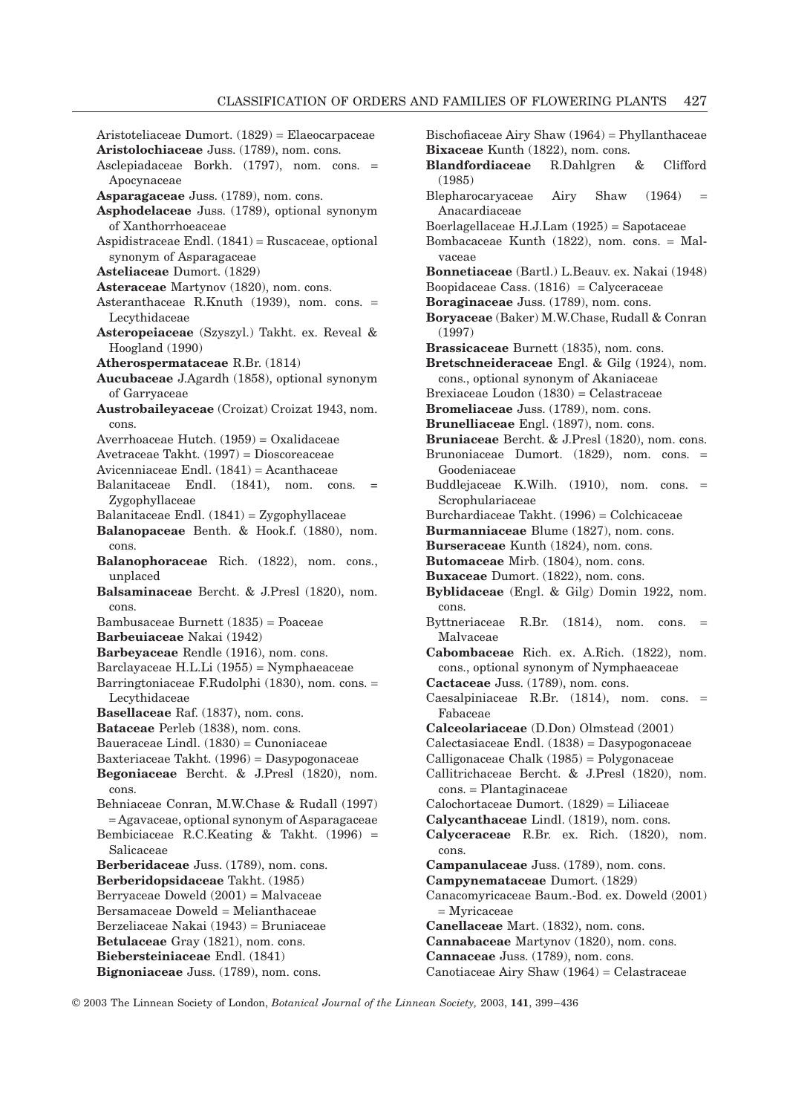Aristoteliaceae Dumort. (1829) = Elaeocarpaceae **Aristolochiaceae** Juss. (1789), nom. cons. Asclepiadaceae Borkh. (1797), nom. cons. = Apocynaceae **Asparagaceae** Juss. (1789), nom. cons. **Asphodelaceae** Juss. (1789), optional synonym of Xanthorrhoeaceae Aspidistraceae Endl. (1841) = Ruscaceae, optional synonym of Asparagaceae **Asteliaceae** Dumort. (1829) **Asteraceae** Martynov (1820), nom. cons. Asteranthaceae R.Knuth (1939), nom. cons. = Lecythidaceae **Asteropeiaceae** (Szyszyl.) Takht. ex. Reveal & Hoogland (1990) **Atherospermataceae** R.Br. (1814) **Aucubaceae** J.Agardh (1858), optional synonym of Garryaceae **Austrobaileyaceae** (Croizat) Croizat 1943, nom. cons. Averrhoaceae Hutch. (1959) = Oxalidaceae Avetraceae Takht. (1997) = Dioscoreaceae Avicenniaceae Endl. (1841) = Acanthaceae Balanitaceae Endl. (1841), nom. cons. = Zygophyllaceae Balanitaceae Endl. (1841) = Zygophyllaceae **Balanopaceae** Benth. & Hook.f. (1880), nom. cons. **Balanophoraceae** Rich. (1822), nom. cons., unplaced **Balsaminaceae** Bercht. & J.Presl (1820), nom. cons. Bambusaceae Burnett (1835) = Poaceae **Barbeuiaceae** Nakai (1942) **Barbeyaceae** Rendle (1916), nom. cons. Barclayaceae H.L.Li (1955) = Nymphaeaceae Barringtoniaceae F.Rudolphi (1830), nom. cons. = Lecythidaceae **Basellaceae** Raf. (1837), nom. cons. **Bataceae** Perleb (1838), nom. cons. Baueraceae Lindl. (1830) = Cunoniaceae Baxteriaceae Takht. (1996) = Dasypogonaceae **Begoniaceae** Bercht. & J.Presl (1820), nom. cons. Behniaceae Conran, M.W.Chase & Rudall (1997) = Agavaceae, optional synonym of Asparagaceae Bembiciaceae R.C.Keating & Takht. (1996) = Salicaceae **Berberidaceae** Juss. (1789), nom. cons. **Berberidopsidaceae** Takht. (1985) Berryaceae Doweld (2001) = Malvaceae Bersamaceae Doweld = Melianthaceae Berzeliaceae Nakai (1943) = Bruniaceae **Betulaceae** Gray (1821), nom. cons. **Biebersteiniaceae** Endl. (1841)

**Bignoniaceae** Juss. (1789), nom. cons.

Bischofiaceae Airy Shaw (1964) = Phyllanthaceae **Bixaceae** Kunth (1822), nom. cons. **Blandfordiaceae** R.Dahlgren & Clifford (1985) Blepharocaryaceae Airy Shaw (1964) = Anacardiaceae Boerlagellaceae H.J.Lam (1925) = Sapotaceae Bombacaceae Kunth (1822), nom. cons. = Malvaceae **Bonnetiaceae** (Bartl.) L.Beauv. ex. Nakai (1948) Boopidaceae Cass. (1816) = Calyceraceae **Boraginaceae** Juss. (1789), nom. cons. **Boryaceae** (Baker) M.W.Chase, Rudall & Conran (1997) **Brassicaceae** Burnett (1835), nom. cons. **Bretschneideraceae** Engl. & Gilg (1924), nom. cons., optional synonym of Akaniaceae Brexiaceae Loudon (1830) = Celastraceae **Bromeliaceae** Juss. (1789), nom. cons. **Brunelliaceae** Engl. (1897), nom. cons. **Bruniaceae** Bercht. & J.Presl (1820), nom. cons. Brunoniaceae Dumort. (1829), nom. cons. = Goodeniaceae Buddlejaceae K.Wilh. (1910), nom. cons. = Scrophulariaceae Burchardiaceae Takht. (1996) = Colchicaceae **Burmanniaceae** Blume (1827), nom. cons. **Burseraceae** Kunth (1824), nom. cons. **Butomaceae** Mirb. (1804), nom. cons. **Buxaceae** Dumort. (1822), nom. cons. **Byblidaceae** (Engl. & Gilg) Domin 1922, nom. cons. Byttneriaceae R.Br. (1814), nom. cons. = Malvaceae **Cabombaceae** Rich. ex. A.Rich. (1822), nom. cons., optional synonym of Nymphaeaceae **Cactaceae** Juss. (1789), nom. cons. Caesalpiniaceae R.Br. (1814), nom. cons. = Fabaceae **Calceolariaceae** (D.Don) Olmstead (2001) Calectasiaceae Endl. (1838) = Dasypogonaceae Calligonaceae Chalk (1985) = Polygonaceae Callitrichaceae Bercht. & J.Presl (1820), nom. cons. = Plantaginaceae Calochortaceae Dumort. (1829) = Liliaceae **Calycanthaceae** Lindl. (1819), nom. cons. **Calyceraceae** R.Br. ex. Rich. (1820), nom. cons. **Campanulaceae** Juss. (1789), nom. cons. **Campynemataceae** Dumort. (1829) Canacomyricaceae Baum.-Bod. ex. Doweld (2001) = Myricaceae **Canellaceae** Mart. (1832), nom. cons. **Cannabaceae** Martynov (1820), nom. cons. **Cannaceae** Juss. (1789), nom. cons. Canotiaceae Airy Shaw (1964) = Celastraceae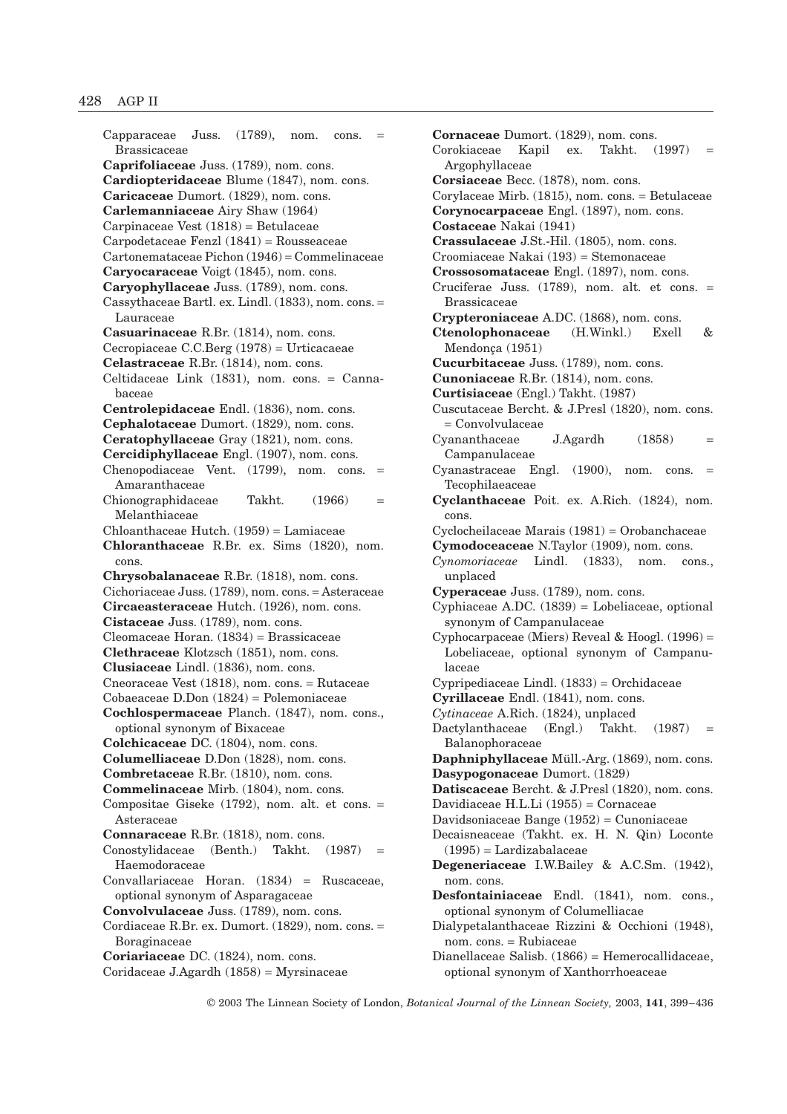Capparaceae Juss. (1789), nom. cons. = Brassicaceae **Caprifoliaceae** Juss. (1789), nom. cons. **Cardiopteridaceae** Blume (1847), nom. cons. **Caricaceae** Dumort. (1829), nom. cons. **Carlemanniaceae** Airy Shaw (1964) Carpinaceae Vest (1818) = Betulaceae Carpodetaceae Fenzl (1841) = Rousseaceae Cartonemataceae Pichon (1946) = Commelinaceae **Caryocaraceae** Voigt (1845), nom. cons. **Caryophyllaceae** Juss. (1789), nom. cons. Cassythaceae Bartl. ex. Lindl. (1833), nom. cons. = Lauraceae **Casuarinaceae** R.Br. (1814), nom. cons. Cecropiaceae C.C.Berg (1978) = Urticacaeae **Celastraceae** R.Br. (1814), nom. cons. Celtidaceae Link (1831), nom. cons. = Cannabaceae **Centrolepidaceae** Endl. (1836), nom. cons. **Cephalotaceae** Dumort. (1829), nom. cons. **Ceratophyllaceae** Gray (1821), nom. cons. **Cercidiphyllaceae** Engl. (1907), nom. cons. Chenopodiaceae Vent. (1799), nom. cons. = Amaranthaceae Chionographidaceae Takht. (1966) = Melanthiaceae Chloanthaceae Hutch. (1959) = Lamiaceae **Chloranthaceae** R.Br. ex. Sims (1820), nom. cons. **Chrysobalanaceae** R.Br. (1818), nom. cons. Cichoriaceae Juss. (1789), nom. cons. = Asteraceae **Circaeasteraceae** Hutch. (1926), nom. cons. **Cistaceae** Juss. (1789), nom. cons. Cleomaceae Horan. (1834) = Brassicaceae **Clethraceae** Klotzsch (1851), nom. cons. **Clusiaceae** Lindl. (1836), nom. cons. Cneoraceae Vest (1818), nom. cons. = Rutaceae Cobaeaceae D.Don (1824) = Polemoniaceae **Cochlospermaceae** Planch. (1847), nom. cons., optional synonym of Bixaceae **Colchicaceae** DC. (1804), nom. cons. **Columelliaceae** D.Don (1828), nom. cons. **Combretaceae** R.Br. (1810), nom. cons. **Commelinaceae** Mirb. (1804), nom. cons. Compositae Giseke (1792), nom. alt. et cons. = Asteraceae **Connaraceae** R.Br. (1818), nom. cons. Conostylidaceae (Benth.) Takht. (1987) = Haemodoraceae Convallariaceae Horan. (1834) = Ruscaceae, optional synonym of Asparagaceae **Convolvulaceae** Juss. (1789), nom. cons. Cordiaceae R.Br. ex. Dumort. (1829), nom. cons. = Boraginaceae **Coriariaceae** DC. (1824), nom. cons. Coridaceae J.Agardh (1858) = Myrsinaceae

**Cornaceae** Dumort. (1829), nom. cons. Corokiaceae Kapil ex. Takht. (1997) = Argophyllaceae **Corsiaceae** Becc. (1878), nom. cons. Corylaceae Mirb. (1815), nom. cons. = Betulaceae **Corynocarpaceae** Engl. (1897), nom. cons. **Costaceae** Nakai (1941) **Crassulaceae** J.St.-Hil. (1805), nom. cons. Croomiaceae Nakai (193) = Stemonaceae **Crossosomataceae** Engl. (1897), nom. cons. Cruciferae Juss. (1789), nom. alt. et cons. = Brassicaceae **Crypteroniaceae** A.DC. (1868), nom. cons. **Ctenolophonaceae** (H.Winkl.) Exell & Mendonça (1951) **Cucurbitaceae** Juss. (1789), nom. cons. **Cunoniaceae** R.Br. (1814), nom. cons. **Curtisiaceae** (Engl.) Takht. (1987) Cuscutaceae Bercht. & J.Presl (1820), nom. cons. = Convolvulaceae  $Cvananthaceae$  J.Agardh (1858) = Campanulaceae Cyanastraceae Engl. (1900), nom. cons. = Tecophilaeaceae **Cyclanthaceae** Poit. ex. A.Rich. (1824), nom. cons. Cyclocheilaceae Marais (1981) = Orobanchaceae **Cymodoceaceae** N.Taylor (1909), nom. cons. *Cynomoriaceae* Lindl. (1833), nom. cons., unplaced **Cyperaceae** Juss. (1789), nom. cons. Cyphiaceae A.DC. (1839) = Lobeliaceae, optional synonym of Campanulaceae Cyphocarpaceae (Miers) Reveal & Hoogl.  $(1996)$  = Lobeliaceae, optional synonym of Campanulaceae Cypripediaceae Lindl. (1833) = Orchidaceae **Cyrillaceae** Endl. (1841), nom. cons. *Cytinaceae* A.Rich. (1824), unplaced Dactylanthaceae (Engl.) Takht. (1987) = Balanophoraceae **Daphniphyllaceae** Müll.-Arg. (1869), nom. cons. **Dasypogonaceae** Dumort. (1829) **Datiscaceae** Bercht. & J.Presl (1820), nom. cons. Davidiaceae H.L.Li (1955) = Cornaceae Davidsoniaceae Bange (1952) = Cunoniaceae Decaisneaceae (Takht. ex. H. N. Qin) Loconte  $(1995)$  = Lardizabalaceae **Degeneriaceae** I.W.Bailey & A.C.Sm. (1942), nom. cons. **Desfontainiaceae** Endl. (1841), nom. cons., optional synonym of Columelliacae Dialypetalanthaceae Rizzini & Occhioni (1948), nom. cons. = Rubiaceae Dianellaceae Salisb. (1866) = Hemerocallidaceae,

optional synonym of Xanthorrhoeaceae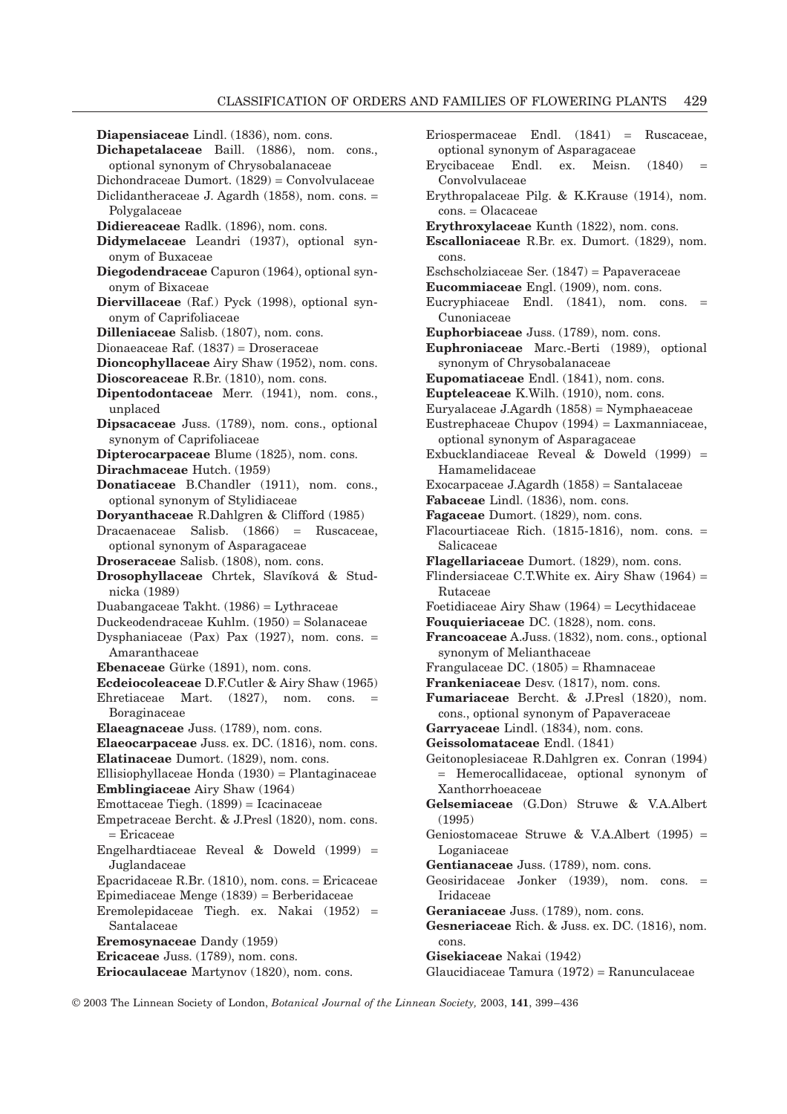**Diapensiaceae** Lindl. (1836), nom. cons. **Dichapetalaceae** Baill. (1886), nom. cons., optional synonym of Chrysobalanaceae Dichondraceae Dumort. (1829) = Convolvulaceae Diclidantheraceae J. Agardh (1858), nom. cons. = Polygalaceae **Didiereaceae** Radlk. (1896), nom. cons. **Didymelaceae** Leandri (1937), optional synonym of Buxaceae **Diegodendraceae** Capuron (1964), optional synonym of Bixaceae **Diervillaceae** (Raf.) Pyck (1998), optional synonym of Caprifoliaceae **Dilleniaceae** Salisb. (1807), nom. cons. Dionaeaceae Raf. (1837) = Droseraceae **Dioncophyllaceae** Airy Shaw (1952), nom. cons. **Dioscoreaceae** R.Br. (1810), nom. cons. **Dipentodontaceae** Merr. (1941), nom. cons., unplaced **Dipsacaceae** Juss. (1789), nom. cons., optional synonym of Caprifoliaceae **Dipterocarpaceae** Blume (1825), nom. cons. **Dirachmaceae** Hutch. (1959) **Donatiaceae** B.Chandler (1911), nom. cons., optional synonym of Stylidiaceae **Doryanthaceae** R.Dahlgren & Clifford (1985) Dracaenaceae Salisb. (1866) = Ruscaceae, optional synonym of Asparagaceae **Droseraceae** Salisb. (1808), nom. cons. **Drosophyllaceae** Chrtek, Slavíková & Studnicka (1989) Duabangaceae Takht. (1986) = Lythraceae Duckeodendraceae Kuhlm. (1950) = Solanaceae Dysphaniaceae (Pax) Pax (1927), nom. cons. = Amaranthaceae **Ebenaceae** Gürke (1891), nom. cons. **Ecdeiocoleaceae** D.F.Cutler & Airy Shaw (1965) Ehretiaceae Mart. (1827), nom. cons. = Boraginaceae **Elaeagnaceae** Juss. (1789), nom. cons. **Elaeocarpaceae** Juss. ex. DC. (1816), nom. cons. **Elatinaceae** Dumort. (1829), nom. cons. Ellisiophyllaceae Honda (1930) = Plantaginaceae **Emblingiaceae** Airy Shaw (1964) Emottaceae Tiegh. (1899) = Icacinaceae Empetraceae Bercht. & J.Presl (1820), nom. cons. = Ericaceae Engelhardtiaceae Reveal & Doweld (1999) = Juglandaceae Epacridaceae R.Br. (1810), nom. cons. = Ericaceae Epimediaceae Menge (1839) = Berberidaceae Eremolepidaceae Tiegh. ex. Nakai (1952) = Santalaceae **Eremosynaceae** Dandy (1959) **Ericaceae** Juss. (1789), nom. cons. **Eriocaulaceae** Martynov (1820), nom. cons.

Eriospermaceae Endl. (1841) = Ruscaceae, optional synonym of Asparagaceae Erycibaceae Endl. ex. Meisn. (1840) = Convolvulaceae Erythropalaceae Pilg. & K.Krause (1914), nom. cons. = Olacaceae **Erythroxylaceae** Kunth (1822), nom. cons. **Escalloniaceae** R.Br. ex. Dumort. (1829), nom. cons. Eschscholziaceae Ser. (1847) = Papaveraceae **Eucommiaceae** Engl. (1909), nom. cons. Eucryphiaceae Endl. (1841), nom. cons. = Cunoniaceae **Euphorbiaceae** Juss. (1789), nom. cons. **Euphroniaceae** Marc.-Berti (1989), optional synonym of Chrysobalanaceae **Eupomatiaceae** Endl. (1841), nom. cons. **Eupteleaceae** K.Wilh. (1910), nom. cons. Euryalaceae J.Agardh (1858) = Nymphaeaceae Eustrephaceae Chupov (1994) = Laxmanniaceae, optional synonym of Asparagaceae Exbucklandiaceae Reveal & Doweld (1999) = Hamamelidaceae Exocarpaceae J.Agardh (1858) = Santalaceae **Fabaceae** Lindl. (1836), nom. cons. **Fagaceae** Dumort. (1829), nom. cons. Flacourtiaceae Rich. (1815-1816), nom. cons. = Salicaceae **Flagellariaceae** Dumort. (1829), nom. cons. Flindersiaceae C.T.White ex. Airy Shaw (1964) = Rutaceae Foetidiaceae Airy Shaw (1964) = Lecythidaceae **Fouquieriaceae** DC. (1828), nom. cons. **Francoaceae** A.Juss. (1832), nom. cons., optional synonym of Melianthaceae Frangulaceae DC. (1805) = Rhamnaceae **Frankeniaceae** Desv. (1817), nom. cons. **Fumariaceae** Bercht. & J.Presl (1820), nom. cons., optional synonym of Papaveraceae **Garryaceae** Lindl. (1834), nom. cons. **Geissolomataceae** Endl. (1841) Geitonoplesiaceae R.Dahlgren ex. Conran (1994) = Hemerocallidaceae, optional synonym of Xanthorrhoeaceae **Gelsemiaceae** (G.Don) Struwe & V.A.Albert (1995) Geniostomaceae Struwe & V.A.Albert (1995) = Loganiaceae **Gentianaceae** Juss. (1789), nom. cons. Geosiridaceae Jonker (1939), nom. cons. = Iridaceae **Geraniaceae** Juss. (1789), nom. cons. **Gesneriaceae** Rich. & Juss. ex. DC. (1816), nom. cons. **Gisekiaceae** Nakai (1942)

Glaucidiaceae Tamura (1972) = Ranunculaceae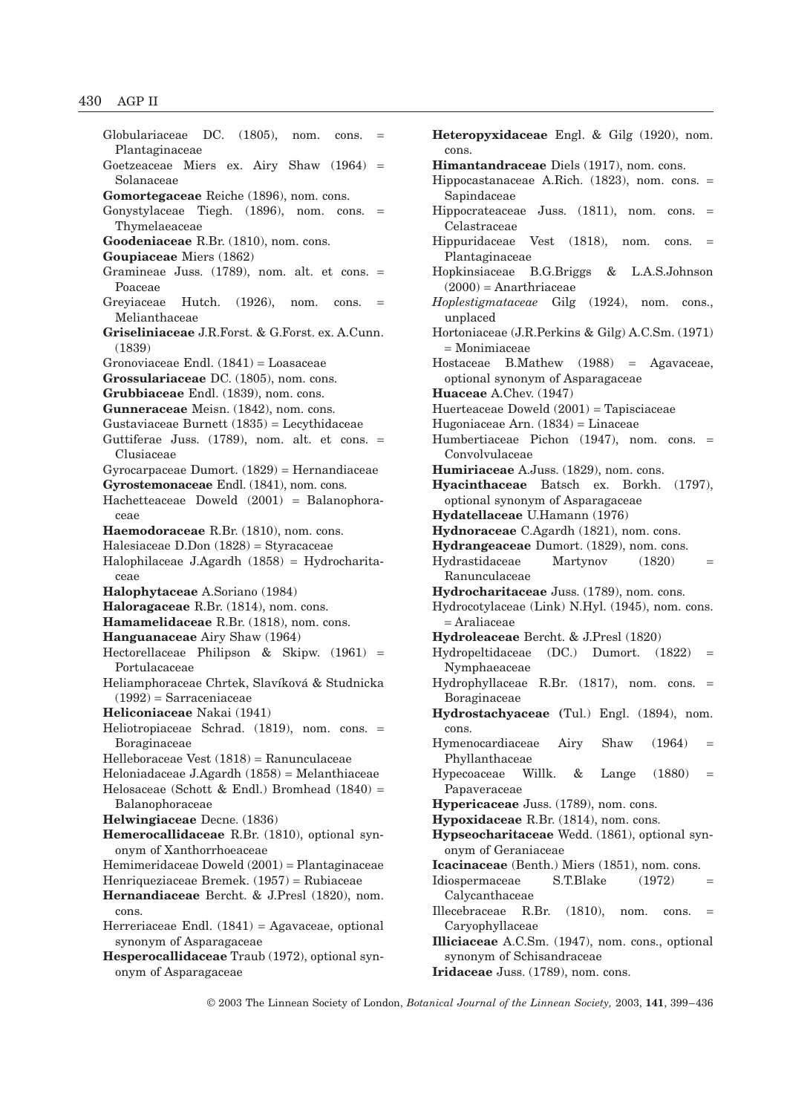Globulariaceae DC. (1805), nom. cons. Plantaginaceae Goetzeaceae Miers ex. Airy Shaw (1964) = Solanaceae **Gomortegaceae** Reiche (1896), nom. cons. Gonystylaceae Tiegh. (1896), nom. cons. = Thymelaeaceae **Goodeniaceae** R.Br. (1810), nom. cons. **Goupiaceae** Miers (1862) Gramineae Juss. (1789), nom. alt. et cons. = Poaceae Greyiaceae Hutch. (1926), nom. cons. = Melianthaceae **Griseliniaceae** J.R.Forst. & G.Forst. ex. A.Cunn. (1839) Gronoviaceae Endl. (1841) = Loasaceae **Grossulariaceae** DC. (1805), nom. cons. **Grubbiaceae** Endl. (1839), nom. cons. **Gunneraceae** Meisn. (1842), nom. cons. Gustaviaceae Burnett (1835) = Lecythidaceae Guttiferae Juss. (1789), nom. alt. et cons. = Clusiaceae Gyrocarpaceae Dumort. (1829) = Hernandiaceae **Gyrostemonaceae** Endl. (1841), nom. cons. Hachetteaceae Doweld (2001) = Balanophoraceae **Haemodoraceae** R.Br. (1810), nom. cons. Halesiaceae D.Don (1828) = Styracaceae Halophilaceae J.Agardh (1858) = Hydrocharitaceae **Halophytaceae** A.Soriano (1984) **Haloragaceae** R.Br. (1814), nom. cons. **Hamamelidaceae** R.Br. (1818), nom. cons. **Hanguanaceae** Airy Shaw (1964) Hectorellaceae Philipson & Skipw. (1961) = Portulacaceae Heliamphoraceae Chrtek, Slavíková & Studnicka (1992) = Sarraceniaceae **Heliconiaceae** Nakai (1941) Heliotropiaceae Schrad. (1819), nom. cons. = Boraginaceae Helleboraceae Vest (1818) = Ranunculaceae Heloniadaceae J.Agardh (1858) = Melanthiaceae Helosaceae (Schott & Endl.) Bromhead (1840) = Balanophoraceae **Helwingiaceae** Decne. (1836) **Hemerocallidaceae** R.Br. (1810), optional synonym of Xanthorrhoeaceae Hemimeridaceae Doweld (2001) = Plantaginaceae Henriqueziaceae Bremek. (1957) = Rubiaceae **Hernandiaceae** Bercht. & J.Presl (1820), nom. cons. Herreriaceae Endl. (1841) = Agavaceae, optional synonym of Asparagaceae **Hesperocallidaceae** Traub (1972), optional synonym of Asparagaceae

**Heteropyxidaceae** Engl. & Gilg (1920), nom. cons. **Himantandraceae** Diels (1917), nom. cons. Hippocastanaceae A.Rich. (1823), nom. cons. = Sapindaceae Hippocrateaceae Juss. (1811), nom. cons. = Celastraceae Hippuridaceae Vest (1818), nom. cons. = Plantaginaceae Hopkinsiaceae B.G.Briggs & L.A.S.Johnson  $(2000)$  = Anarthriaceae *Hoplestigmataceae* Gilg (1924), nom. cons., unplaced Hortoniaceae (J.R.Perkins & Gilg) A.C.Sm. (1971) = Monimiaceae Hostaceae B.Mathew (1988) = Agavaceae, optional synonym of Asparagaceae **Huaceae** A.Chev. (1947) Huerteaceae Doweld (2001) = Tapisciaceae Hugoniaceae Arn. (1834) = Linaceae Humbertiaceae Pichon (1947), nom. cons. = Convolvulaceae **Humiriaceae** A.Juss. (1829), nom. cons. **Hyacinthaceae** Batsch ex. Borkh. (1797), optional synonym of Asparagaceae **Hydatellaceae** U.Hamann (1976) **Hydnoraceae** C.Agardh (1821), nom. cons. **Hydrangeaceae** Dumort. (1829), nom. cons. Hydrastidaceae Martynov (1820) = Ranunculaceae **Hydrocharitaceae** Juss. (1789), nom. cons. Hydrocotylaceae (Link) N.Hyl. (1945), nom. cons. = Araliaceae **Hydroleaceae** Bercht. & J.Presl (1820) Hydropeltidaceae (DC.) Dumort. (1822) = Nymphaeaceae Hydrophyllaceae R.Br. (1817), nom. cons. = Boraginaceae **Hydrostachyaceae (**Tul.) Engl. (1894), nom. cons. Hymenocardiaceae Airy Shaw (1964) = Phyllanthaceae Hypecoaceae Willk.  $\&$  Lange (1880) = Papaveraceae **Hypericaceae** Juss. (1789), nom. cons. **Hypoxidaceae** R.Br. (1814), nom. cons. **Hypseocharitaceae** Wedd. (1861), optional synonym of Geraniaceae **Icacinaceae** (Benth.) Miers (1851), nom. cons. Idiospermaceae S.T.Blake (1972) Calycanthaceae Illecebraceae R.Br. (1810), nom. cons. = Caryophyllaceae **Illiciaceae** A.C.Sm. (1947), nom. cons., optional synonym of Schisandraceae **Iridaceae** Juss. (1789), nom. cons.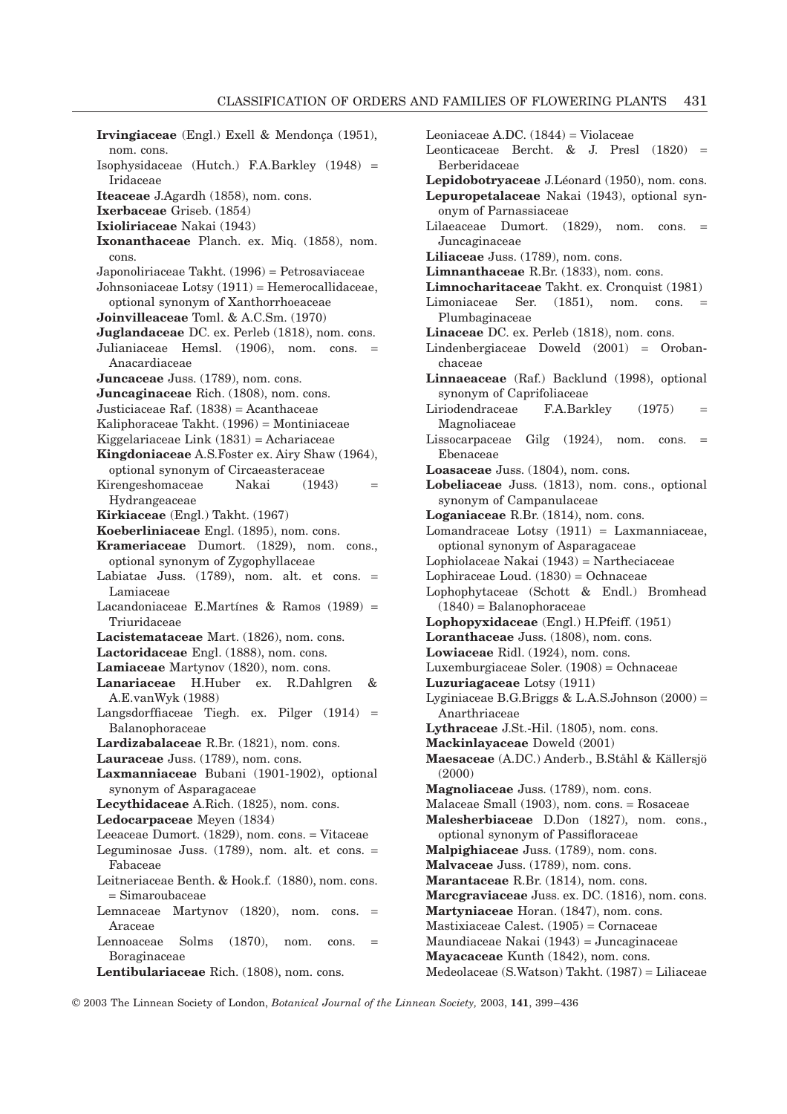**Irvingiaceae** (Engl.) Exell & Mendonça (1951), nom. cons. Isophysidaceae (Hutch.) F.A.Barkley (1948) = Iridaceae **Iteaceae** J.Agardh (1858), nom. cons. **Ixerbaceae** Griseb. (1854) **Ixioliriaceae** Nakai (1943) **Ixonanthaceae** Planch. ex. Miq. (1858), nom. cons. Japonoliriaceae Takht. (1996) = Petrosaviaceae Johnsoniaceae Lotsy (1911) = Hemerocallidaceae, optional synonym of Xanthorrhoeaceae **Joinvilleaceae** Toml. & A.C.Sm. (1970) **Juglandaceae** DC. ex. Perleb (1818), nom. cons. Julianiaceae Hemsl. (1906), nom. cons. = Anacardiaceae **Juncaceae** Juss. (1789), nom. cons. **Juncaginaceae** Rich. (1808), nom. cons. Justiciaceae Raf. (1838) = Acanthaceae Kaliphoraceae Takht. (1996) = Montiniaceae Kiggelariaceae Link (1831) = Achariaceae **Kingdoniaceae** A.S.Foster ex. Airy Shaw (1964), optional synonym of Circaeasteraceae Kirengeshomaceae Nakai (1943) = Hydrangeaceae **Kirkiaceae** (Engl.) Takht. (1967) **Koeberliniaceae** Engl. (1895), nom. cons. **Krameriaceae** Dumort. (1829), nom. cons., optional synonym of Zygophyllaceae Labiatae Juss. (1789), nom. alt. et cons. = Lamiaceae Lacandoniaceae E.Martínes & Ramos (1989) = Triuridaceae **Lacistemataceae** Mart. (1826), nom. cons. **Lactoridaceae** Engl. (1888), nom. cons. **Lamiaceae** Martynov (1820), nom. cons. **Lanariaceae** H.Huber ex. R.Dahlgren & A.E.vanWyk (1988) Langsdorffiaceae Tiegh. ex. Pilger (1914) = Balanophoraceae **Lardizabalaceae** R.Br. (1821), nom. cons. Lauraceae Juss. (1789), nom. cons. **Laxmanniaceae** Bubani (1901-1902), optional synonym of Asparagaceae **Lecythidaceae** A.Rich. (1825), nom. cons. **Ledocarpaceae** Meyen (1834) Leeaceae Dumort. (1829), nom. cons. = Vitaceae Leguminosae Juss. (1789), nom. alt. et cons. = Fabaceae Leitneriaceae Benth. & Hook.f. (1880), nom. cons. = Simaroubaceae Lemnaceae Martynov (1820), nom. cons. = Araceae Lennoaceae Solms (1870), nom. cons. = Boraginaceae **Lentibulariaceae** Rich. (1808), nom. cons.

Leoniaceae A.DC. (1844) = Violaceae Leonticaceae Bercht. & J. Presl (1820) = Berberidaceae **Lepidobotryaceae** J.Léonard (1950), nom. cons. **Lepuropetalaceae** Nakai (1943), optional synonym of Parnassiaceae Lilaeaceae Dumort. (1829), nom. cons. = Juncaginaceae **Liliaceae** Juss. (1789), nom. cons. **Limnanthaceae** R.Br. (1833), nom. cons. **Limnocharitaceae** Takht. ex. Cronquist (1981) Limoniaceae Ser. (1851), nom. cons. Plumbaginaceae **Linaceae** DC. ex. Perleb (1818), nom. cons. Lindenbergiaceae Doweld (2001) = Orobanchaceae **Linnaeaceae** (Raf.) Backlund (1998), optional synonym of Caprifoliaceae Liriodendraceae F.A.Barkley (1975) = Magnoliaceae Lissocarpaceae Gilg (1924), nom. cons. = Ebenaceae **Loasaceae** Juss. (1804), nom. cons. **Lobeliaceae** Juss. (1813), nom. cons., optional synonym of Campanulaceae **Loganiaceae** R.Br. (1814), nom. cons. Lomandraceae Lotsy (1911) = Laxmanniaceae, optional synonym of Asparagaceae Lophiolaceae Nakai (1943) = Nartheciaceae Lophiraceae Loud. (1830) = Ochnaceae Lophophytaceae (Schott & Endl.) Bromhead (1840) = Balanophoraceae **Lophopyxidaceae** (Engl.) H.Pfeiff. (1951) **Loranthaceae** Juss. (1808), nom. cons. **Lowiaceae** Ridl. (1924), nom. cons. Luxemburgiaceae Soler. (1908) = Ochnaceae **Luzuriagaceae** Lotsy (1911) Lyginiaceae B.G.Briggs & L.A.S.Johnson (2000) = Anarthriaceae **Lythraceae** J.St.-Hil. (1805), nom. cons. **Mackinlayaceae** Doweld (2001) **Maesaceae** (A.DC.) Anderb., B.Ståhl & Källersjö (2000) **Magnoliaceae** Juss. (1789), nom. cons. Malaceae Small (1903), nom. cons. = Rosaceae **Malesherbiaceae** D.Don (1827), nom. cons., optional synonym of Passifloraceae **Malpighiaceae** Juss. (1789), nom. cons. **Malvaceae** Juss. (1789), nom. cons. **Marantaceae** R.Br. (1814), nom. cons. **Marcgraviaceae** Juss. ex. DC. (1816), nom. cons. **Martyniaceae** Horan. (1847), nom. cons. Mastixiaceae Calest. (1905) = Cornaceae Maundiaceae Nakai (1943) = Juncaginaceae **Mayacaceae** Kunth (1842), nom. cons. Medeolaceae (S.Watson) Takht. (1987) = Liliaceae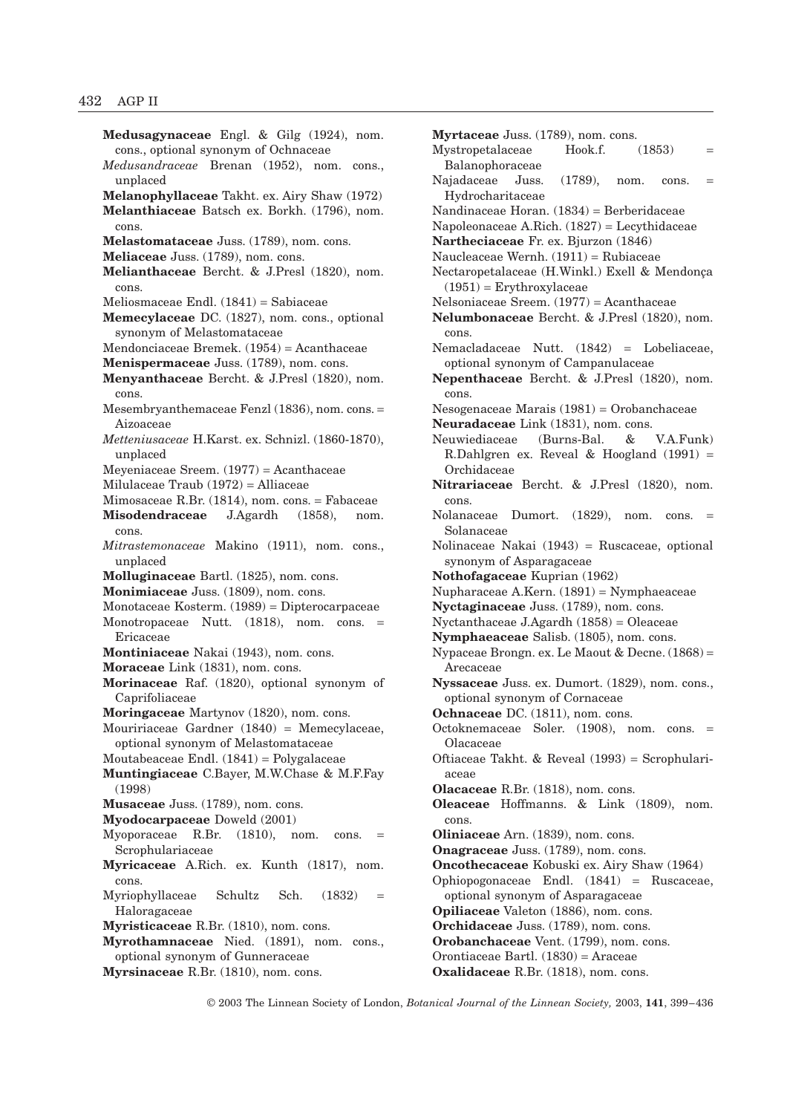| Medusagynaceae Engl. & Gilg (1924), nom.                                    |
|-----------------------------------------------------------------------------|
| cons., optional synonym of Ochnaceae                                        |
| Medusandraceae Brenan (1952), nom. cons.,                                   |
| unplaced                                                                    |
| Melanophyllaceae Takht. ex. Airy Shaw (1972)                                |
| Melanthiaceae Batsch ex. Borkh. (1796), nom.                                |
| cons.                                                                       |
| Melastomataceae Juss. (1789), nom. cons.                                    |
| Meliaceae Juss. (1789), nom. cons.                                          |
| Melianthaceae Bercht. & J.Presl (1820), nom.                                |
| cons.                                                                       |
| Meliosmaceae Endl. (1841) = Sabiaceae                                       |
| Memecylaceae DC. (1827), nom. cons., optional<br>synonym of Melastomataceae |
| Mendonciaceae Bremek. (1954) = Acanthaceae                                  |
| Menispermaceae Juss. (1789), nom. cons.                                     |
| Menyanthaceae Bercht. & J.Presl (1820), nom.                                |
| cons.                                                                       |
| Mesembryanthemaceae Fenzl (1836), nom. cons. =                              |
| Aizoaceae                                                                   |
| Metteniusaceae H.Karst. ex. Schnizl. (1860-1870),                           |
| unplaced                                                                    |
| Meyeniaceae Sreem. (1977) = Acanthaceae                                     |
| Milulaceae Traub (1972) = Alliaceae                                         |
| Mimosaceae R.Br. (1814), nom. cons. = Fabaceae                              |
| Misodendraceae J.Agardh (1858),<br>nom.                                     |
| cons.                                                                       |
| Mitrastemonaceae Makino (1911), nom. cons.,                                 |
| unplaced                                                                    |
| Molluginaceae Bartl. (1825), nom. cons.                                     |
| Monimiaceae Juss. (1809), nom. cons.                                        |
| Monotaceae Kosterm. (1989) = Dipterocarpaceae                               |
| Monotropaceae Nutt. (1818), nom. cons. =                                    |
| Ericaceae                                                                   |
| Montiniaceae Nakai (1943), nom. cons.                                       |
| Moraceae Link (1831), nom. cons.                                            |
| Morinaceae Raf. (1820), optional synonym of                                 |
| Caprifoliaceae                                                              |
| Moringaceae Martynov (1820), nom. cons.                                     |
| Mouririaceae Gardner (1840) = Memecylaceae,                                 |
| optional synonym of Melastomataceae                                         |
| Moutabeaceae Endl. $(1841)$ = Polygalaceae                                  |
| Muntingiaceae C.Bayer, M.W.Chase & M.F.Fay                                  |
| (1998)                                                                      |
| Musaceae Juss. (1789), nom. cons.<br>Myodocarpaceae Doweld (2001)           |
| Myoporaceae R.Br. $(1810)$ , nom. cons. =                                   |
| Scrophulariaceae                                                            |
| Myricaceae A.Rich. ex. Kunth (1817), nom.                                   |
| cons.                                                                       |
| Myriophyllaceae Schultz Sch.<br>(1832)<br>$=$                               |
| Haloragaceae                                                                |
| Myristicaceae R.Br. (1810), nom. cons.                                      |
| Myrothamnaceae Nied. (1891), nom. cons.,                                    |
| optional synonym of Gunneraceae                                             |
| Myrsinaceae R.Br. (1810), nom. cons.                                        |
|                                                                             |

**Myrtaceae** Juss. (1789), nom. cons.  $Mystropetalaceae$   $Hook.f.$   $(1853)$  = Balanophoraceae Najadaceae Juss. (1789), nom. cons. = Hydrocharitaceae Nandinaceae Horan. (1834) = Berberidaceae Napoleonaceae A.Rich. (1827) = Lecythidaceae **Nartheciaceae** Fr. ex. Bjurzon (1846) Naucleaceae Wernh. (1911) = Rubiaceae Nectaropetalaceae (H.Winkl.) Exell & Mendonça  $(1951)$  = Erythroxylaceae Nelsoniaceae Sreem. (1977) = Acanthaceae **Nelumbonaceae** Bercht. & J.Presl (1820), nom. cons. Nemacladaceae Nutt. (1842) = Lobeliaceae, optional synonym of Campanulaceae **Nepenthaceae** Bercht. & J.Presl (1820), nom. cons. Nesogenaceae Marais (1981) = Orobanchaceae **Neuradaceae** Link (1831), nom. cons. Neuwiediaceae (Burns-Bal. & V.A.Funk) R.Dahlgren ex. Reveal & Hoogland (1991) = Orchidaceae **Nitrariaceae** Bercht. & J.Presl (1820), nom. cons. Nolanaceae Dumort. (1829), nom. cons. = Solanaceae Nolinaceae Nakai (1943) = Ruscaceae, optional synonym of Asparagaceae **Nothofagaceae** Kuprian (1962) Nupharaceae A.Kern. (1891) = Nymphaeaceae **Nyctaginaceae** Juss. (1789), nom. cons. Nyctanthaceae J.Agardh (1858) = Oleaceae **Nymphaeaceae** Salisb. (1805), nom. cons. Nypaceae Brongn. ex. Le Maout & Decne. (1868) = Arecaceae **Nyssaceae** Juss. ex. Dumort. (1829), nom. cons., optional synonym of Cornaceae **Ochnaceae** DC. (1811), nom. cons. Octoknemaceae Soler. (1908), nom. cons. = Olacaceae Oftiaceae Takht. & Reveal (1993) = Scrophulariaceae **Olacaceae** R.Br. (1818), nom. cons. **Oleaceae** Hoffmanns. & Link (1809), nom. cons. **Oliniaceae** Arn. (1839), nom. cons. **Onagraceae** Juss. (1789), nom. cons. **Oncothecaceae** Kobuski ex. Airy Shaw (1964) Ophiopogonaceae Endl. (1841) = Ruscaceae, optional synonym of Asparagaceae **Opiliaceae** Valeton (1886), nom. cons. **Orchidaceae** Juss. (1789), nom. cons. **Orobanchaceae** Vent. (1799), nom. cons. Orontiaceae Bartl. (1830) = Araceae **Oxalidaceae** R.Br. (1818), nom. cons.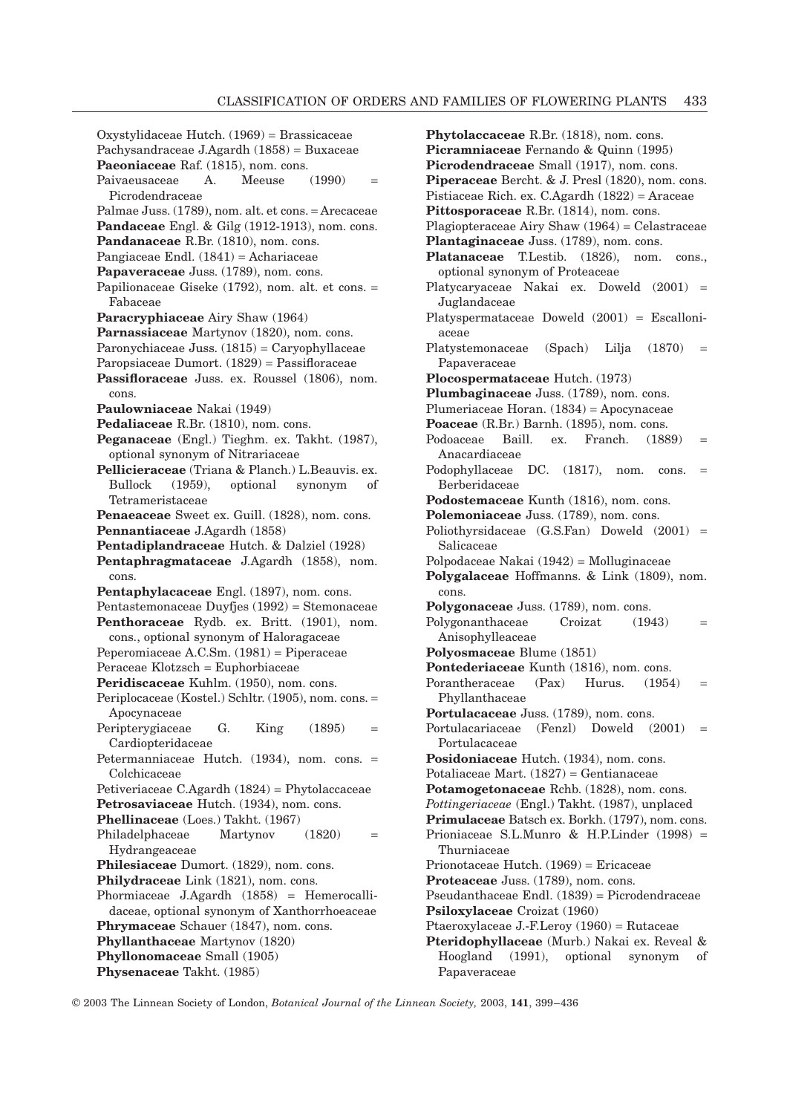Oxystylidaceae Hutch. (1969) = Brassicaceae Pachysandraceae J.Agardh (1858) = Buxaceae **Paeoniaceae** Raf. (1815), nom. cons. Paivaeusaceae A. Meeuse (1990) = Picrodendraceae Palmae Juss. (1789), nom. alt. et cons. = Arecaceae **Pandaceae** Engl. & Gilg (1912-1913), nom. cons. **Pandanaceae** R.Br. (1810), nom. cons. Pangiaceae Endl. (1841) = Achariaceae Papaveraceae Juss. (1789), nom. cons. Papilionaceae Giseke (1792), nom. alt. et cons. = Fabaceae **Paracryphiaceae** Airy Shaw (1964) **Parnassiaceae** Martynov (1820), nom. cons. Paronychiaceae Juss. (1815) = Caryophyllaceae Paropsiaceae Dumort. (1829) = Passifloraceae **Passifloraceae** Juss. ex. Roussel (1806), nom. cons. **Paulowniaceae** Nakai (1949) **Pedaliaceae** R.Br. (1810), nom. cons. **Peganaceae** (Engl.) Tieghm. ex. Takht. (1987), optional synonym of Nitrariaceae **Pellicieraceae** (Triana & Planch.) L.Beauvis. ex. Bullock (1959), optional synonym of Tetrameristaceae **Penaeaceae** Sweet ex. Guill. (1828), nom. cons. **Pennantiaceae** J.Agardh (1858) **Pentadiplandraceae** Hutch. & Dalziel (1928) **Pentaphragmataceae** J.Agardh (1858), nom. cons. **Pentaphylacaceae** Engl. (1897), nom. cons. Pentastemonaceae Duyfjes (1992) = Stemonaceae Penthoraceae Rydb. ex. Britt. (1901), nom. cons., optional synonym of Haloragaceae Peperomiaceae A.C.Sm. (1981) = Piperaceae Peraceae Klotzsch = Euphorbiaceae **Peridiscaceae** Kuhlm. (1950), nom. cons. Periplocaceae (Kostel.) Schltr. (1905), nom. cons. = Apocynaceae Peripterygiaceae G. King (1895) = Cardiopteridaceae Petermanniaceae Hutch. (1934), nom. cons. = Colchicaceae Petiveriaceae C.Agardh (1824) = Phytolaccaceae **Petrosaviaceae** Hutch. (1934), nom. cons. **Phellinaceae** (Loes.) Takht. (1967) Philadelphaceae Martynov (1820) = Hydrangeaceae **Philesiaceae** Dumort. (1829), nom. cons. **Philydraceae** Link (1821), nom. cons. Phormiaceae J.Agardh (1858) = Hemerocallidaceae, optional synonym of Xanthorrhoeaceae **Phrymaceae** Schauer (1847), nom. cons. **Phyllanthaceae** Martynov (1820) **Phyllonomaceae** Small (1905) **Physenaceae** Takht. (1985)

**Phytolaccaceae** R.Br. (1818), nom. cons. **Picramniaceae** Fernando & Quinn (1995) **Picrodendraceae** Small (1917), nom. cons. **Piperaceae** Bercht. & J. Presl (1820), nom. cons. Pistiaceae Rich. ex. C.Agardh (1822) = Araceae **Pittosporaceae** R.Br. (1814), nom. cons. Plagiopteraceae Airy Shaw (1964) = Celastraceae **Plantaginaceae** Juss. (1789), nom. cons. **Platanaceae** T.Lestib. (1826), nom. cons., optional synonym of Proteaceae Platycaryaceae Nakai ex. Doweld (2001) = Juglandaceae Platyspermataceae Doweld (2001) = Escalloniaceae Platystemonaceae (Spach) Lilja (1870) = Papaveraceae **Plocospermataceae** Hutch. (1973) **Plumbaginaceae** Juss. (1789), nom. cons. Plumeriaceae Horan. (1834) = Apocynaceae **Poaceae** (R.Br.) Barnh. (1895), nom. cons. Podoaceae Baill. ex. Franch. (1889) = Anacardiaceae Podophyllaceae DC. (1817), nom. cons. = Berberidaceae **Podostemaceae** Kunth (1816), nom. cons. Polemoniaceae Juss. (1789), nom. cons. Poliothyrsidaceae (G.S.Fan) Doweld (2001) = Salicaceae Polpodaceae Nakai (1942) = Molluginaceae **Polygalaceae** Hoffmanns. & Link (1809), nom. cons. **Polygonaceae** Juss. (1789), nom. cons. Polygonanthaceae Croizat (1943) = Anisophylleaceae **Polyosmaceae** Blume (1851) **Pontederiaceae** Kunth (1816), nom. cons. Porantheraceae (Pax) Hurus. (1954) = Phyllanthaceae **Portulacaceae** Juss. (1789), nom. cons. Portulacariaceae (Fenzl) Doweld (2001) Portulacaceae **Posidoniaceae** Hutch. (1934), nom. cons. Potaliaceae Mart. (1827) = Gentianaceae **Potamogetonaceae** Rchb. (1828), nom. cons. *Pottingeriaceae* (Engl.) Takht. (1987), unplaced **Primulaceae** Batsch ex. Borkh. (1797), nom. cons. Prioniaceae S.L.Munro & H.P.Linder (1998) = Thurniaceae Prionotaceae Hutch. (1969) = Ericaceae **Proteaceae** Juss. (1789), nom. cons. Pseudanthaceae Endl. (1839) = Picrodendraceae **Psiloxylaceae** Croizat (1960) Ptaeroxylaceae J.-F.Leroy (1960) = Rutaceae **Pteridophyllaceae** (Murb.) Nakai ex. Reveal & Hoogland (1991), optional synonym of Papaveraceae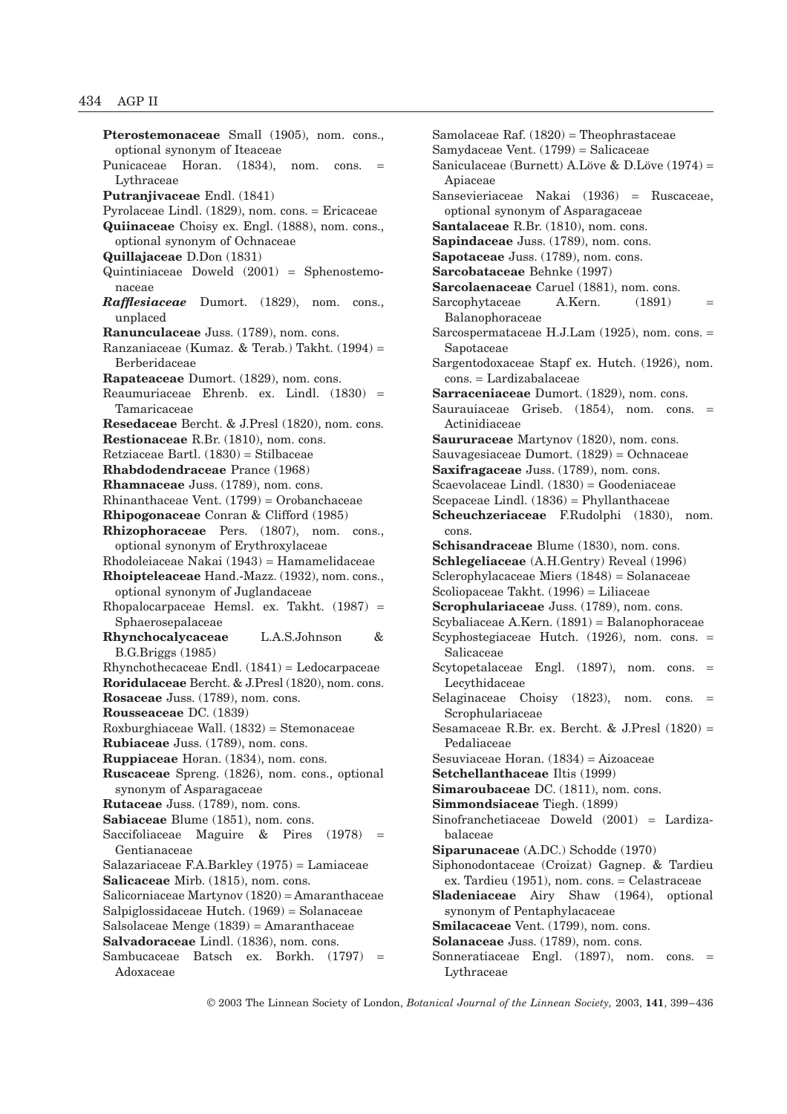**Pterostemonaceae** Small (1905), nom. cons., optional synonym of Iteaceae Punicaceae Horan. (1834), nom. cons. = Lythraceae **Putranjivaceae** Endl. (1841) Pyrolaceae Lindl. (1829), nom. cons. = Ericaceae **Quiinaceae** Choisy ex. Engl. (1888), nom. cons., optional synonym of Ochnaceae **Quillajaceae** D.Don (1831) Quintiniaceae Doweld (2001) = Sphenostemonaceae *Rafflesiaceae* Dumort. (1829), nom. cons., unplaced **Ranunculaceae** Juss. (1789), nom. cons. Ranzaniaceae (Kumaz. & Terab.) Takht. (1994) = Berberidaceae **Rapateaceae** Dumort. (1829), nom. cons. Reaumuriaceae Ehrenb. ex. Lindl. (1830) = Tamaricaceae **Resedaceae** Bercht. & J.Presl (1820), nom. cons. **Restionaceae** R.Br. (1810), nom. cons. Retziaceae Bartl. (1830) = Stilbaceae **Rhabdodendraceae** Prance (1968) **Rhamnaceae** Juss. (1789), nom. cons. Rhinanthaceae Vent. (1799) = Orobanchaceae **Rhipogonaceae** Conran & Clifford (1985) **Rhizophoraceae** Pers. (1807), nom. cons., optional synonym of Erythroxylaceae Rhodoleiaceae Nakai (1943) = Hamamelidaceae **Rhoipteleaceae** Hand.-Mazz. (1932), nom. cons., optional synonym of Juglandaceae Rhopalocarpaceae Hemsl. ex. Takht. (1987) = Sphaerosepalaceae **Rhynchocalycaceae** L.A.S.Johnson & B.G.Briggs (1985) Rhynchothecaceae Endl. (1841) = Ledocarpaceae **Roridulaceae** Bercht. & J.Presl (1820), nom. cons. **Rosaceae** Juss. (1789), nom. cons. **Rousseaceae** DC. (1839) Roxburghiaceae Wall. (1832) = Stemonaceae **Rubiaceae** Juss. (1789), nom. cons. **Ruppiaceae** Horan. (1834), nom. cons. **Ruscaceae** Spreng. (1826), nom. cons., optional synonym of Asparagaceae **Rutaceae** Juss. (1789), nom. cons. **Sabiaceae** Blume (1851), nom. cons. Saccifoliaceae Maguire & Pires (1978) = Gentianaceae Salazariaceae F.A.Barkley (1975) = Lamiaceae **Salicaceae** Mirb. (1815), nom. cons. Salicorniaceae Martynov (1820) = Amaranthaceae Salpiglossidaceae Hutch. (1969) = Solanaceae Salsolaceae Menge (1839) = Amaranthaceae **Salvadoraceae** Lindl. (1836), nom. cons. Sambucaceae Batsch ex. Borkh. (1797) = Adoxaceae

Samolaceae Raf. (1820) = Theophrastaceae Samydaceae Vent. (1799) = Salicaceae Saniculaceae (Burnett) A.Löve & D.Löve (1974) = Apiaceae Sansevieriaceae Nakai (1936) = Ruscaceae, optional synonym of Asparagaceae **Santalaceae** R.Br. (1810), nom. cons. **Sapindaceae** Juss. (1789), nom. cons. **Sapotaceae** Juss. (1789), nom. cons. **Sarcobataceae** Behnke (1997) **Sarcolaenaceae** Caruel (1881), nom. cons. Sarcophytaceae A.Kern. (1891) = Balanophoraceae Sarcospermataceae H.J.Lam (1925), nom. cons. = Sapotaceae Sargentodoxaceae Stapf ex. Hutch. (1926), nom. cons. = Lardizabalaceae **Sarraceniaceae** Dumort. (1829), nom. cons. Saurauiaceae Griseb. (1854), nom. cons. = Actinidiaceae **Saururaceae** Martynov (1820), nom. cons. Sauvagesiaceae Dumort. (1829) = Ochnaceae **Saxifragaceae** Juss. (1789), nom. cons. Scaevolaceae Lindl. (1830) = Goodeniaceae Scepaceae Lindl. (1836) = Phyllanthaceae **Scheuchzeriaceae** F.Rudolphi (1830), nom. cons. **Schisandraceae** Blume (1830), nom. cons. **Schlegeliaceae** (A.H.Gentry) Reveal (1996) Sclerophylacaceae Miers (1848) = Solanaceae Scoliopaceae Takht. (1996) = Liliaceae Scrophulariaceae Juss. (1789), nom. cons. Scybaliaceae A.Kern. (1891) = Balanophoraceae Scyphostegiaceae Hutch. (1926), nom. cons. = Salicaceae Scytopetalaceae Engl. (1897), nom. cons. = Lecythidaceae Selaginaceae Choisy (1823), nom. cons. = Scrophulariaceae Sesamaceae R.Br. ex. Bercht. & J.Presl (1820) = Pedaliaceae Sesuviaceae Horan. (1834) = Aizoaceae **Setchellanthaceae** Iltis (1999) **Simaroubaceae** DC. (1811), nom. cons. **Simmondsiaceae** Tiegh. (1899) Sinofranchetiaceae Doweld (2001) = Lardizabalaceae **Siparunaceae** (A.DC.) Schodde (1970) Siphonodontaceae (Croizat) Gagnep. & Tardieu ex. Tardieu (1951), nom. cons. = Celastraceae **Sladeniaceae** Airy Shaw (1964), optional synonym of Pentaphylacaceae **Smilacaceae** Vent. (1799), nom. cons. **Solanaceae** Juss. (1789), nom. cons. Sonneratiaceae Engl. (1897), nom. cons. = Lythraceae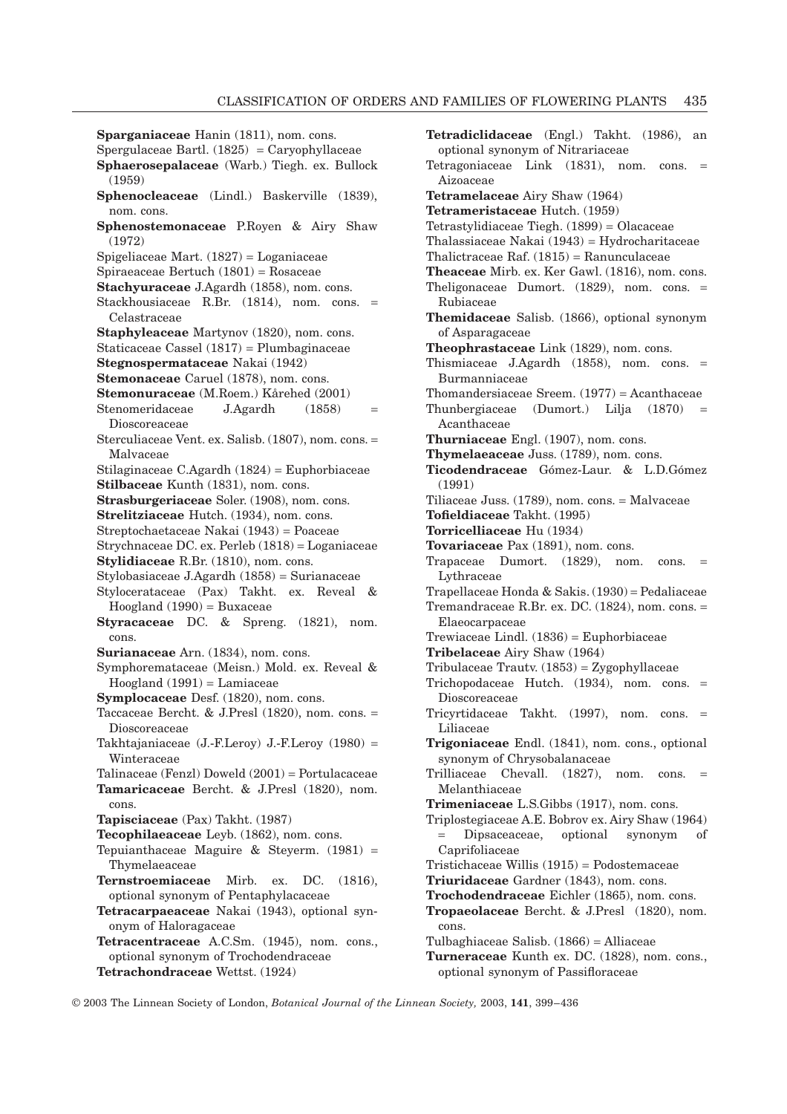**Sparganiaceae** Hanin (1811), nom. cons. Spergulaceae Bartl.  $(1825) =$  Caryophyllaceae **Sphaerosepalaceae** (Warb.) Tiegh. ex. Bullock (1959) **Sphenocleaceae** (Lindl.) Baskerville (1839), nom. cons. **Sphenostemonaceae** P.Royen & Airy Shaw (1972) Spigeliaceae Mart. (1827) = Loganiaceae Spiraeaceae Bertuch (1801) = Rosaceae **Stachyuraceae** J.Agardh (1858), nom. cons. Stackhousiaceae R.Br. (1814), nom. cons. = Celastraceae **Staphyleaceae** Martynov (1820), nom. cons. Staticaceae Cassel (1817) = Plumbaginaceae **Stegnospermataceae** Nakai (1942) **Stemonaceae** Caruel (1878), nom. cons. **Stemonuraceae** (M.Roem.) Kårehed (2001) Stenomeridaceae J.Agardh (1858) = Dioscoreaceae Sterculiaceae Vent. ex. Salisb. (1807), nom. cons. = Malvaceae Stilaginaceae C.Agardh (1824) = Euphorbiaceae **Stilbaceae** Kunth (1831), nom. cons. **Strasburgeriaceae** Soler. (1908), nom. cons. **Strelitziaceae** Hutch. (1934), nom. cons. Streptochaetaceae Nakai (1943) = Poaceae Strychnaceae DC. ex. Perleb (1818) = Loganiaceae **Stylidiaceae** R.Br. (1810), nom. cons. Stylobasiaceae J.Agardh (1858) = Surianaceae Stylocerataceae (Pax) Takht. ex. Reveal &  $Hoogland (1990) = Buxaceae$ **Styracaceae** DC. & Spreng. (1821), nom. cons. **Surianaceae** Arn. (1834), nom. cons. Symphoremataceae (Meisn.) Mold. ex. Reveal & Hoogland (1991) = Lamiaceae **Symplocaceae** Desf. (1820), nom. cons. Taccaceae Bercht. & J.Presl (1820), nom. cons. = Dioscoreaceae Takhtajaniaceae (J.-F.Leroy) J.-F.Leroy (1980) = Winteraceae Talinaceae (Fenzl) Doweld (2001) = Portulacaceae **Tamaricaceae** Bercht. & J.Presl (1820), nom. cons. **Tapisciaceae** (Pax) Takht. (1987) **Tecophilaeaceae** Leyb. (1862), nom. cons. Tepuianthaceae Maguire & Steyerm. (1981) = Thymelaeaceae **Ternstroemiaceae** Mirb. ex. DC. (1816), optional synonym of Pentaphylacaceae **Tetracarpaeaceae** Nakai (1943), optional synonym of Haloragaceae **Tetracentraceae** A.C.Sm. (1945), nom. cons., optional synonym of Trochodendraceae **Tetrachondraceae** Wettst. (1924)

**Tetradiclidaceae** (Engl.) Takht. (1986), an optional synonym of Nitrariaceae Tetragoniaceae Link (1831), nom. cons. = Aizoaceae **Tetramelaceae** Airy Shaw (1964) **Tetrameristaceae** Hutch. (1959) Tetrastylidiaceae Tiegh. (1899) = Olacaceae Thalassiaceae Nakai (1943) = Hydrocharitaceae Thalictraceae Raf. (1815) = Ranunculaceae **Theaceae** Mirb. ex. Ker Gawl. (1816), nom. cons. Theligonaceae Dumort. (1829), nom. cons. = Rubiaceae **Themidaceae** Salisb. (1866), optional synonym of Asparagaceae **Theophrastaceae** Link (1829), nom. cons. Thismiaceae J.Agardh (1858), nom. cons. = Burmanniaceae Thomandersiaceae Sreem. (1977) = Acanthaceae Thunbergiaceae (Dumort.) Lilja (1870) = Acanthaceae **Thurniaceae** Engl. (1907), nom. cons. **Thymelaeaceae** Juss. (1789), nom. cons. **Ticodendraceae** Gómez-Laur. & L.D.Gómez (1991) Tiliaceae Juss. (1789), nom. cons. = Malvaceae **Tofieldiaceae** Takht. (1995) **Torricelliaceae** Hu (1934) **Tovariaceae** Pax (1891), nom. cons. Trapaceae Dumort. (1829), nom. cons. = Lythraceae Trapellaceae Honda & Sakis. (1930) = Pedaliaceae Tremandraceae R.Br. ex. DC. (1824), nom. cons. = Elaeocarpaceae Trewiaceae Lindl. (1836) = Euphorbiaceae **Tribelaceae** Airy Shaw (1964) Tribulaceae Trautv. (1853) = Zygophyllaceae Trichopodaceae Hutch. (1934), nom. cons. = Dioscoreaceae Tricyrtidaceae Takht. (1997), nom. cons. = Liliaceae **Trigoniaceae** Endl. (1841), nom. cons., optional synonym of Chrysobalanaceae Trilliaceae Chevall. (1827), nom. cons. Melanthiaceae **Trimeniaceae** L.S.Gibbs (1917), nom. cons. Triplostegiaceae A.E. Bobrov ex. Airy Shaw (1964) = Dipsaceaceae, optional synonym of Caprifoliaceae Tristichaceae Willis (1915) = Podostemaceae **Triuridaceae** Gardner (1843), nom. cons. **Trochodendraceae** Eichler (1865), nom. cons. **Tropaeolaceae** Bercht. & J.Presl (1820), nom. cons. Tulbaghiaceae Salisb. (1866) = Alliaceae **Turneraceae** Kunth ex. DC. (1828), nom. cons., optional synonym of Passifloraceae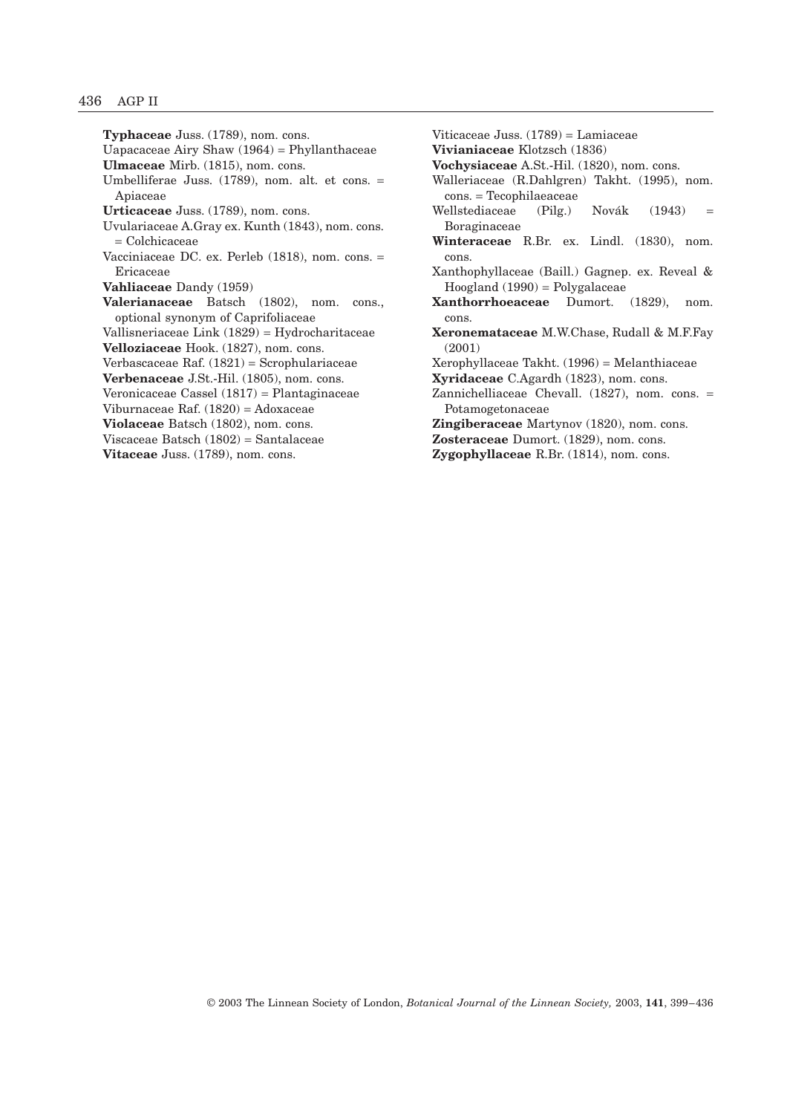**Typhaceae** Juss. (1789), nom. cons. Uapacaceae Airy Shaw (1964) = Phyllanthaceae **Ulmaceae** Mirb. (1815), nom. cons. Umbelliferae Juss. (1789), nom. alt. et cons. = Apiaceae **Urticaceae** Juss. (1789), nom. cons. Uvulariaceae A.Gray ex. Kunth (1843), nom. cons. = Colchicaceae Vacciniaceae DC. ex. Perleb (1818), nom. cons. = Ericaceae **Vahliaceae** Dandy (1959) **Valerianaceae** Batsch (1802), nom. cons., optional synonym of Caprifoliaceae Vallisneriaceae Link (1829) = Hydrocharitaceae **Velloziaceae** Hook. (1827), nom. cons. Verbascaceae Raf. (1821) = Scrophulariaceae **Verbenaceae** J.St.-Hil. (1805), nom. cons. Veronicaceae Cassel (1817) = Plantaginaceae Viburnaceae Raf. (1820) = Adoxaceae **Violaceae** Batsch (1802), nom. cons.

Viscaceae Batsch (1802) = Santalaceae

**Vitaceae** Juss. (1789), nom. cons.

Viticaceae Juss. (1789) = Lamiaceae **Vivianiaceae** Klotzsch (1836) **Vochysiaceae** A.St.-Hil. (1820), nom. cons. Walleriaceae (R.Dahlgren) Takht. (1995), nom. cons. = Tecophilaeaceae<br>[ellstediaceae (Pilg.) Wellstediaceae (Pilg.) Novák (1943) = Boraginaceae **Winteraceae** R.Br. ex. Lindl. (1830), nom. cons. Xanthophyllaceae (Baill.) Gagnep. ex. Reveal & Hoogland (1990) = Polygalaceae **Xanthorrhoeaceae** Dumort. (1829), nom. cons. **Xeronemataceae** M.W.Chase, Rudall & M.F.Fay (2001) Xerophyllaceae Takht. (1996) = Melanthiaceae **Xyridaceae** C.Agardh (1823), nom. cons. Zannichelliaceae Chevall. (1827), nom. cons. = Potamogetonaceae **Zingiberaceae** Martynov (1820), nom. cons. **Zosteraceae** Dumort. (1829), nom. cons.

**Zygophyllaceae** R.Br. (1814), nom. cons.